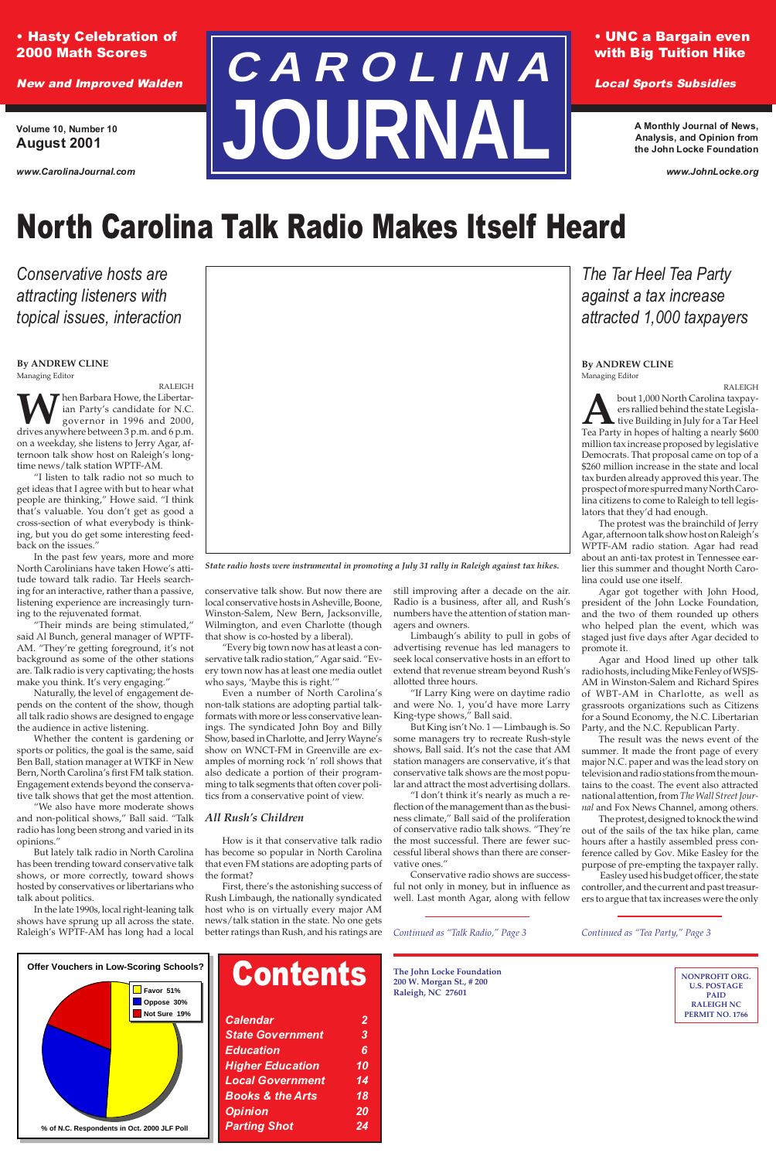### • Hasty Celebration of 2000 Math Scores

New and Improved Walden

### • UNC a Bargain even with Big Tuition Hike

Local Sports Subsidies

# **C A R O L I N A JOURNA**

**Volume 10, Number 10 August 2001**

*www.CarolinaJournal.com*

**A Monthly Journal of News, Analysis, and Opinion from the John Locke Foundation**

*www.JohnLocke.org*

### **Contents** *Calendar 2 State Government 3 Education 6*

## North Carolina Talk Radio Makes Itself Heard

*Conservative hosts are attracting listeners with topical issues, interaction*

*State radio hosts were instrumental in promoting a July 31 rally in Raleigh against tax hikes.*

**The John Locke Foundation 200 W. Morgan St., # 200 Raleigh, NC 27601**

*Continued as "Talk Radio," Page 3*

*The Tar Heel Tea Party against a tax increase attracted 1,000 taxpayers*

> **NONPROFIT ORG. U.S. POSTAGE PAID RALEIGH NC PERMIT NO. 1766**

*Continued as "Tea Party," Page 3*

### **By ANDREW CLINE** Managing Editor

RALEIGH **T** hen Barbara Howe, the Libertarian Party's candidate for N.C. governor in 1996 and 2000, drives anywhere between 3 p.m. and 6 p.m. on a weekday, she listens to Jerry Agar, afternoon talk show host on Raleigh's longtime news/talk station WPTF-AM.

"I listen to talk radio not so much to get ideas that I agree with but to hear what people are thinking," Howe said. "I think that's valuable. You don't get as good a cross-section of what everybody is thinking, but you do get some interesting feedback on the issues."

In the past few years, more and more North Carolinians have taken Howe's attitude toward talk radio. Tar Heels searching for an interactive, rather than a passive, listening experience are increasingly turning to the rejuvenated format.

"Their minds are being stimulated," said Al Bunch, general manager of WPTF-AM. "They're getting foreground, it's not background as some of the other stations are. Talk radio is very captivating; the hosts make you think. It's very engaging."

Naturally, the level of engagement depends on the content of the show, though all talk radio shows are designed to engage the audience in active listening.

Whether the content is gardening or sports or politics, the goal is the same, said Ben Ball, station manager at WTKF in New Bern, North Carolina's first FM talk station. Engagement extends beyond the conservative talk shows that get the most attention.

"We also have more moderate shows and non-political shows," Ball said. "Talk radio has long been strong and varied in its opinions."

But lately talk radio in North Carolina has been trending toward conservative talk shows, or more correctly, toward shows hosted by conservatives or libertarians who talk about politics.

**About 1,000 North Carolina taxpayers rallied behind the state Legislative Building in July for a Tar Heel Tea Party in hopes of halting a nearly \$600** ers rallied behind the state Legislative Building in July for a Tar Heel million tax increase proposed by legislative Democrats. That proposal came on top of a \$260 million increase in the state and local tax burden already approved this year. The prospect of more spurred many North Carolina citizens to come to Raleigh to tell legislators that they'd had enough.

In the late 1990s, local right-leaning talk shows have sprung up all across the state. Raleigh's WPTF-AM has long had a local conservative talk show. But now there are local conservative hosts in Asheville, Boone, Winston-Salem, New Bern, Jacksonville, Wilmington, and even Charlotte (though that show is co-hosted by a liberal).

"Every big town now has at least a conservative talk radio station," Agar said. "Every town now has at least one media outlet who says, 'Maybe this is right.'"

Even a number of North Carolina's non-talk stations are adopting partial talkformats with more or less conservative leanings. The syndicated John Boy and Billy Show, based in Charlotte, and Jerry Wayne's show on WNCT-FM in Greenville are examples of morning rock 'n' roll shows that also dedicate a portion of their programming to talk segments that often cover politics from a conservative point of view.

### *All Rush's Children*

How is it that conservative talk radio has become so popular in North Carolina that even FM stations are adopting parts of the format?



First, there's the astonishing success of Rush Limbaugh, the nationally syndicated host who is on virtually every major AM news/talk station in the state. No one gets better ratings than Rush, and his ratings are

still improving after a decade on the air. Radio is a business, after all, and Rush's numbers have the attention of station managers and owners.

Limbaugh's ability to pull in gobs of advertising revenue has led managers to seek local conservative hosts in an effort to extend that revenue stream beyond Rush's allotted three hours.

"If Larry King were on daytime radio and were No. 1, you'd have more Larry King-type shows," Ball said.

But King isn't No. 1 — Limbaugh is. So some managers try to recreate Rush-style shows, Ball said. It's not the case that AM station managers are conservative, it's that conservative talk shows are the most popular and attract the most advertising dollars.

"I don't think it's nearly as much a reflection of the management than as the business climate," Ball said of the proliferation of conservative radio talk shows. "They're the most successful. There are fewer successful liberal shows than there vative ones."

Conservative radio shows are successful not only in money, but in influence as well. Last month Agar, along with fellow

#### **By ANDREW CLINE** Managing Editor

RALEIGH

The protest was the brainchild of Jerry Agar, afternoon talk show host on Raleigh's WPTF-AM radio station. Agar had read about an anti-tax protest in Tennessee earlier this summer and thought North Carolina could use one itself.

Agar got together with John Hood, president of the John Locke Foundation, and the two of them rounded up others who helped plan the event, which was staged just five days after Agar decided to promote it.

Agar and Hood lined up other talk radio hosts, including Mike Fenley of WSJS-AM in Winston-Salem and Richard Spires of WBT-AM in Charlotte, as well as grassroots organizations such as Citizens for a Sound Economy, the N.C. Libertarian Party, and the N.C. Republican Party.

The result was the news event of the summer. It made the front page of every major N.C. paper and was the lead story on television and radio stations from the mountains to the coast. The event also attracted national attention, from *The Wall Street Journal* and Fox News Channel, among others.

The protest, designed to knock the wind out of the sails of the tax hike plan, came hours after a hastily assembled press conference called by Gov. Mike Easley for the purpose of pre-empting the taxpayer rally. Easley used his budget officer, the state controller, and the current and past treasurers to argue that tax increases were the only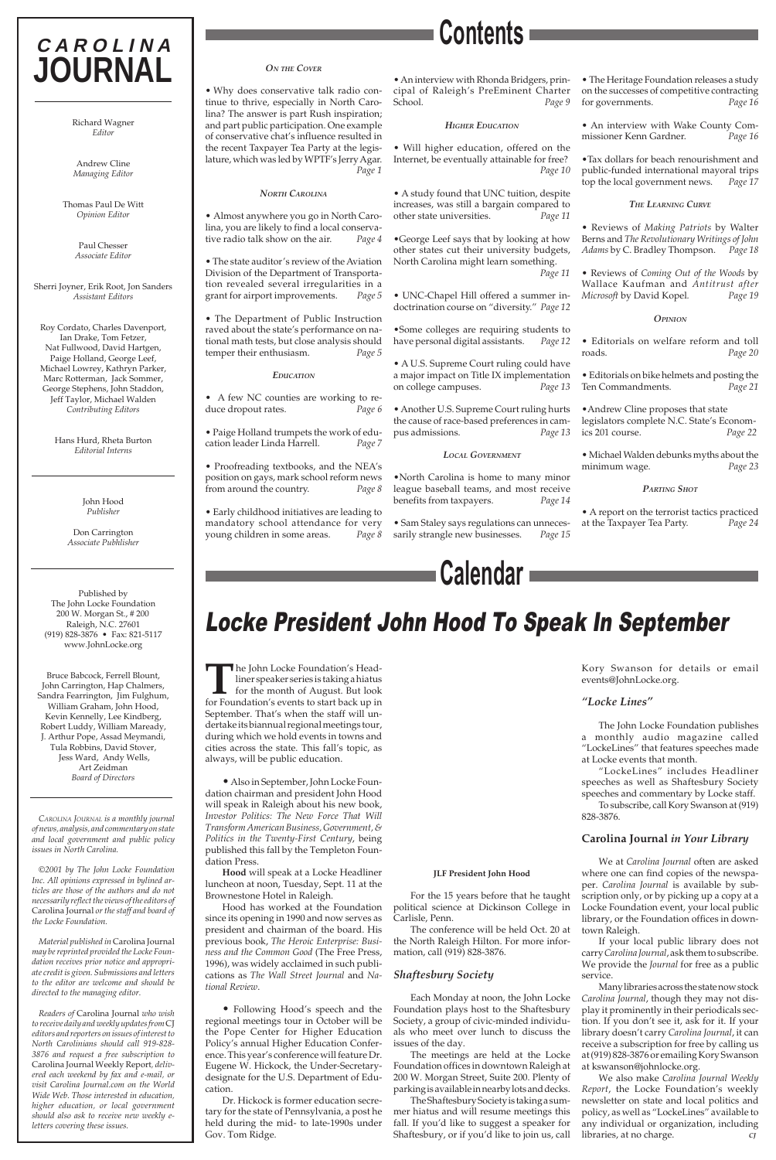The John Locke Foundation's Head-<br>liner speaker series is taking a hiatus<br>for the month of August. But look<br>for Foundation's events to start back up in liner speaker series is taking a hiatus for the month of August. But look for Foundation's events to start back up in September. That's when the staff will undertake its biannual regional meetings tour, during which we hold events in towns and cities across the state. This fall's topic, as always, will be public education.

•Also in September, John Locke Foundation chairman and president John Hood will speak in Raleigh about his new book, *Investor Politics: The New Force That Will Transform American Business, Government, & Politics in the Twenty-First Century*, being published this fall by the Templeton Foun-

dation Press.

**Hood** will speak at a Locke Headliner luncheon at noon, Tuesday, Sept. 11 at the Brownestone Hotel in Raleigh.

Hood has worked at the Foundation since its opening in 1990 and now serves as president and chairman of the board. His previous book, *The Heroic Enterprise: Business and the Common Good* (The Free Press, 1996), was widely acclaimed in such publications as *The Wall Street Journal* and *National Review*.

• Following Hood's speech and the regional meetings tour in October will be the Pope Center for Higher Education Policy's annual Higher Education Conference. This year's conference will feature Dr. Eugene W. Hickock, the Under-Secretarydesignate for the U.S. Department of Education.

Dr. Hickock is former education secretary for the state of Pennsylvania, a post he held during the mid- to late-1990s under Gov. Tom Ridge.

### Locke President John Hood To Speak In September

#### **JLF President John Hood**

For the 15 years before that he taught political science at Dickinson College in Carlisle, Penn.

The conference will be held Oct. 20 at the North Raleigh Hilton. For more information, call (919) 828-3876.

### *Shaftesbury Society*

Each Monday at noon, the John Locke Foundation plays host to the Shaftesbury Society, a group of civic-minded individuals who meet over lunch to discuss the issues of the day.

The meetings are held at the Locke Foundation offices in downtown Raleigh at 200 W. Morgan Street, Suite 200. Plenty of parking is available in nearby lots and decks.

The Shaftesbury Society is taking a summer hiatus and will resume meetings this fall. If you'd like to suggest a speaker for Shaftesbury, or if you'd like to join us, call Kory Swanson for details or email events@JohnLocke.org.

### *"Locke Lines"*

The John Locke Foundation publishes a monthly audio magazine called "LockeLines" that features speeches made at Locke events that month.

"LockeLines" includes Headliner speeches as well as Shaftesbury Society speeches and commentary by Locke staff.

To subscribe, call Kory Swanson at (919) 828-3876.

### **Carolina Journal** *in Your Library*

We at *Carolina Journal* often are asked where one can find copies of the newspaper. *Carolina Journal* is available by subscription only, or by picking up a copy at a Locke Foundation event, your local public library, or the Foundation offices in downtown Raleigh.

If your local public library does not carry *Carolina Journal*, ask them to subscribe. We provide the *Journal* for free as a public service.

Many libraries across the state now stock *Carolina Journal*, though they may not display it prominently in their periodicals section. If you don't see it, ask for it. If your library doesn't carry *Carolina Journal*, it can receive a subscription for free by calling us at (919) 828-3876 or emailing Kory Swanson at kswanson@johnlocke.org.

We also make *Carolina Journal Weekly Report*, the Locke Foundation's weekly newsletter on state and local politics and policy, as well as "LockeLines" available to any individual or organization, including libraries, at no charge. *CJ*

### **C A R O L I N A JOURNAL**

Richard Wagner *Editor*

Andrew Cline *Managing Editor*

Thomas Paul De Witt *Opinion Editor*

> Paul Chesser *Associate Editor*

Sherri Joyner, Erik Root, Jon Sanders *Assistant Editors*

Roy Cordato, Charles Davenport, Ian Drake, Tom Fetzer, Nat Fullwood, David Hartgen, Paige Holland, George Leef, Michael Lowrey, Kathryn Parker, Marc Rotterman, Jack Sommer, George Stephens, John Staddon, Jeff Taylor, Michael Walden *Contributing Editors*

> Hans Hurd, Rheta Burton *Editorial Interns*

> > John Hood *Publisher*

Don Carrington *Associate Pubhlisher*

Published by The John Locke Foundation 200 W. Morgan St., # 200 Raleigh, N.C. 27601 (919) 828-3876 • Fax: 821-5117 www.JohnLocke.org

Bruce Babcock, Ferrell Blount, John Carrington, Hap Chalmers, Sandra Fearrington, Jim Fulghum, William Graham, John Hood, Kevin Kennelly, Lee Kindberg, Robert Luddy, William Maready, J. Arthur Pope, Assad Meymandi, Tula Robbins, David Stover, Jess Ward, Andy Wells, Art Zeidman *Board of Directors*

*CAROLINA JOURNAL is a monthly journal of news, analysis, and commentary on state and local government and public policy issues in North Carolina.*

*©2001 by The John Locke Foundation Inc. All opinions expressed in bylined articles are those of the authors and do not necessarily reflect the views of the editors of* Carolina Journal *or the staff and board of the Locke Foundation.*

*Material published in* Carolina Journal *may be reprinted provided the Locke Foundation receives prior notice and appropriate credit is given. Submissions and letters to the editor are welcome and should be directed to the managing editor.*

*Readers of* Carolina Journal *who wish to receive daily and weekly updates from* CJ *editors and reporters on issues of interest to North Carolinians should call 919-828- 3876 and request a free subscription to* Carolina Journal Weekly Report*, delivered each weekend by fax and e-mail, or visit Carolina Journal.com on the World Wide Web. Those interested in education, higher education, or local government should also ask to receive new weekly eletters covering these issues.*

### **Calendar**

### *ON THE COVER*

• Why does conservative talk radio continue to thrive, especially in North Carolina? The answer is part Rush inspiration; and part public participation. One example of conservative chat's influence resulted in the recent Taxpayer Tea Party at the legislature, which was led by WPTF's Jerry Agar. *Page 1*

### *NORTH CAROLINA*

• Almost anywhere you go in North Carolina, you are likely to find a local conservative radio talk show on the air. *Page 4*

• The state auditor's review of the Aviation Division of the Department of Transportation revealed several irregularities in a grant for airport improvements. *Page 5*

• The Department of Public Instruction raved about the state's performance on national math tests, but close analysis should temper their enthusiasm. *Page 5*

### *EDUCATION*

• A few NC counties are working to reduce dropout rates. *Page 6*

• Paige Holland trumpets the work of education leader Linda Harrell. *Page 7*

• Proofreading textbooks, and the NEA's position on gays, mark school reform news from around the country. *Page 8*

• Early childhood initiatives are leading to mandatory school attendance for very young children in some areas. *Page 8* • An interview with Rhonda Bridgers, principal of Raleigh's PreEminent Charter School. *Page 9*

### *HIGHER EDUCATION*

• Will higher education, offered on the Internet, be eventually attainable for free?  *Page 10*

• A study found that UNC tuition, despite increases, was still a bargain compared to other state universities. *Page 11*

•George Leef says that by looking at how other states cut their university budgets, North Carolina might learn something. *Page 11*

• UNC-Chapel Hill offered a summer indoctrination course on "diversity." *Page 12*

•Some colleges are requiring students to have personal digital assistants. *Page 12*

• A U.S. Supreme Court ruling could have a major impact on Title IX implementation on college campuses. *Page 13*

• Another U.S. Supreme Court ruling hurts the cause of race-based preferences in campus admissions. *Page 13*

### *LOCAL GOVERNMENT*

•North Carolina is home to many minor league baseball teams, and most receive benefits from taxpayers. *Page 14*

• Sam Staley says regulations can unnecessarily strangle new businesses. *Page 15* • The Heritage Foundation releases a study on the successes of competitive contracting for governments. *Page 16*

• An interview with Wake County Commissioner Kenn Gardner. *Page 16*

•Tax dollars for beach renourishment and public-funded international mayoral trips top the local government news. *Page 17*

### *THE LEARNING CURVE*

• Reviews of *Making Patriots* by Walter Berns and *The Revolutionary Writings of John Adams* by C. Bradley Thompson. *Page 18*

• Reviews of *Coming Out of the Woods* by Wallace Kaufman and *Antitrust after Microsoft* by David Kopel*. Page 19*

### *OPINION*

• Editorials on welfare reform and toll roads. *Page 20*

• Editorials on bike helmets and posting the Ten Commandments. *Page 21*

•Andrew Cline proposes that state legislators complete N.C. State's Economics 201 course. *Page 22*

• Michael Walden debunks myths about the minimum wage. *Page 23*

#### *PARTING SHOT*

• A report on the terrorist tactics practiced at the Taxpayer Tea Party. *Page 24*

**Contents**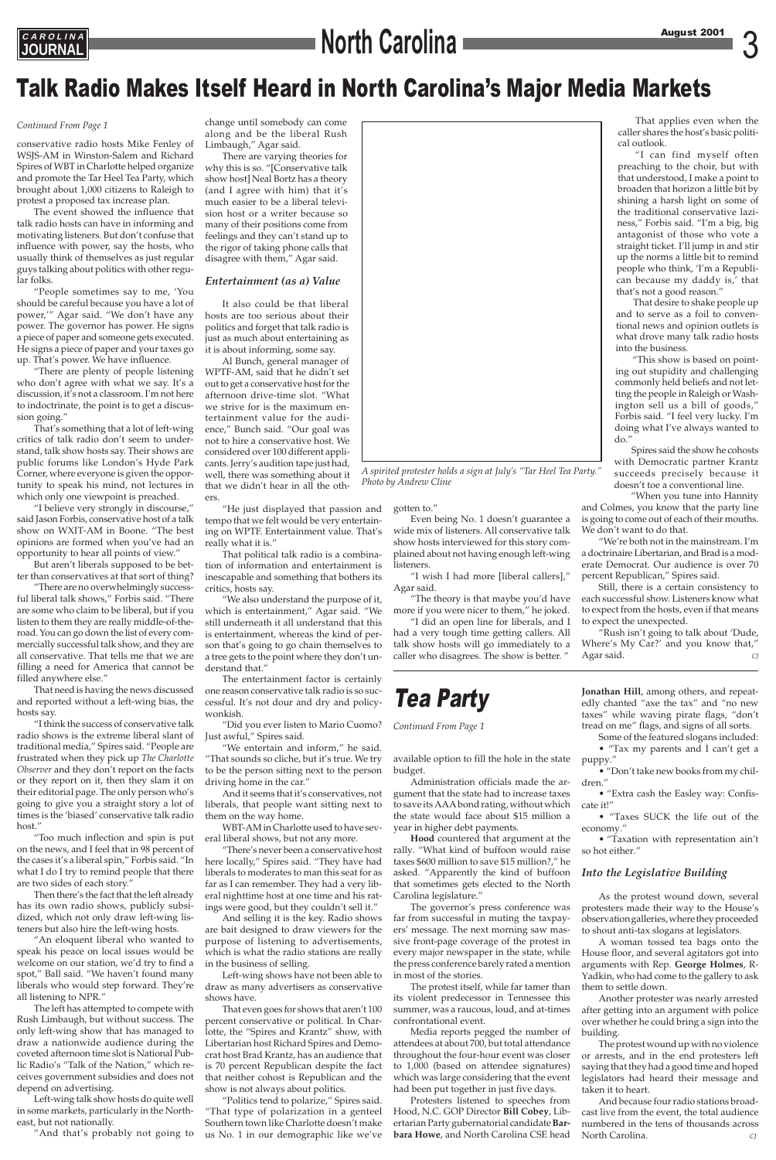**JOURNAL**

### Talk Radio Makes Itself Heard in North Carolina's Major Media Markets

*Continued From Page 1*

conservative radio hosts Mike Fenley of WSJS-AM in Winston-Salem and Richard Spires of WBT in Charlotte helped organize and promote the Tar Heel Tea Party, which brought about 1,000 citizens to Raleigh to protest a proposed tax increase plan.

The event showed the influence that talk radio hosts can have in informing and motivating listeners. But don't confuse that influence with power, say the hosts, who usually think of themselves as just regular guys talking about politics with other regular folks.

"People sometimes say to me, 'You should be careful because you have a lot of power,'" Agar said. "We don't have any power. The governor has power. He signs a piece of paper and someone gets executed. He signs a piece of paper and your taxes go up. That's power. We have influence.

"There are plenty of people listening who don't agree with what we say. It's a discussion, it's not a classroom. I'm not here to indoctrinate, the point is to get a discussion going."

That's something that a lot of left-wing critics of talk radio don't seem to understand, talk show hosts say. Their shows are public forums like London's Hyde Park Corner, where everyone is given the opportunity to speak his mind, not lectures in which only one viewpoint is preached.

"I believe very strongly in discourse," said Jason Forbis, conservative host of a talk show on WXIT-AM in Boone. "The best opinions are formed when you've had an opportunity to hear all points of view."

But aren't liberals supposed to be better than conservatives at that sort of thing?

"There are no overwhelmingly successful liberal talk shows," Forbis said. "There are some who claim to be liberal, but if you listen to them they are really middle-of-theroad. You can go down the list of every commercially successful talk show, and they are all conservative. That tells me that we are filling a need for America that cannot be filled anywhere else."

That need is having the news discussed and reported without a left-wing bias, the hosts say.

"I think the success of conservative talk radio shows is the extreme liberal slant of traditional media," Spires said. "People are frustrated when they pick up *The Charlotte Observer* and they don't report on the facts or they report on it, then they slam it on their editorial page. The only person who's going to give you a straight story a lot of times is the 'biased' conservative talk radio host."

"Too much inflection and spin is put on the news, and I feel that in 98 percent of the cases it's a liberal spin," Forbis said. "In what I do I try to remind people that there are two sides of each story." Then there's the fact that the left already has its own radio shows, publicly subsidized, which not only draw left-wing listeners but also hire the left-wing hosts. "An eloquent liberal who wanted to speak his peace on local issues would be welcome on our station, we'd try to find a spot," Ball said. "We haven't found many liberals who would step forward. They're all listening to NPR." The left has attempted to compete with Rush Limbaugh, but without success. The only left-wing show that has managed to draw a nationwide audience during the coveted afternoon time slot is National Public Radio's "Talk of the Nation," which receives government subsidies and does not depend on advertising.

Left-wing talk show hosts do quite well in some markets, particularly in the Northeast, but not nationally.

"And that's probably not going to

change until somebody can come along and be the liberal Rush Limbaugh," Agar said.

There are varying theories for why this is so. "[Conservative talk show host] Neal Bortz has a theory (and I agree with him) that it's much easier to be a liberal television host or a writer because so many of their positions come from feelings and they can't stand up to the rigor of taking phone calls that disagree with them," Agar said.

### *Entertainment (as a) Value*

It also could be that liberal hosts are too serious about their politics and forget that talk radio is just as much about entertaining as it is about informing, some say.

Al Bunch, general manager of WPTF-AM, said that he didn't set out to get a conservative host for the afternoon drive-time slot. "What we strive for is the maximum entertainment value for the audience," Bunch said. "Our goal was not to hire a conservative host. We considered over 100 different applicants. Jerry's audition tape just had, well, there was something about it that we didn't hear in all the oth-

ers.

"He just displayed that passion and tempo that we felt would be very entertaining on WPTF. Entertainment value. That's really what it is."

That political talk radio is a combination of information and entertainment is inescapable and something that bothers its critics, hosts say.

"We also understand the purpose of it, which is entertainment," Agar said. "We still underneath it all understand that this is entertainment, whereas the kind of person that's going to go chain themselves to a tree gets to the point where they don't understand that."

The entertainment factor is certainly one reason conservative talk radio is so successful. It's not dour and dry and policywonkish.

> • "Taxation with representation ain't hot either."

"Did you ever listen to Mario Cuomo? Just awful," Spires said.

"We entertain and inform," he said. "That sounds so cliche, but it's true. We try to be the person sitting next to the person driving home in the car."

And it seems that it's conservatives, not liberals, that people want sitting next to them on the way home.

> And because four radio stations broadcast live from the event, the total audience numbered in the tens of thousands across North Carolina.

WBT-AM in Charlotte used to have several liberal shows, but not any more.

"There's never been a conservative host



## August 2001 3 **C A R O L I N A North Carolina**

here locally," Spires said. "They have had liberals to moderates to man this seat for as far as I can remember. They had a very liberal nighttime host at one time and his ratings were good, but they couldn't sell it."

And selling it is the key. Radio shows are bait designed to draw viewers for the purpose of listening to advertisements, which is what the radio stations are really in the business of selling.

Left-wing shows have not been able to draw as many advertisers as conservative shows have.

That even goes for shows that aren't 100 percent conservative or political. In Charlotte, the "Spires and Krantz" show, with Libertarian host Richard Spires and Democrat host Brad Krantz, has an audience that is 70 percent Republican despite the fact that neither cohost is Republican and the show is not always about politics.

"Politics tend to polarize," Spires said. "That type of polarization in a genteel Southern town like Charlotte doesn't make us No. 1 in our demographic like we've

gotten to."

Even being No. 1 doesn't guarantee a wide mix of listeners. All conservative talk show hosts interviewed for this story complained about not having enough left-wing listeners.

"I wish I had more [liberal callers]," Agar said.

"The theory is that maybe you'd have more if you were nicer to them," he joked.

"I did an open line for liberals, and I had a very tough time getting callers. All talk show hosts will go immediately to a caller who disagrees. The show is better. "

That applies even when the caller shares the host's basic political outlook.

"I can find myself often preaching to the choir, but with that understood, I make a point to broaden that horizon a little bit by shining a harsh light on some of the traditional conservative laziness," Forbis said. "I'm a big, big antagonist of those who vote a straight ticket. I'll jump in and stir up the norms a little bit to remind people who think, 'I'm a Republican because my daddy is,' that that's not a good reason."

That desire to shake people up and to serve as a foil to conventional news and opinion outlets is what drove many talk radio hosts into the business.

"This show is based on pointing out stupidity and challenging commonly held beliefs and not letting the people in Raleigh or Washington sell us a bill of goods," Forbis said. "I feel very lucky. I'm doing what I've always wanted to do."

Spires said the show he cohosts with Democratic partner Krantz succeeds precisely because it doesn't toe a conventional line.

"When you tune into Hannity and Colmes, you know that the party line is going to come out of each of their mouths. We don't want to do that.

"We're both not in the mainstream. I'm a doctrinaire Libertarian, and Brad is a moderate Democrat. Our audience is over 70 percent Republican," Spires said.

Still, there is a certain consistency to each successful show. Listeners know what to expect from the hosts, even if that means to expect the unexpected.

"Rush isn't going to talk about 'Dude, Where's My Car?' and you know that," Agar said. *CJ*

### Tea Party

### *Continued From Page 1*

available option to fill the hole in the state budget.

Administration officials made the argument that the state had to increase taxes to save its AAA bond rating, without which the state would face about \$15 million a year in higher debt payments.

**Hood** countered that argument at the v. "What kind of buffoon would raise taxes \$600 million to save \$15 million?," he asked. "Apparently the kind of buffoon that sometimes gets elected to the North Carolina legislature." The governor's press conference was far from successful in muting the taxpayers' message. The next morning saw massive front-page coverage of the protest in every major newspaper in the state, while the press conference barely rated a mention in most of the stories. The protest itself, while far tamer than its violent predecessor in Tennessee this summer, was a raucous, loud, and at-times confrontational event. Media reports pegged the number of attendees at about 700, but total attendance throughout the four-hour event was closer to 1,000 (based on attendee signatures) which was large considering that the event had been put together in just five days. Protesters listened to speeches from Hood, N.C. GOP Director **Bill Cobey**, Libertarian Party gubernatorial candidate **Barbara Howe**, and North Carolina CSE head

**Jonathan Hill**, among others, and repeatedly chanted "axe the tax" and "no new taxes" while waving pirate flags, "don't tread on me" flags, and signs of all sorts.

Some of the featured slogans included:

• "Tax my parents and I can't get a puppy."

• "Don't take new books from my children."

• "Extra cash the Easley way: Confiscate it!"

• "Taxes SUCK the life out of the economy."

### *Into the Legislative Building*

As the protest wound down, several protesters made their way to the House's observation galleries, where they proceeded to shout anti-tax slogans at legislators.

A woman tossed tea bags onto the House floor, and several agitators got into arguments with Rep. **George Holmes**, R-Yadkin, who had come to the gallery to ask them to settle down.

Another protester was nearly arrested after getting into an argument with police over whether he could bring a sign into the building.

The protest wound up with no violence or arrests, and in the end protesters left saying that they had a good time and hoped legislators had heard their message and taken it to heart.

*A spirited protester holds a sign at July's "Tar Heel Tea Party." Photo by Andrew Cline*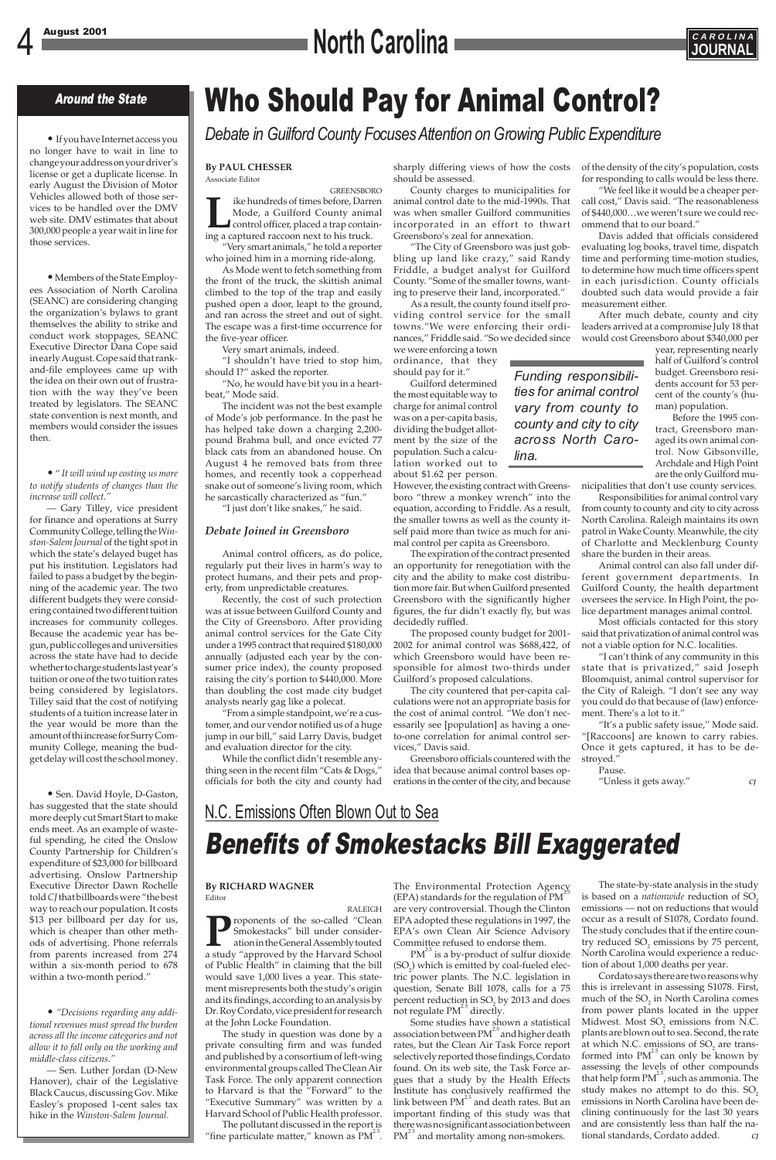### Around the State

#### **By PAUL CHESSER** Associate Editor

**GREENSBORO Like hundreds of times before, Darren**<br>
Mode, a Guilford County animal<br>
control officer, placed a trap contain-<br>
ing a captured raccoon next to his truck. Mode, a Guilford County animal control officer, placed a trap contain-

"Very smart animals," he told a reporter who joined him in a morning ride-along.

As Mode went to fetch something from the front of the truck, the skittish animal climbed to the top of the trap and easily pushed open a door, leapt to the ground, and ran across the street and out of sight. The escape was a first-time occurrence for the five-year officer.

Very smart animals, indeed.

"I shouldn't have tried to stop him, should I?" asked the reporter.

"No, he would have bit you in a heartbeat," Mode said.

The incident was not the best example of Mode's job performance. In the past he has helped take down a charging 2,200 pound Brahma bull, and once evicted 77 black cats from an abandoned house. On August 4 he removed bats from three homes, and recently took a copperhead snake out of someone's living room, which he sarcastically characterized as "fun."

"I just don't like snakes," he said.

### *Debate Joined in Greensboro*

Animal control officers, as do police, regularly put their lives in harm's way to protect humans, and their pets and property, from unpredictable creatures.

Recently, the cost of such protection was at issue between Guilford County and the City of Greensboro. After providing animal control services for the Gate City under a 1995 contract that required \$180,000 annually (adjusted each year by the consumer price index), the county proposed raising the city's portion to \$440,000. More than doubling the cost made city budget analysts nearly gag like a polecat.

"From a simple standpoint, we're a customer, and our vendor notified us of a huge jump in our bill," said Larry Davis, budget and evaluation director for the city.

While the conflict didn't resemble anything seen in the recent film "Cats & Dogs," officials for both the city and county had sharply differing views of how the costs should be assessed.

County charges to municipalities for animal control date to the mid-1990s. That was when smaller Guilford communities incorporated in an effort to thwart Greensboro's zeal for annexation.

"The City of Greensboro was just gobbling up land like crazy," said Randy Friddle, a budget analyst for Guilford County. "Some of the smaller towns, wanting to preserve their land, incorporated."

As a result, the county found itself providing control service for the small towns."We were enforcing their ordinances," Friddle said. "So we decided since we were enforcing a town

ordinance, that they should pay for it."

Guilford determined the most equitable way to charge for animal control was on a per-capita basis, dividing the budget allotment by the size of the population. Such a calculation worked out to about \$1.62 per person.

However, the existing contract with Greensboro "threw a monkey wrench" into the equation, according to Friddle. As a result, the smaller towns as well as the county itself paid more than twice as much for animal control per capita as Greensboro.

**Proponents of the so-called "Clean Smokestacks" bill under consideration in the General Assembly touted a study "approved by the Harvard School** Smokestacks" bill under consideration in the General Assembly touted of Public Health" in claiming that the bill would save 1,000 lives a year. This statement misrepresents both the study's origin and its findings, according to an analysis by Dr. Roy Cordato, vice president for research at the John Locke Foundation.

The expiration of the contract presented an opportunity for renegotiation with the city and the ability to make cost distribution more fair. But when Guilford presented Greensboro with the significantly higher figures, the fur didn't exactly fly, but was decidedly ruffled.

The pollutant discussed in the report is "fine particulate matter," known as  $PM^{2.5}$ .

The proposed county budget for 2001- 2002 for animal control was \$688,422, of which Greensboro would have been responsible for almost two-thirds under Guilford's proposed calculations.

Some studies have shown a statistical association between  $PM<sup>2.5</sup>$  and higher death rates, but the Clean Air Task Force report selectively reported those findings, Cordato found. On its web site, the Task Force argues that a study by the Health Effects Institute has conclusively reaffirmed the link between  $PM<sup>2.5</sup>$  and death rates. But an important finding of this study was that there was no significant association between PM<sup>2.5</sup> and mortality among non-smokers.

The city countered that per-capita calculations were not an appropriate basis for the cost of animal control. "We don't necessarily see [population] as having a oneto-one correlation for animal control services," Davis said.

Greensboro officials countered with the idea that because animal control bases operations in the center of the city, and because

> Cordato says there are two reasons why this is irrelevant in assessing S1078. First, much of the  $SO<sub>2</sub>$  in North Carolina comes from power plants located in the upper Midwest. Most SO<sub>2</sub> emissions from N.C. plants are blown out to sea. Second, the rate at which N.C. emissions of  $SO<sub>2</sub>$  are transformed into  $PM^{\mathcal{L}^3}$  can only be known by assessing the levels of other compounds that help form  $PM^2$ , such as ammonia. The study makes no attempt to do this. SO<sub>2</sub> emissions in North Carolina have been declining continuously for the last 30 years and are consistently less than half the national standards, Cordato added.

of the density of the city's population, costs for responding to calls would be less there.

"We feel like it would be a cheaper percall cost," Davis said. "The reasonableness of \$440,000…we weren't sure we could recommend that to our board."

Davis added that officials considered evaluating log books, travel time, dispatch time and performing time-motion studies, to determine how much time officers spent in each jurisdiction. County officials doubted such data would provide a fair measurement either.

After much debate, county and city leaders arrived at a compromise July 18 that would cost Greensboro about \$340,000 per

year, representing nearly half of Guilford's control budget. Greensboro residents account for 53 percent of the county's (human) population.

Before the 1995 contract, Greensboro managed its own animal control. Now Gibsonville, Archdale and High Point are the only Guilford mu-

nicipalities that don't use county services.

Responsibilities for animal control vary from county to county and city to city across North Carolina. Raleigh maintains its own patrol in Wake County. Meanwhile, the city of Charlotte and Mecklenburg County share the burden in their areas.

Animal control can also fall under different government departments. In Guilford County, the health department oversees the service. In High Point, the police department manages animal control.

Most officials contacted for this story said that privatization of animal control was not a viable option for N.C. localities.

"I can't think of any community in this state that is privatized," said Joseph Bloomquist, animal control supervisor for the City of Raleigh. "I don't see any way you could do that because of (law) enforcement. There's a lot to it."

"It's a public safety issue," Mode said. "[Raccoons] are known to carry rabies. Once it gets captured, it has to be destroyed."

Pause.

"Unless it gets away." *CJ*

#### **By RICHARD WAGNER** Editor

RALEIGH

The study in question was done by a private consulting firm and was funded and published by a consortium of left-wing environmental groups called The Clean Air Task Force. The only apparent connection to Harvard is that the "Forward" to the "Executive Summary" was written by a Harvard School of Public Health professor.

The Environmental Protection Agency  $(EPA)$  standards for the regulation of PM<sup>2</sup>. are very controversial. Though the Clinton EPA adopted these regulations in 1997, the EPA's own Clean Air Science Advisory Committee refused to endorse them.

 $PM^2$  is a by-product of sulfur dioxide  $(SO<sub>2</sub>)$  which is emitted by coal-fueled electric power plants. The N.C. legislation in question, Senate Bill 1078, calls for a 75 percent reduction in SO<sub>2</sub> by 2013 and does not regulate  $PM<sup>2.5</sup>$  directly.

The state-by-state analysis in the study is based on a *nationwide* reduction of SO<sub>2</sub> emissions — not on reductions that would occur as a result of S1078, Cordato found. The study concludes that if the entire country reduced  $SO<sub>2</sub>$  emissions by 75 percent, North Carolina would experience a reduction of about 1,000 deaths per year.

### N.C. Emissions Often Blown Out to Sea

## Benefits of Smokestacks Bill Exaggerated

• If you have Internet access you no longer have to wait in line to change your address on your driver's license or get a duplicate license. In early August the Division of Motor Vehicles allowed both of those services to be handled over the DMV web site. DMV estimates that about 300,000 people a year wait in line for those services.

•Members of the State Employees Association of North Carolina (SEANC) are considering changing the organization's bylaws to grant themselves the ability to strike and conduct work stoppages, SEANC Executive Director Dana Cope said in early August. Cope said that rankand-file employees came up with the idea on their own out of frustration with the way they've been treated by legislators. The SEANC state convention is next month, and members would consider the issues then.

• " *It will wind up costing us more to notify students of changes than the increase will collect."*

— Gary Tilley, vice president for finance and operations at Surry Community College, telling the *Winston-Salem Journal* of the tight spot in which the state's delayed buget has put his institution. Legislators had failed to pass a budget by the beginning of the academic year. The two different budgets they were considering contained two different tuition increases for community colleges. Because the academic year has begun, public colleges and universities across the state have had to decide whether to charge students last year's tuition or one of the two tuition rates being considered by legislators. Tilley said that the cost of notifying students of a tuition increase later in the year would be more than the amount of thi increase for Surry Community College, meaning the budget delay will cost the school money.

• Sen. David Hoyle, D-Gaston, has suggested that the state should more deeply cut Smart Start to make ends meet. As an example of wasteful spending, he cited the Onslow County Partnership for Children's expenditure of \$23,000 for billboard advertising. Onslow Partnership Executive Director Dawn Rochelle told *CJ*that billboards were "the best way to reach our population. It costs \$13 per billboard per day for us, which is cheaper than other methods of advertising. Phone referrals from parents increased from 274 within a six-month period to 678 within a two-month period."

• *"Decisions regarding any additional revenues must spread the burden across all the income categories and not allow it to fall only on the working and middle-class citizens."*

— Sen. Luther Jordan (D-New Hanover), chair of the Legislative Black Caucus, discussing Gov. Mike Easley's proposed 1-cent sales tax hike in the *Winston-Salem Journal.*

# 4 August 2001 **C A R O L I N A North Carolina JOURNAL**



## Who Should Pay for Animal Control?

*Debate in Guilford County Focuses Attention on Growing Public Expenditure*

*Funding responsibilities for animal control vary from county to county and city to city across North Caro-*

*lina.*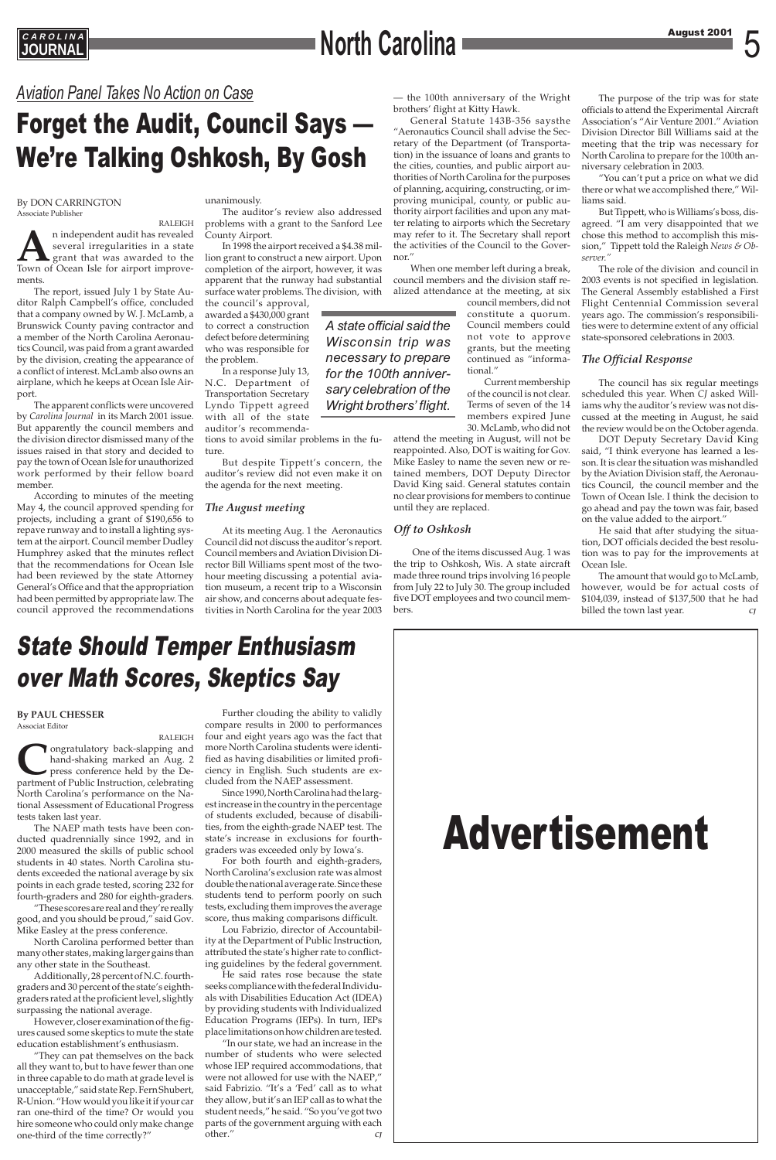## **AROLINA**<br> **August 2001** 5

# Advertisement

### *Aviation Panel Takes No Action on Case*

## Forget the Audit, Council Says — We're Talking Oshkosh, By Gosh

### State Should Temper Enthusiasm over Math Scores, Skeptics Say

#### By DON CARRINGTON Associate Publisher

RALEIGH **A**n independent audit has revealed several irregularities in a state grant that was awarded to the Town of Ocean Isle for airport improvements.

The report, issued July 1 by State Auditor Ralph Campbell's office, concluded that a company owned by W. J. McLamb, a Brunswick County paving contractor and a member of the North Carolina Aeronautics Council, was paid from a grant awarded by the division, creating the appearance of a conflict of interest. McLamb also owns an airplane, which he keeps at Ocean Isle Airport.

The apparent conflicts were uncovered by *Carolina Journal* in its March 2001 issue. But apparently the council members and the division director dismissed many of the issues raised in that story and decided to pay the town of Ocean Isle for unauthorized work performed by their fellow board member.

According to minutes of the meeting May 4, the council approved spending for projects, including a grant of \$190,656 to repave runway and to install a lighting system at the airport. Council member Dudley Humphrey asked that the minutes reflect that the recommendations for Ocean Isle had been reviewed by the state Attorney General's Office and that the appropriation had been permitted by appropriate law. The council approved the recommendations

#### unanimously.

The auditor's review also addressed problems with a grant to the Sanford Lee County Airport.

In 1998 the airport received a \$4.38 million grant to construct a new airport. Upon completion of the airport, however, it was apparent that the runway had substantial surface water problems. The division, with

the council's approval, awarded a \$430,000 grant to correct a construction defect before determining who was responsible for the problem.

In a response July 13, N.C. Department of Transportation Secretary Lyndo Tippett agreed with all of the state auditor's recommenda-

tions to avoid similar problems in the future.

But despite Tippett's concern, the auditor's review did not even make it on the agenda for the next meeting.

### *The August meeting*

At its meeting Aug. 1 the Aeronautics Council did not discuss the auditor's report. Council members and Aviation Division Director Bill Williams spent most of the twohour meeting discussing a potential aviation museum, a recent trip to a Wisconsin air show, and concerns about adequate festivities in North Carolina for the year 2003 — the 100th anniversary of the Wright brothers' flight at Kitty Hawk.

> The amount that would go to McLamb, however, would be for actual costs of \$104,039, instead of \$137,500 that he had billed the town last year.

General Statute 143B-356 saysthe "Aeronautics Council shall advise the Secretary of the Department (of Transportation) in the issuance of loans and grants to the cities, counties, and public airport authorities of North Carolina for the purposes of planning, acquiring, constructing, or improving municipal, county, or public authority airport facilities and upon any matter relating to airports which the Secretary may refer to it. The Secretary shall report the activities of the Council to the Governor."

**Confidence in the Congratulatory back-slapping and hand-shaking marked an Aug. 2 press conference held by the Department of Public Instruction, celebrating** hand-shaking marked an Aug. 2 press conference held by the Department of Public Instruction, celebrating North Carolina's performance on the National Assessment of Educational Progress tests taken last year.

When one member left during a break, council members and the division staff realized attendance at the meeting, at six

> council members, did not constitute a quorum. Council members could not vote to approve grants, but the meeting continued as "informational."

Current membership of the council is not clear. Terms of seven of the 14 members expired June 30. McLamb, who did not

attend the meeting in August, will not be reappointed. Also, DOT is waiting for Gov. Mike Easley to name the seven new or retained members, DOT Deputy Director David King said. General statutes contain no clear provisions for members to continue until they are replaced.

### *Off to Oshkosh*

One of the items discussed Aug. 1 was the trip to Oshkosh, Wis. A state aircraft made three round trips involving 16 people from July 22 to July 30. The group included five DOT employees and two council members.

The purpose of the trip was for state officials to attend the Experimental Aircraft Association's "Air Venture 2001." Aviation Division Director Bill Williams said at the meeting that the trip was necessary for North Carolina to prepare for the 100th anniversary celebration in 2003.

"You can't put a price on what we did there or what we accomplished there," Williams said.

But Tippett, who is Williams's boss, disagreed. "I am very disappointed that we chose this method to accomplish this mission," Tippett told the Raleigh *News & Observer."*

The role of the division and council in 2003 events is not specified in legislation. The General Assembly established a First Flight Centennial Commission several years ago. The commission's responsibilities were to determine extent of any official state-sponsored celebrations in 2003.

### *The Official Response*

The council has six regular meetings scheduled this year. When *CJ* asked Williams why the auditor's review was not discussed at the meeting in August, he said the review would be on the October agenda.

DOT Deputy Secretary David King said, "I think everyone has learned a lesson. It is clear the situation was mishandled by the Aviation Division staff, the Aeronautics Council, the council member and the Town of Ocean Isle. I think the decision to go ahead and pay the town was fair, based on the value added to the airport."

He said that after studying the situation, DOT officials decided the best resolution was to pay for the improvements at Ocean Isle.

### **By PAUL CHESSER** Associat Editor

RALEIGH

The NAEP math tests have been conducted quadrennially since 1992, and in 2000 measured the skills of public school students in 40 states. North Carolina students exceeded the national average by six points in each grade tested, scoring 232 for fourth-graders and 280 for eighth-graders. "These scores are real and they're really good, and you should be proud," said Gov. Mike Easley at the press conference. North Carolina performed better than many other states, making larger gains than any other state in the Southeast. Additionally, 28 percent of N.C. fourthgraders and 30 percent of the state's eighthgraders rated at the proficient level, slightly surpassing the national average. However, closer examination of the figures caused some skeptics to mute the state education establishment's enthusiasm. "They can pat themselves on the back all they want to, but to have fewer than one in three capable to do math at grade level is unacceptable," said state Rep. Fern Shubert, R-Union. "How would you like it if your car ran one-third of the time? Or would you hire someone who could only make change one-third of the time correctly?"

Further clouding the ability to validly compare results in 2000 to performances four and eight years ago was the fact that more North Carolina students were identified as having disabilities or limited proficiency in English. Such students are excluded from the NAEP assessment.

Since 1990, North Carolina had the largest increase in the country in the percentage of students excluded, because of disabilities, from the eighth-grade NAEP test. The state's increase in exclusions for fourthgraders was exceeded only by Iowa's.

For both fourth and eighth-graders, North Carolina's exclusion rate was almost double the national average rate. Since these students tend to perform poorly on such tests, excluding them improves the average score, thus making comparisons difficult.

Lou Fabrizio, director of Accountability at the Department of Public Instruction, attributed the state's higher rate to conflicting guidelines by the federal government.

He said rates rose because the state seeks compliance with the federal Individuals with Disabilities Education Act (IDEA) by providing students with Individualized Education Programs (IEPs). In turn, IEPs place limitations on how children are tested.

"In our state, we had an increase in the number of students who were selected whose IEP required accommodations, that were not allowed for use with the NAEP," said Fabrizio. "It's a 'Fed' call as to what they allow, but it's an IEP call as to what the student needs," he said. "So you've got two parts of the government arguing with each other." *CJ*

### *A state official said the Wisconsin trip was necessary to prepare for the 100th anniversary celebration of the Wright brothers' flight.*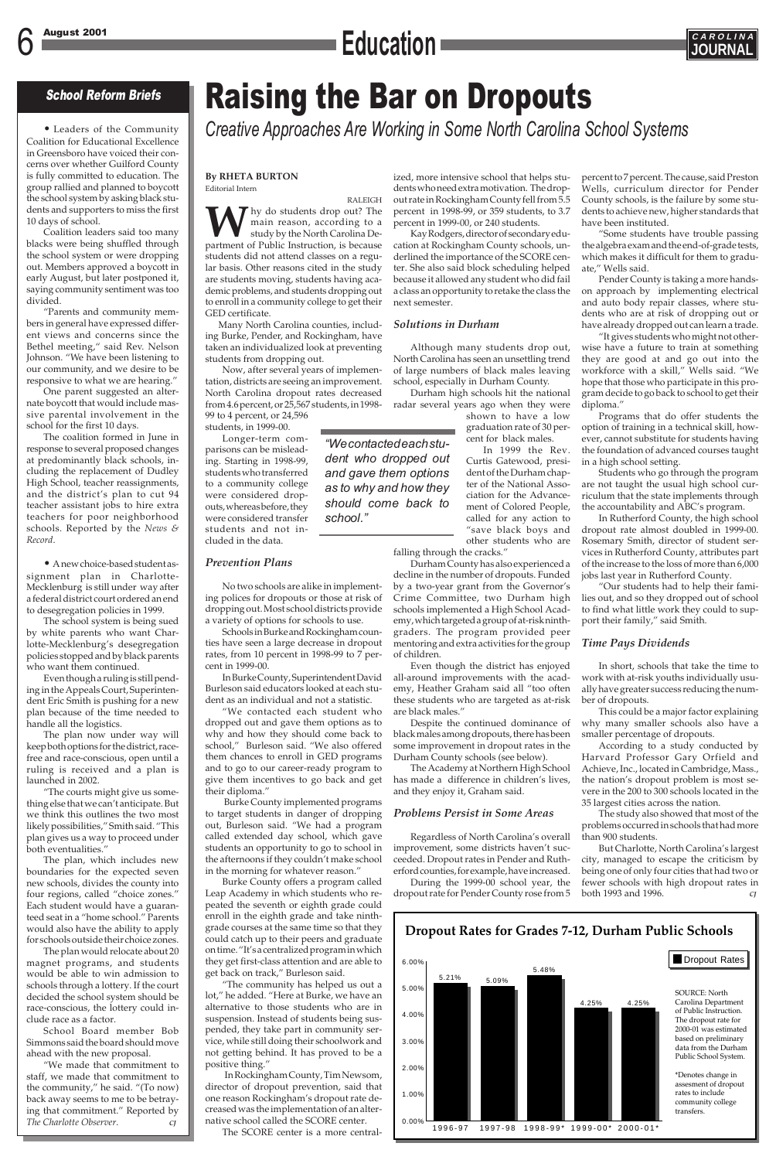### 6 August 2001 **CAROLINA Education J GAROLINAL**



## Raising the Bar on Dropouts

*Creative Approaches Are Working in Some North Carolina School Systems*

### School Reform Briefs

#### **By RHETA BURTON** Editorial Intern

RALEIGH W hy do students drop out? The main reason, according to a study by the North Carolina Department of Public Instruction, is because main reason, according to a study by the North Carolina Destudents did not attend classes on a regular basis. Other reasons cited in the study are students moving, students having academic problems, and students dropping out to enroll in a community college to get their GED certificate.

Many North Carolina counties, including Burke, Pender, and Rockingham, have taken an individualized look at preventing students from dropping out.

Now, after several years of implementation, districts are seeing an improvement. North Carolina dropout rates decreased from 4.6 percent, or 25,567 students, in 1998- 99 to 4 percent, or 24,596

students, in 1999-00. Longer-term comparisons can be misleading. Starting in 1998-99, students who transferred to a community college were considered dropouts, whereas before, they were considered transfer students and not included in the data.

### *Prevention Plans*

No two schools are alike in implementing polices for dropouts or those at risk of dropping out. Most school districts provide a variety of options for schools to use.

Schools in Burke and Rockingham counties have seen a large decrease in dropout rates, from 10 percent in 1998-99 to 7 percent in 1999-00.

In Burke County, Superintendent David Burleson said educators looked at each student as an individual and not a statistic.

"We contacted each student who dropped out and gave them options as to why and how they should come back to school," Burleson said. "We also offered them chances to enroll in GED programs and to go to our career-ready program to give them incentives to go back and get their diploma."

Burke County implemented programs to target students in danger of dropping out, Burleson said. "We had a program called extended day school, which gave students an opportunity to go to school in the afternoons if they couldn't make school in the morning for whatever reason." Burke County offers a program called Leap Academy in which students who repeated the seventh or eighth grade could enroll in the eighth grade and take ninthgrade courses at the same time so that they could catch up to their peers and graduate on time. "It's a centralized program in which they get first-class attention and are able to get back on track," Burleson said. "The community has helped us out a lot," he added. "Here at Burke, we have an alternative to those students who are in suspension. Instead of students being suspended, they take part in community service, while still doing their schoolwork and not getting behind. It has proved to be a positive thing." In Rockingham County, Tim Newsom, director of dropout prevention, said that one reason Rockingham's dropout rate decreased was the implementation of an alternative school called the SCORE center.

The SCORE center is a more central-

ized, more intensive school that helps students who need extra motivation. The dropout rate in Rockingham County fell from 5.5 percent in 1998-99, or 359 students, to 3.7 percent in 1999-00, or 240 students.

Kay Rodgers, director of secondary education at Rockingham County schools, underlined the importance of the SCORE center. She also said block scheduling helped because it allowed any student who did fail a class an opportunity to retake the class the next semester.

### *Solutions in Durham*

Although many students drop out, North Carolina has seen an unsettling trend of large numbers of black males leaving school, especially in Durham County.

Durham high schools hit the national radar several years ago when they were

> shown to have a low graduation rate of 30 percent for black males.

> In 1999 the Rev. Curtis Gatewood, president of the Durham chapter of the National Association for the Advancement of Colored People, called for any action to "save black boys and other students who are

falling through the cracks."

Durham County has also experienced a decline in the number of dropouts. Funded by a two-year grant from the Governor's Crime Committee, two Durham high schools implemented a High School Academy, which targeted a group of at-risk ninthgraders. The program provided peer mentoring and extra activities for the group of children.

Even though the district has enjoyed all-around improvements with the academy, Heather Graham said all "too often these students who are targeted as at-risk are black males."

Despite the continued dominance of black males among dropouts, there has been some improvement in dropout rates in the Durham County schools (see below).

The Academy at Northern High School has made a difference in children's lives, and they enjoy it, Graham said.

### *Problems Persist in Some Areas*

Regardless of North Carolina's overall improvement, some districts haven't suc-

ceeded. Dropout rates in Pender and Rutherford counties, for example, have increased.

During the 1999-00 school year, the dropout rate for Pender County rose from 5 percent to 7 percent. The cause, said Preston Wells, curriculum director for Pender County schools, is the failure by some students to achieve new, higher standards that have been instituted.

"Some students have trouble passing the algebra exam and the end-of-grade tests, which makes it difficult for them to graduate," Wells said.

Pender County is taking a more handson approach by implementing electrical and auto body repair classes, where students who are at risk of dropping out or have already dropped out can learn a trade.

"It gives students who might not otherwise have a future to train at something they are good at and go out into the workforce with a skill," Wells said. "We hope that those who participate in this program decide to go back to school to get their diploma."

Programs that do offer students the option of training in a technical skill, however, cannot substitute for students having the foundation of advanced courses taught in a high school setting.

Students who go through the program are not taught the usual high school curriculum that the state implements through the accountability and ABC's program.

In Rutherford County, the high school dropout rate almost doubled in 1999-00. Rosemary Smith, director of student services in Rutherford County, attributes part of the increase to the loss of more than 6,000 jobs last year in Rutherford County.

"Our students had to help their families out, and so they dropped out of school to find what little work they could to support their family," said Smith.

### *Time Pays Dividends*

In short, schools that take the time to work with at-risk youths individually usually have greater success reducing the number of dropouts.

This could be a major factor explaining why many smaller schools also have a smaller percentage of dropouts.

According to a study conducted by Harvard Professor Gary Orfield and Achieve, Inc., located in Cambridge, Mass., the nation's dropout problem is most severe in the 200 to 300 schools located in the 35 largest cities across the nation.

The study also showed that most of the problems occurred in schools that had more than 900 students.

But Charlotte, North Carolina's largest

city, managed to escape the criticism by being one of only four cities that had two or fewer schools with high dropout rates in both 1993 and 1996. *CJ*

*"We contacted each student who dropped out and gave them options as to why and how they should come back to*

*school."*

• Leaders of the Community Coalition for Educational Excellence in Greensboro have voiced their concerns over whether Guilford County is fully committed to education. The group rallied and planned to boycott the school system by asking black students and supporters to miss the first 10 days of school.

Coalition leaders said too many blacks were being shuffled through the school system or were dropping out. Members approved a boycott in early August, but later postponed it, saying community sentiment was too divided.

"Parents and community members in general have expressed different views and concerns since the Bethel meeting," said Rev. Nelson Johnson. "We have been listening to our community, and we desire to be responsive to what we are hearing."

One parent suggested an alternate boycott that would include massive parental involvement in the school for the first 10 days.

The coalition formed in June in response to several proposed changes at predominantly black schools, including the replacement of Dudley High School, teacher reassignments, and the district's plan to cut 94 teacher assistant jobs to hire extra teachers for poor neighborhood schools. Reported by the *News & Record*.

• A new choice-based student assignment plan in Charlotte-Mecklenburg is still under way after a federal district court ordered an end to desegregation policies in 1999.

The school system is being sued by white parents who want Charlotte-Mecklenburg's desegregation policies stopped and by black parents who want them continued.

Even though a ruling is still pending in the Appeals Court, Superintendent Eric Smith is pushing for a new plan because of the time needed to handle all the logistics.

The plan now under way will keep both options for the district, racefree and race-conscious, open until a ruling is received and a plan is launched in 2002.

"The courts might give us something else that we can't anticipate. But we think this outlines the two most likely possibilities," Smith said. "This plan gives us a way to proceed under both eventualities."

The plan, which includes new boundaries for the expected seven new schools, divides the county into four regions, called "choice zones." Each student would have a guaranteed seat in a "home school." Parents would also have the ability to apply for schools outside their choice zones.

The plan would relocate about 20 magnet programs, and students would be able to win admission to schools through a lottery. If the court decided the school system should be race-conscious, the lottery could include race as a factor.

School Board member Bob Simmons said the board should move ahead with the new proposal.

"We made that commitment to staff, we made that commitment to the community," he said. "(To now) back away seems to me to be betraying that commitment." Reported by *The Charlotte Observer*. *CJ*

### **Dropout Rates for Grades 7-12, Durham Public Schools**

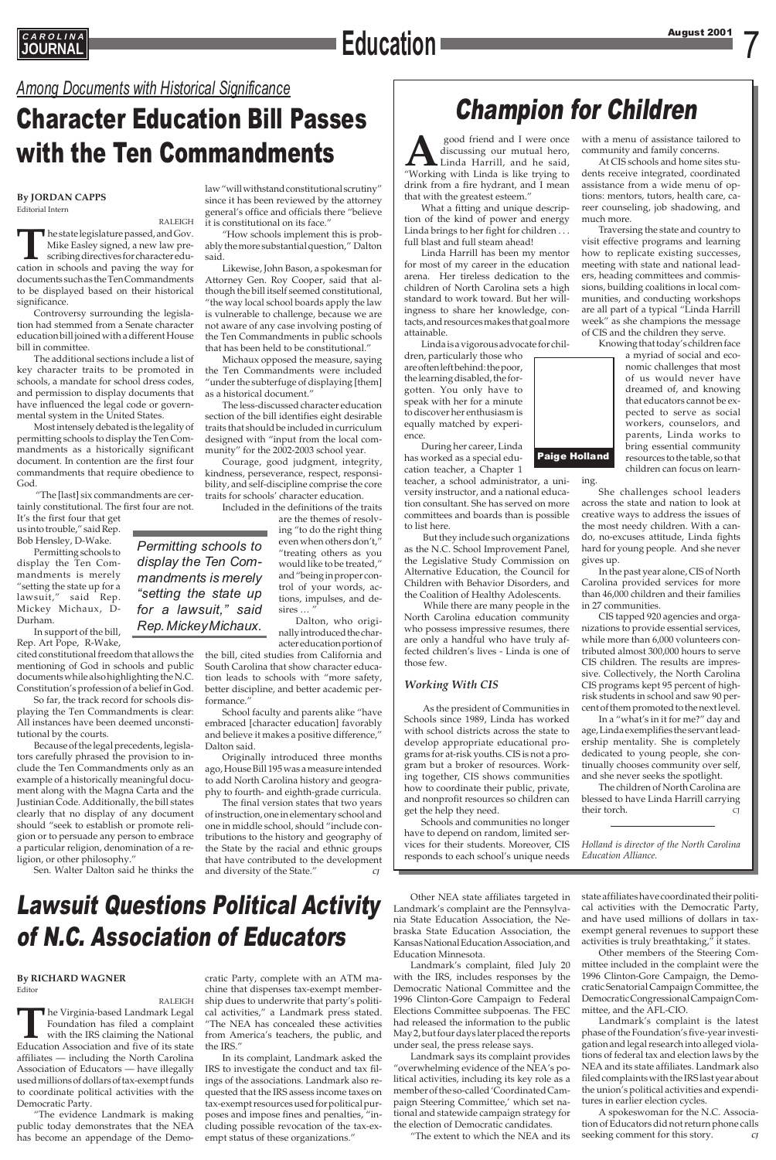### CAROLINA August 2001 **CAROLINA JOURNAL Education**

### Among Documents with Historical Significance<br>Character Education Bill Passes **Champion for Children** Character Education Bill Passes with the Ten Commandments

Paige Holland

good friend and I were once<br>discussing our mutual hero,<br>"Working with Linda is like trying to discussing our mutual hero, Linda Harrill, and he said, drink from a fire hydrant, and I mean that with the greatest esteem."

What a fitting and unique description of the kind of power and energy Linda brings to her fight for children ... full blast and full steam ahead!

Linda Harrill has been my mentor for most of my career in the education arena. Her tireless dedication to the children of North Carolina sets a high standard to work toward. But her willingness to share her knowledge, contacts, and resources makes that goal more attainable.

Linda is a vigorous advocate for chil-

dren, particularly those who are often left behind: the poor, the learning disabled, the forgotten. You only have to speak with her for a minute to discover her enthusiasm is equally matched by experience.

During her career, Linda has worked as a special education teacher, a Chapter 1

teacher, a school administrator, a university instructor, and a national education consultant. She has served on more committees and boards than is possible to list here.

But they include such organizations as the N.C. School Improvement Panel, the Legislative Study Commission on Alternative Education, the Council for Children with Behavior Disorders, and the Coalition of Healthy Adolescents.

While there are many people in the North Carolina education community who possess impressive resumes, there are only a handful who have truly affected children's lives - Linda is one of those few.

### *Working With CIS*

As the president of Communities in Schools since 1989, Linda has worked with school districts across the state to develop appropriate educational programs for at-risk youths. CIS is not a program but a broker of resources. Working together, CIS shows communities how to coordinate their public, private, and nonprofit resources so children can get the help they need.

ligion, or other philosophy." Sen. Walter Dalton said he thinks the that have contributed to the development and diversity of the State."

Schools and communities no longer have to depend on random, limited services for their students. Moreover, CIS

### **By JORDAN CAPPS** Editorial Intern

RALEIGH **The state legislature passed, and Gov.**<br>
Mike Easley signed, a new law pre-<br>
scribing directives for characteredu-<br>
cation in schools and paving the way for Mike Easley signed, a new law prescribing directives for character edudocuments such as the Ten Commandments to be displayed based on their historical significance.

Controversy surrounding the legislation had stemmed from a Senate character education bill joined with a different House bill in committee.

> are the themes of resolving "to do the right thing even when others don't," "treating others as you would like to be treated," and "being in proper control of your words, actions, impulses, and desires ...'

The additional sections include a list of key character traits to be promoted in schools, a mandate for school dress codes, and permission to display documents that have influenced the legal code or governmental system in the United States.

Most intensely debated is the legality of permitting schools to display the Ten Commandments as a historically significant document. In contention are the first four commandments that require obedience to God.

"The [last] six commandments are certainly constitutional. The first four are not.

It's the first four that get us into trouble," said Rep. Bob Hensley, D-Wake.

Permitting schools to display the Ten Commandments is merely "setting the state up for a lawsuit," said Rep. Mickey Michaux, D-Durham.

In support of the bill, Rep. Art Pope, R-Wake,

cited constitutional freedom that allows the mentioning of God in schools and public documents while also highlighting the N.C. Constitution's profession of a belief in God.

So far, the track record for schools displaying the Ten Commandments is clear: All instances have been deemed unconstitutional by the courts.

Because of the legal precedents, legislators carefully phrased the provision to include the Ten Commandments only as an example of a historically meaningful document along with the Magna Carta and the Justinian Code. Additionally, the bill states clearly that no display of any document should "seek to establish or promote religion or to persuade any person to embrace a particular religion, denomination of a re-

The children of North Carolina are blessed to have Linda Harrill carrying their torch. CJ

law "will withstand constitutional scrutiny" since it has been reviewed by the attorney general's office and officials there "believe it is constitutional on its face."

"How schools implement this is probably the more substantial question," Dalton said.

Likewise, John Bason, a spokesman for Attorney Gen. Roy Cooper, said that although the bill itself seemed constitutional, "the way local school boards apply the law is vulnerable to challenge, because we are not aware of any case involving posting of the Ten Commandments in public schools that has been held to be constitutional."

Michaux opposed the measure, saying the Ten Commandments were included "under the subterfuge of displaying [them] as a historical document."

The less-discussed character education section of the bill identifies eight desirable traits that should be included in curriculum designed with "input from the local community" for the 2002-2003 school year.

Courage, good judgment, integrity, kindness, perseverance, respect, responsibility, and self-discipline comprise the core traits for schools' character education.

Included in the definitions of the traits

responds to each school's unique needs *Education Alliance.*

Dalton, who originally introduced the char-

acter education portion of the bill, cited studies from California and South Carolina that show character education leads to schools with "more safety, better discipline, and better academic performance."

School faculty and parents alike "have embraced [character education] favorably and believe it makes a positive difference," Dalton said.

Originally introduced three months ago, House Bill 195 was a measure intended to add North Carolina history and geography to fourth- and eighth-grade curricula.

The final version states that two years of instruction, one in elementary school and one in middle school, should "include contributions to the history and geography of the State by the racial and ethnic groups

*Permitting schools to display the Ten Commandments is merely "setting the state up for a lawsuit," said Rep. Mickey Michaux.*

with a menu of assistance tailored to community and family concerns.

At CIS schools and home sites students receive integrated, coordinated assistance from a wide menu of options: mentors, tutors, health care, career counseling, job shadowing, and much more.

Traversing the state and country to visit effective programs and learning how to replicate existing successes, meeting with state and national leaders, heading committees and commissions, building coalitions in local communities, and conducting workshops are all part of a typical "Linda Harrill week" as she champions the message of CIS and the children they serve.

Knowing that today's children face

a myriad of social and economic challenges that most of us would never have dreamed of, and knowing that educators cannot be expected to serve as social workers, counselors, and parents, Linda works to bring essential community resources to the table, so that children can focus on learn-

ing.

She challenges school leaders across the state and nation to look at creative ways to address the issues of the most needy children. With a cando, no-excuses attitude, Linda fights hard for young people. And she never gives up.

In the past year alone, CIS of North Carolina provided services for more than 46,000 children and their families in 27 communities.

CIS tapped 920 agencies and organizations to provide essential services, while more than 6,000 volunteers contributed almost 300,000 hours to serve CIS children. The results are impressive. Collectively, the North Carolina CIS programs kept 95 percent of highrisk students in school and saw 90 percent of them promoted to the next level.

In a "what's in it for me?" day and age, Linda exemplifies the servant leadership mentality. She is completely dedicated to young people, she continually chooses community over self, and she never seeks the spotlight.

*Holland is director of the North Carolina*

### Lawsuit Questions Political Activity of N.C. Association of Educators

### **By RICHARD WAGNER**

Editor

RALEIGH **T**he Virginia-based Landmark Legal Foundation has filed a complaint with the IRS claiming the National Education Association and five of its state affiliates — including the North Carolina Association of Educators — have illegally used millions of dollars of tax-exempt funds to coordinate political activities with the Democratic Party.

"The evidence Landmark is making public today demonstrates that the NEA has become an appendage of the Democratic Party, complete with an ATM machine that dispenses tax-exempt membership dues to underwrite that party's political activities," a Landmark press stated. "The NEA has concealed these activities from America's teachers, the public, and the IRS."

In its complaint, Landmark asked the IRS to investigate the conduct and tax filings of the associations. Landmark also requested that the IRS assess income taxes on tax-exempt resources used for political purposes and impose fines and penalties, "including possible revocation of the tax-exempt status of these organizations."

Other NEA state affiliates targeted in Landmark's complaint are the Pennsylvania State Education Association, the Nebraska State Education Association, the Kansas National Education Association, and Education Minnesota.

Landmark's complaint, filed July 20 with the IRS, includes responses by the Democratic National Committee and the 1996 Clinton-Gore Campaign to Federal Elections Committee subpoenas. The FEC had released the information to the public May 2, but four days later placed the reports under seal, the press release says.

Landmark says its complaint provides "overwhelming evidence of the NEA's political activities, including its key role as a member of the so-called 'Coordinated Campaign Steering Committee,' which set national and statewide campaign strategy for the election of Democratic candidates.

"The extent to which the NEA and its

state affiliates have coordinated their political activities with the Democratic Party, and have used millions of dollars in taxexempt general revenues to support these activities is truly breathtaking," it states.

Other members of the Steering Committee included in the complaint were the 1996 Clinton-Gore Campaign, the Democratic Senatorial Campaign Committee, the Democratic Congressional Campaign Committee, and the AFL-CIO.

Landmark's complaint is the latest phase of the Foundation's five-year investigation and legal research into alleged violations of federal tax and election laws by the NEA and its state affiliates. Landmark also filed complaints with the IRS last year about the union's political activities and expenditures in earlier election cycles.

A spokeswoman for the N.C. Association of Educators did not return phone calls seeking comment for this story. *CJ*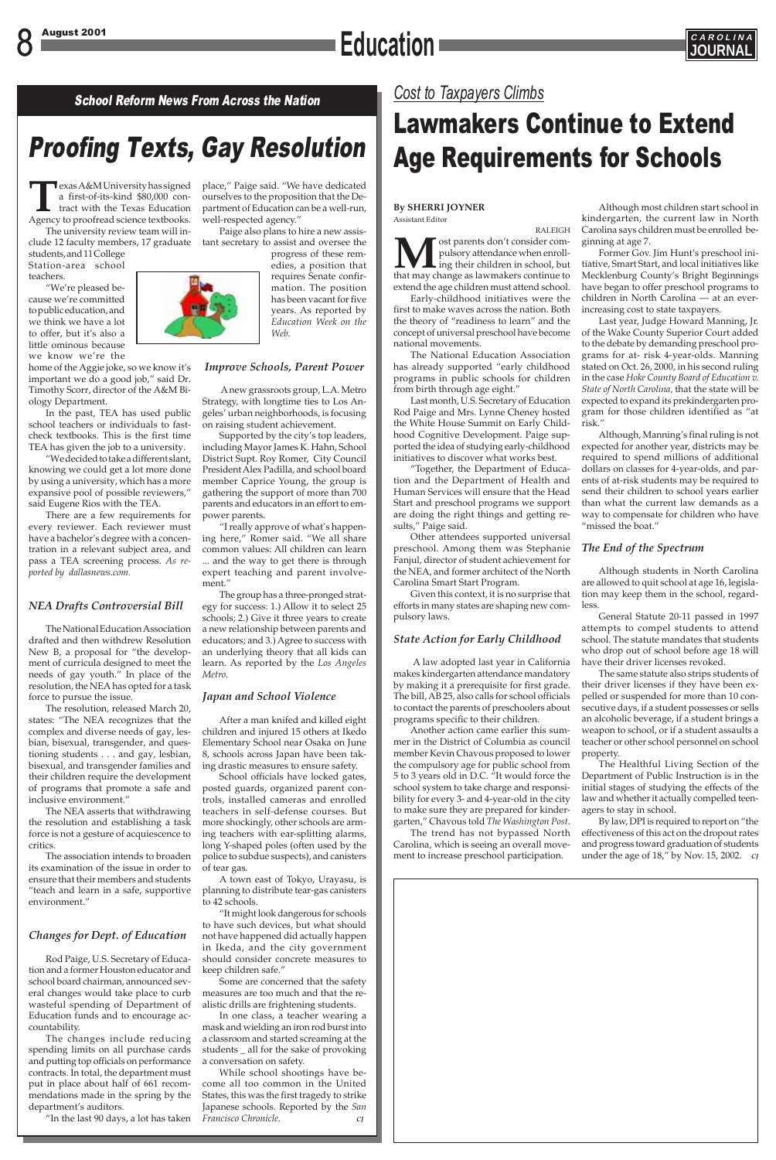### 8 August 2001 **CAROLINA Education J** *CAROLINAL*



### Proofing Texts, Gay Resolution

School Reform News From Across the Nation *Cost to Taxpayers Climbs*

## Lawmakers Continue to Extend Age Requirements for Schools

**T**exas A&M University has signed a first-of-its-kind \$80,000 contract with the Texas Education Agency to proofread science textbooks.

The university review team will in-

students, and 11 College Station-area school teachers.

"We're pleased because we're committed to public education, and we think we have a lot to offer, but it's also a little ominous because we know we're the

home of the Aggie joke, so we know it's important we do a good job," said Dr. Timothy Scorr, director of the A&M Biology Department.

In the past, TEA has used public school teachers or individuals to fastcheck textbooks. This is the first time TEA has given the job to a university.

"We decided to take a different slant, knowing we could get a lot more done by using a university, which has a more expansive pool of possible reviewers," said Eugene Rios with the TEA.

There are a few requirements for every reviewer. Each reviewer must have a bachelor's degree with a concentration in a relevant subject area, and pass a TEA screening process. *As reported by dallasnews.com.*

### *NEA Drafts Controversial Bill*

The National Education Association drafted and then withdrew Resolution New B, a proposal for "the development of curricula designed to meet the needs of gay youth." In place of the resolution, the NEA has opted for a task force to pursue the issue.

clude 12 faculty members, 17 graduate —tant secretary to assist and oversee the Paige also plans to hire a new assis-

The resolution, released March 20, states: "The NEA recognizes that the complex and diverse needs of gay, lesbian, bisexual, transgender, and questioning students . . . and gay, lesbian, bisexual, and transgender families and their children require the development of programs that promote a safe and inclusive environment."

The NEA asserts that withdrawing the resolution and establishing a task force is not a gesture of acquiescence to critics.

The association intends to broaden its examination of the issue in order to ensure that their members and students "teach and learn in a safe, supportive environment."

*Changes for Dept. of Education*

Rod Paige, U.S. Secretary of Education and a former Houston educator and school board chairman, announced several changes would take place to curb wasteful spending of Department of Education funds and to encourage accountability.

The changes include reducing spending limits on all purchase cards and putting top officials on performance contracts. In total, the department must put in place about half of 661 recommendations made in the spring by the department's auditors.

place," Paige said. "We have dedicated ourselves to the proposition that the Department of Education can be a well-run, well-respected agency."

> progress of these remedies, a position that requires Senate confirmation. The position has been vacant for five years. As reported by *Education Week on the Web*.

### *Improve Schools, Parent Power*

A new grassroots group, L.A. Metro Strategy, with longtime ties to Los Angeles' urban neighborhoods, is focusing on raising student achievement.

Supported by the city's top leaders, including Mayor James K. Hahn, School District Supt. Roy Romer, City Council President Alex Padilla, and school board member Caprice Young, the group is gathering the support of more than 700 parents and educators in an effort to empower parents.

"I really approve of what's happening here," Romer said. "We all share common values: All children can learn ... and the way to get there is through expert teaching and parent involvement."

The group has a three-pronged strategy for success: 1.) Allow it to select 25 schools; 2.) Give it three years to create a new relationship between parents and educators; and 3.) Agree to success with an underlying theory that all kids can learn. As reported by the *Los Angeles Metro*.

"In the last 90 days, a lot has taken *Francisco Chronicle. CJ*

### *Japan and School Violence*

Although, Manning's final ruling is not expected for another year, districts may be required to spend millions of additional dollars on classes for 4-year-olds, and parents of at-risk students may be required to send their children to school years earlier than what the current law demands as a way to compensate for children who have "missed the boat."

After a man knifed and killed eight children and injured 15 others at Ikedo Elementary School near Osaka on June 8, schools across Japan have been taking drastic measures to ensure safety.

School officials have locked gates, posted guards, organized parent controls, installed cameras and enrolled teachers in self-defense courses. But more shockingly, other schools are arming teachers with ear-splitting alarms, long Y-shaped poles (often used by the

police to subdue suspects), and canisters of tear gas.

A town east of Tokyo, Urayasu, is planning to distribute tear-gas canisters to 42 schools.

"It might look dangerous for schools to have such devices, but what should not have happened did actually happen in Ikeda, and the city government should consider concrete measures to keep children safe."

Some are concerned that the safety measures are too much and that the realistic drills are frightening students.

In one class, a teacher wearing a mask and wielding an iron rod burst into a classroom and started screaming at the students \_ all for the sake of provoking a conversation on safety.

While school shootings have become all too common in the United States, this was the first tragedy to strike Japanese schools. Reported by the *San*

**By SHERRI JOYNER** Assistant Editor

RALEIGH **M** ost parents don't consider com-<br>pulsory attendance when enroll-<br>that may change as lawmakers continue to pulsory attendance when enroll-**L** ing their children in school, but extend the age children must attend school.

Early-childhood initiatives were the first to make waves across the nation. Both the theory of "readiness to learn" and the concept of universal preschool have become national movements.

The National Education Association has already supported "early childhood programs in public schools for children from birth through age eight."

Last month, U.S. Secretary of Education Rod Paige and Mrs. Lynne Cheney hosted the White House Summit on Early Childhood Cognitive Development. Paige supported the idea of studying early-childhood initiatives to discover what works best.

"Together, the Department of Education and the Department of Health and Human Services will ensure that the Head Start and preschool programs we support are doing the right things and getting results," Paige said.

Other attendees supported universal preschool. Among them was Stephanie Fanjul, director of student achievement for the NEA, and former architect of the North Carolina Smart Start Program.

Given this context, it is no surprise that efforts in many states are shaping new compulsory laws.

### *State Action for Early Childhood*

A law adopted last year in California makes kindergarten attendance mandatory by making it a prerequisite for first grade. The bill, AB 25, also calls for school officials to contact the parents of preschoolers about programs specific to their children.

Another action came earlier this summer in the District of Columbia as council member Kevin Chavous proposed to lower the compulsory age for public school from 5 to 3 years old in D.C. "It would force the school system to take charge and responsibility for every 3- and 4-year-old in the city to make sure they are prepared for kindergarten," Chavous told *The Washington Post*.

The trend has not bypassed North Carolina, which is seeing an overall move-

Although most children start school in kindergarten, the current law in North Carolina says children must be enrolled beginning at age 7.

Former Gov. Jim Hunt's preschool initiative, Smart Start, and local initiatives like Mecklenburg County's Bright Beginnings have began to offer preschool programs to children in North Carolina — at an everincreasing cost to state taxpayers.

Last year, Judge Howard Manning, Jr. of the Wake County Superior Court added to the debate by demanding preschool programs for at- risk 4-year-olds. Manning stated on Oct. 26, 2000, in his second ruling in the case *Hoke County Board of Education v. State of North Carolina,* that the state will be expected to expand its prekindergarten program for those children identified as "at risk."

ment to increase preschool participation. under the age of 18," by Nov. 15, 2002. *CJ*

### *The End of the Spectrum*

Although students in North Carolina are allowed to quit school at age 16, legislation may keep them in the school, regardless.

General Statute 20-11 passed in 1997 attempts to compel students to attend school. The statute mandates that students who drop out of school before age 18 will have their driver licenses revoked.

The same statute also strips students of their driver licenses if they have been expelled or suspended for more than 10 consecutive days, if a student possesses or sells an alcoholic beverage, if a student brings a weapon to school, or if a student assaults a teacher or other school personnel on school property.

The Healthful Living Section of the Department of Public Instruction is in the initial stages of studying the effects of the law and whether it actually compelled teenagers to stay in school.

By law, DPI is required to report on "the effectiveness of this act on the dropout rates and progress toward graduation of students





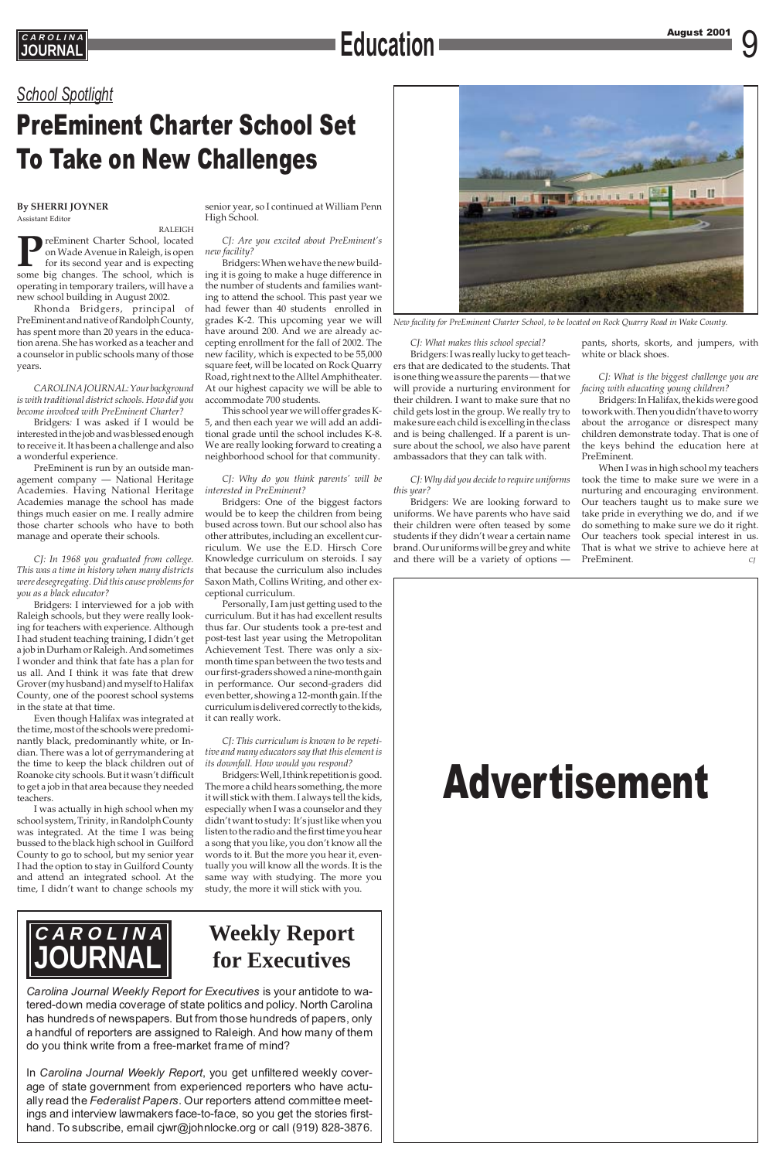### Education **Exercise August 2001** 9 **JOURNAL Education**



### *School Spotlight*

## PreEminent Charter School Set To Take on New Challenges



*New facility for PreEminent Charter School, to be located on Rock Quarry Road in Wake County.*

#### **By SHERRI JOYNER** Assistant Editor

RALEIGH **P**reEminent Charter School, located on Wade Avenue in Raleigh, is open for its second year and is expecting some big changes. The school, which is operating in temporary trailers, will have a new school building in August 2002.

Rhonda Bridgers, principal of PreEminent and native of Randolph County, has spent more than 20 years in the education arena. She has worked as a teacher and a counselor in public schools many of those years.

*CAROLINA JOURNAL: Your background is with traditional district schools. How did you become involved with PreEminent Charter?*

Bridgers*:* I was asked if I would be interested in the job and was blessed enough to receive it. It has been a challenge and also a wonderful experience.

PreEminent is run by an outside management company — National Heritage Academies. Having National Heritage Academies manage the school has made things much easier on me. I really admire those charter schools who have to both manage and operate their schools.

*CJ: In 1968 you graduated from college. This was a time in history when many districts were desegregating. Did this cause problems for you as a black educator?*

Bridgers: I interviewed for a job with Raleigh schools, but they were really looking for teachers with experience. Although I had student teaching training, I didn't get a job in Durham or Raleigh. And sometimes I wonder and think that fate has a plan for us all. And I think it was fate that drew Grover (my husband) and myself to Halifax County, one of the poorest school systems in the state at that time.

Even though Halifax was integrated at the time, most of the schools were predominantly black, predominantly white, or Indian. There was a lot of gerrymandering at the time to keep the black children out of Roanoke city schools. But it wasn't difficult to get a job in that area because they needed teachers.

I was actually in high school when my school system, Trinity, in Randolph County was integrated. At the time I was being bussed to the black high school in Guilford County to go to school, but my senior year I had the option to stay in Guilford County and attend an integrated school. At the time, I didn't want to change schools my

senior year, so I continued at William Penn High School.

*CJ: Are you excited about PreEminent's new facility?*

Bridgers: When we have the new building it is going to make a huge difference in the number of students and families wanting to attend the school. This past year we had fewer than 40 students enrolled in grades K-2. This upcoming year we will have around 200. And we are already accepting enrollment for the fall of 2002. The new facility, which is expected to be 55,000 square feet, will be located on Rock Quarry Road, right next to the Alltel Amphitheater. At our highest capacity we will be able to accommodate 700 students.

> When I was in high school my teachers took the time to make sure we were in a nurturing and encouraging environment. Our teachers taught us to make sure we take pride in everything we do, and if we do something to make sure we do it right. Our teachers took special interest in us. That is what we strive to achieve here at PreEminent.

This school year we will offer grades K-5, and then each year we will add an additional grade until the school includes K-8. We are really looking forward to creating a neighborhood school for that community.

#### *CJ: Why do you think parents' will be interested in PreEminent?*

Bridgers: One of the biggest factors would be to keep the children from being bused across town. But our school also has other attributes, including an excellent curriculum. We use the E.D. Hirsch Core Knowledge curriculum on steroids. I say that because the curriculum also includes Saxon Math, Collins Writing, and other exceptional curriculum.

Personally, I am just getting used to the curriculum. But it has had excellent results thus far. Our students took a pre-test and post-test last year using the Metropolitan Achievement Test. There was only a sixmonth time span between the two tests and our first-graders showed a nine-month gain in performance. Our second-graders did even better, showing a 12-month gain. If the curriculum is delivered correctly to the kids, it can really work.

*CJ: This curriculum is known to be repetitive and many educators say that this element is its downfall. How would you respond?*

Bridgers: Well, I think repetition is good. The more a child hears something, the more it will stick with them. I always tell the kids, especially when I was a counselor and they didn't want to study: It's just like when you listen to the radio and the first time you hear a song that you like, you don't know all the words to it. But the more you hear it, eventually you will know all the words. It is the same way with studying. The more you study, the more it will stick with you.

*CJ: What makes this school special?* Bridgers: I was really lucky to get teach-

ers that are dedicated to the students. That is one thing we assure the parents — that we will provide a nurturing environment for their children. I want to make sure that no child gets lost in the group. We really try to make sure each child is excelling in the class and is being challenged. If a parent is unsure about the school, we also have parent ambassadors that they can talk with.

#### *CJ: Why did you decide to require uniforms this year?*

Bridgers: We are looking forward to uniforms. We have parents who have said their children were often teased by some students if they didn't wear a certain name brand. Our uniforms will be grey and white and there will be a variety of options — pants, shorts, skorts, and jumpers, with white or black shoes.

*CJ: What is the biggest challenge you are facing with educating young children?*

Bridgers: In Halifax, the kids were good to work with. Then you didn't have to worry about the arrogance or disrespect many children demonstrate today. That is one of the keys behind the education here at PreEminent.



*Carolina Journal Weekly Report for Executives* is your antidote to watered-down media coverage of state politics and policy. North Carolina has hundreds of newspapers. But from those hundreds of papers, only a handful of reporters are assigned to Raleigh. And how many of them do you think write from a free-market frame of mind?

In *Carolina Journal Weekly Report*, you get unfiltered weekly coverage of state government from experienced reporters who have actually read the *Federalist Papers*. Our reporters attend committee meetings and interview lawmakers face-to-face, so you get the stories firsthand. To subscribe, email cjwr@johnlocke.org or call (919) 828-3876.

### **Weekly Report for Executives**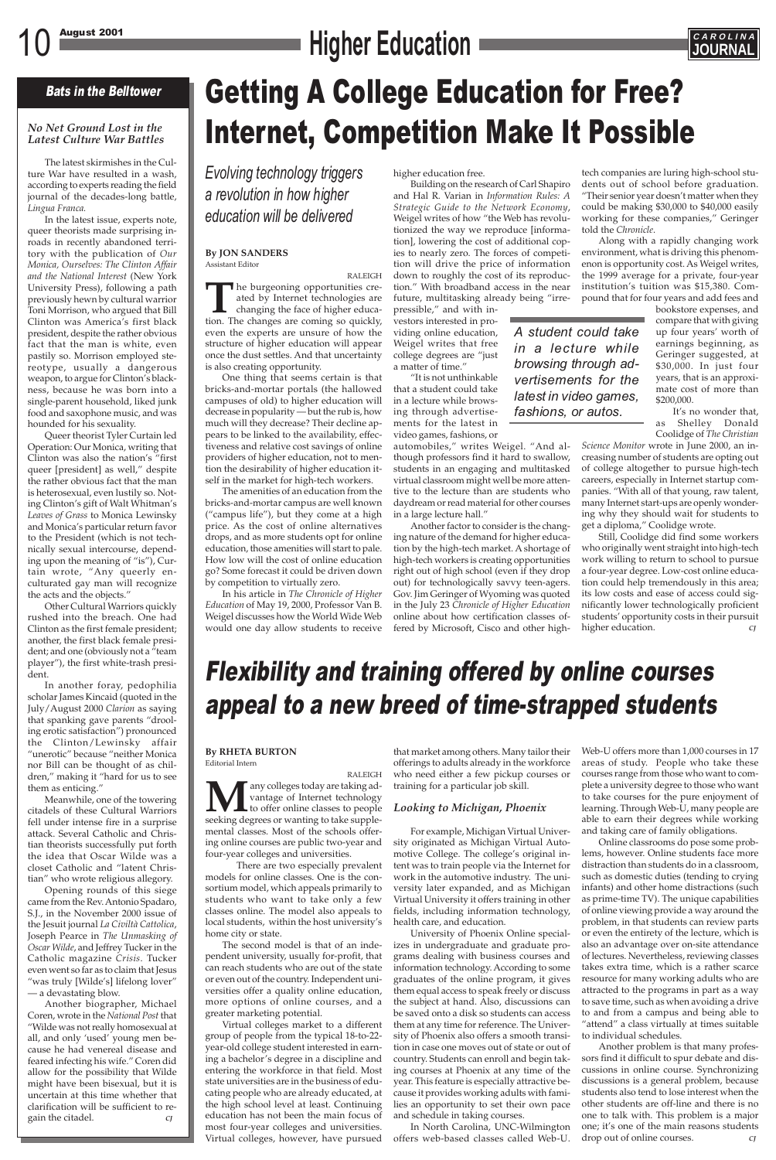# 10 August 2001 **CAROLINA**



### Bats in the Belltower

### *No Net Ground Lost in the Latest Culture War Battles*

The latest skirmishes in the Culture War have resulted in a wash, according to experts reading the field journal of the decades-long battle, *Lingua Franca.*

In the latest issue, experts note, queer theorists made surprising inroads in recently abandoned territory with the publication of *Our Monica, Ourselves: The Clinton Affair and the National Interest* (New York University Press), following a path previously hewn by cultural warrior Toni Morrison, who argued that Bill Clinton was America's first black president, despite the rather obvious fact that the man is white, even pastily so. Morrison employed stereotype, usually a dangerous weapon, to argue for Clinton's blackness, because he was born into a single-parent household, liked junk food and saxophone music, and was hounded for his sexuality.

Queer theorist Tyler Curtain led Operation: Our Monica, writing that Clinton was also the nation's "first queer [president] as well," despite the rather obvious fact that the man is heterosexual, even lustily so. Noting Clinton's gift of Walt Whitman's *Leaves of Grass* to Monica Lewinsky and Monica's particular return favor to the President (which is not technically sexual intercourse, depending upon the meaning of "is"), Curtain wrote, "Any queerly enculturated gay man will recognize the acts and the objects."

Other Cultural Warriors quickly rushed into the breach. One had Clinton as the first female president; another, the first black female president; and one (obviously not a "team player"), the first white-trash president.

In another foray, pedophilia scholar James Kincaid (quoted in the July/August 2000 *Clarion* as saying that spanking gave parents "drooling erotic satisfaction") pronounced the Clinton/Lewinsky affair "unerotic" because "neither Monica nor Bill can be thought of as children," making it "hard for us to see them as enticing."

Meanwhile, one of the towering citadels of these Cultural Warriors fell under intense fire in a surprise attack. Several Catholic and Christian theorists successfully put forth the idea that Oscar Wilde was a closet Catholic and "latent Christian" who wrote religious allegory. Opening rounds of this siege came from the Rev. Antonio Spadaro, S.J., in the November 2000 issue of the Jesuit journal *La Civiltà Cattolica*, Joseph Pearce in *The Unmasking of Oscar Wilde*, and Jeffrey Tucker in the Catholic magazine *Crisis*. Tucker even went so far as to claim that Jesus "was truly [Wilde's] lifelong lover" — a devastating blow. Another biographer, Michael Coren, wrote in the *National Post* that "Wilde was not really homosexual at all, and only 'used' young men because he had venereal disease and feared infecting his wife." Coren did allow for the possibility that Wilde might have been bisexual, but it is uncertain at this time whether that clarification will be sufficient to regain the citadel. *CJ*

## Getting A College Education for Free? Internet, Competition Make It Possible

#### **By JON SANDERS** Assistant Editor

RALEIGH **T**he burgeoning opportunities created by Internet technologies are changing the face of higher education. The changes are coming so quickly, even the experts are unsure of how the structure of higher education will appear once the dust settles. And that uncertainty is also creating opportunity.

One thing that seems certain is that bricks-and-mortar portals (the hallowed campuses of old) to higher education will decrease in popularity — but the rub is, how much will they decrease? Their decline appears to be linked to the availability, effectiveness and relative cost savings of online providers of higher education, not to mention the desirability of higher education itself in the market for high-tech workers.

The amenities of an education from the bricks-and-mortar campus are well known ("campus life"), but they come at a high price. As the cost of online alternatives drops, and as more students opt for online education, those amenities will start to pale. How low will the cost of online education go? Some forecast it could be driven down by competition to virtually zero.

In his article in *The Chronicle of Higher Education* of May 19, 2000, Professor Van B. Weigel discusses how the World Wide Web would one day allow students to receive higher education free.

Building on the research of Carl Shapiro and Hal R. Varian in *Information Rules: A Strategic Guide to the Network Economy*, Weigel writes of how "the Web has revolutionized the way we reproduce [information], lowering the cost of additional copies to nearly zero. The forces of competition will drive the price of information down to roughly the cost of its reproduction." With broadband access in the near future, multitasking already being "irre-

pressible," and with investors interested in providing online education, Weigel writes that free college degrees are "just a matter of time."

"It is not unthinkable that a student could take in a lecture while browsing through advertisements for the latest in video games, fashions, or

> Online classrooms do pose some problems, however. Online students face more distraction than students do in a classroom, such as domestic duties (tending to crying infants) and other home distractions (such as prime-time TV). The unique capabilities of online viewing provide a way around the problem, in that students can review parts or even the entirety of the lecture, which is also an advantage over on-site attendance of lectures. Nevertheless, reviewing classes takes extra time, which is a rather scarce resource for many working adults who are attracted to the programs in part as a way to save time, such as when avoiding a drive to and from a campus and being able to "attend" a class virtually at times suitable to individual schedules. Another problem is that many professors find it difficult to spur debate and discussions in online course. Synchronizing discussions is a general problem, because students also tend to lose interest when the other students are off-line and there is no one to talk with. This problem is a major one; it's one of the main reasons students drop out of online courses.

automobiles," writes Weigel. "And although professors find it hard to swallow, students in an engaging and multitasked virtual classroom might well be more attentive to the lecture than are students who daydream or read material for other courses in a large lecture hall."

Another factor to consider is the changing nature of the demand for higher education by the high-tech market. A shortage of high-tech workers is creating opportunities right out of high school (even if they drop out) for technologically savvy teen-agers. Gov. Jim Geringer of Wyoming was quoted in the July 23 *Chronicle of Higher Education* online about how certification classes offered by Microsoft, Cisco and other high-

tech companies are luring high-school students out of school before graduation. "Their senior year doesn't matter when they could be making \$30,000 to \$40,000 easily working for these companies," Geringer told the *Chronicle*.

Along with a rapidly changing work environment, what is driving this phenomenon is opportunity cost. As Weigel writes, the 1999 average for a private, four-year institution's tuition was \$15,380. Compound that for four years and add fees and

> bookstore expenses, and compare that with giving up four years' worth of earnings beginning, as Geringer suggested, at \$30,000. In just four years, that is an approximate cost of more than \$200,000.

> It's no wonder that, as Shelley Donald Coolidge of *The Christian*

*Science Monitor* wrote in June 2000, an increasing number of students are opting out of college altogether to pursue high-tech careers, especially in Internet startup companies. "With all of that young, raw talent, many Internet start-ups are openly wondering why they should wait for students to get a diploma," Coolidge wrote.

Still, Coolidge did find some workers who originally went straight into high-tech work willing to return to school to pursue a four-year degree. Low-cost online education could help tremendously in this area; its low costs and ease of access could significantly lower technologically proficient students' opportunity costs in their pursuit higher education. *CJ*

### **By RHETA BURTON** Editorial Intern

RALEIGH **M**any colleges today are taking advantage of Internet technology<br>to offer online classes to people<br>seeking degrees or wanting to take supplevantage of Internet technology to offer online classes to people seeking degrees or wanting to take supplemental classes. Most of the schools offering online courses are public two-year and four-year colleges and universities. There are two especially prevalent models for online classes. One is the consortium model, which appeals primarily to students who want to take only a few classes online. The model also appeals to local students, within the host university's home city or state. The second model is that of an independent university, usually for-profit, that can reach students who are out of the state or even out of the country. Independent universities offer a quality online education, more options of online courses, and a greater marketing potential. Virtual colleges market to a different group of people from the typical 18-to-22 year-old college student interested in earning a bachelor's degree in a discipline and entering the workforce in that field. Most state universities are in the business of educating people who are already educated, at the high school level at least. Continuing education has not been the main focus of most four-year colleges and universities. Virtual colleges, however, have pursued that market among others. Many tailor their offerings to adults already in the workforce who need either a few pickup courses or training for a particular job skill.

### *Looking to Michigan, Phoenix*

For example, Michigan Virtual University originated as Michigan Virtual Auto-

motive College. The college's original intent was to train people via the Internet for work in the automotive industry. The university later expanded, and as Michigan Virtual University it offers training in other fields, including information technology, health care, and education.

University of Phoenix Online specializes in undergraduate and graduate programs dealing with business courses and information technology. According to some graduates of the online program, it gives them equal access to speak freely or discuss the subject at hand. Also, discussions can be saved onto a disk so students can access them at any time for reference. The University of Phoenix also offers a smooth transition in case one moves out of state or out of country. Students can enroll and begin taking courses at Phoenix at any time of the year. This feature is especially attractive because it provides working adults with families an opportunity to set their own pace and schedule in taking courses.

In North Carolina, UNC-Wilmington offers web-based classes called Web-U.

### Flexibility and training offered by online courses appeal to a new breed of time-strapped students

*Evolving technology triggers a revolution in how higher education will be delivered*

> *A student could take in a lecture while browsing through advertisements for the latest in video games, fashions, or autos.*

> > Web-U offers more than 1,000 courses in 17 areas of study. People who take these courses range from those who want to complete a university degree to those who want to take courses for the pure enjoyment of learning. Through Web-U, many people are able to earn their degrees while working and taking care of family obligations.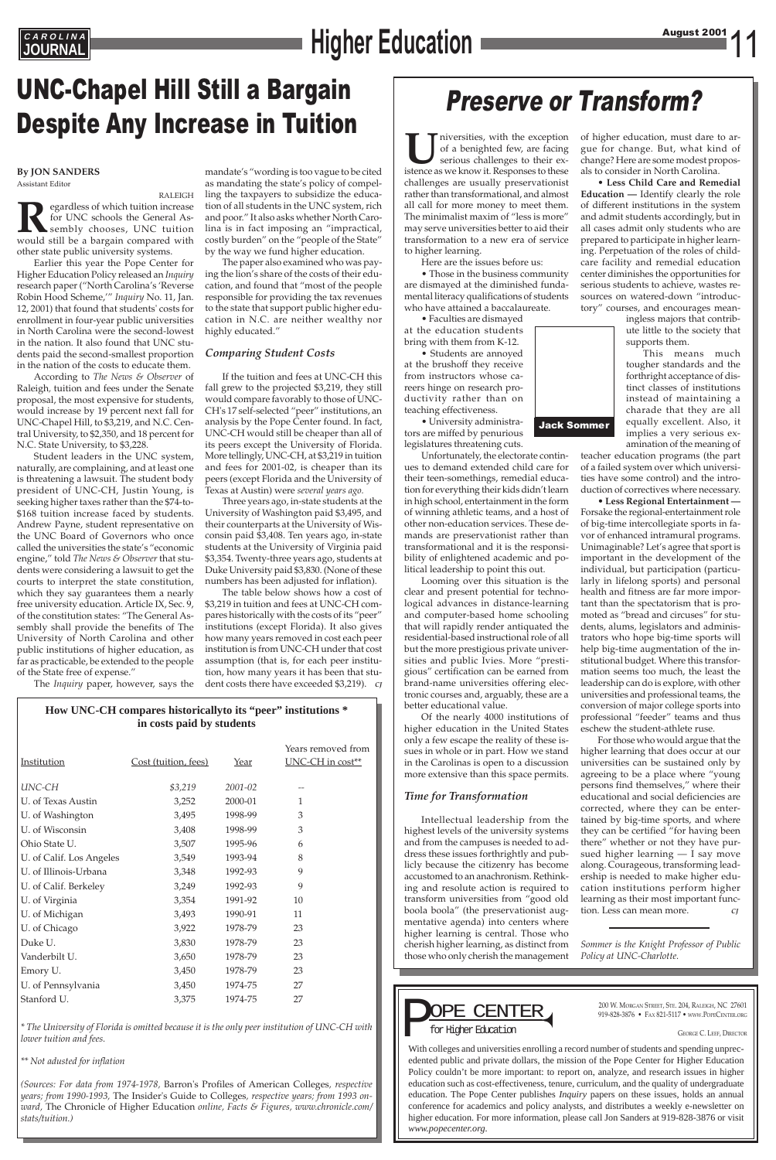# **EAROLINA**<br> **JOURNAL Example 2001 CAROLINA**

### UNC-Chapel Hill Still a Bargain Despite Any Increase in Tuition

#### **By JON SANDERS** Assistant Editor

RALEIGH **Regardless of which tuition increase**<br>for UNC schools the General Assembly chooses, UNC tuition<br>would still be a bargain compared with for UNC schools the General Assembly chooses, UNC tuition other state public university systems.

Earlier this year the Pope Center for Higher Education Policy released an *Inquiry* research paper ("North Carolina's 'Reverse Robin Hood Scheme,'" *Inquiry* No. 11, Jan. 12, 2001) that found that students' costs for enrollment in four-year public universities in North Carolina were the second-lowest in the nation. It also found that UNC students paid the second-smallest proportion in the nation of the costs to educate them.

According to *The News & Observer* of Raleigh*,* tuition and fees under the Senate proposal, the most expensive for students, would increase by 19 percent next fall for UNC-Chapel Hill, to \$3,219, and N.C. Central University, to \$2,350, and 18 percent for N.C. State University, to \$3,228.

Student leaders in the UNC system, naturally, are complaining, and at least one is threatening a lawsuit. The student body president of UNC-CH, Justin Young, is seeking higher taxes rather than the \$74-to- \$168 tuition increase faced by students. Andrew Payne, student representative on the UNC Board of Governors who once called the universities the state's "economic engine," told *The News & Observer* that students were considering a lawsuit to get the courts to interpret the state constitution, which they say guarantees them a nearly free university education. Article IX, Sec. 9, of the constitution states: "The General Assembly shall provide the benefits of The University of North Carolina and other public institutions of higher education, as far as practicable, be extended to the people of the State free of expense."

The *Inquiry* paper, however, says the

### **How UNC-CH compares historicallyto its "peer" institutions \* in costs paid by students**

| Institution        | Cost (tuition, fees) | Year        | Years removed from<br>$UNC-CH$ in $cost**$ |
|--------------------|----------------------|-------------|--------------------------------------------|
| UNC-CH             | \$3,219              | $2001 - 02$ |                                            |
| U. of Texas Austin | 3,252                | 2000-01     |                                            |
| U. of Washington   | 3,495                | 1998-99     | 3                                          |
| U. of Wisconsin    | 3,408                | 1998-99     | 3                                          |
| Ohio State U.      | 3,507                | 1995-96     | 6                                          |

| U. of Calif. Los Angeles | 3,549 | 1993-94 | 8  |
|--------------------------|-------|---------|----|
| U. of Illinois-Urbana    | 3,348 | 1992-93 | 9  |
| U. of Calif. Berkeley    | 3,249 | 1992-93 | 9  |
| U. of Virginia           | 3,354 | 1991-92 | 10 |
| U. of Michigan           | 3,493 | 1990-91 | 11 |
| U. of Chicago            | 3,922 | 1978-79 | 23 |
| Duke U.                  | 3,830 | 1978-79 | 23 |
| Vanderbilt U.            | 3,650 | 1978-79 | 23 |
| Emory U.                 | 3,450 | 1978-79 | 23 |
| U. of Pennsylvania       | 3,450 | 1974-75 | 27 |
| Stanford U.              | 3,375 | 1974-75 | 27 |

IUN niversities, with the exception of a benighted few, are facing serious challenges to their existence as we know it. Responses to these of a benighted few, are facing serious challenges to their existence as we know it. Responses to these challenges are usually preservationist rather than transformational, and almost all call for more money to meet them. The minimalist maxim of "less is more" may serve universities better to aid their transformation to a new era of service to higher learning.

*\* The University of Florida is omitted because it is the only peer institution of UNC-CH with lower tuition and fees.*

*\*\* Not adusted for inflation*

*(Sources: For data from 1974-1978,* Barron's Profiles of American Colleges*, respective years; from 1990-1993,* The Insider's Guide to Colleges*, respective years; from 1993 onward,* The Chronicle of Higher Education *online, Facts & Figures, www.chronicle.com/ stats/tuition.)*

mandate's "wording is too vague to be cited as mandating the state's policy of compelling the taxpayers to subsidize the education of all students in the UNC system, rich and poor." It also asks whether North Carolina is in fact imposing an "impractical, costly burden" on the "people of the State" by the way we fund higher education.

The paper also examined who was paying the lion's share of the costs of their education, and found that "most of the people responsible for providing the tax revenues to the state that support public higher education in N.C. are neither wealthy nor highly educated."

### *Comparing Student Costs*

If the tuition and fees at UNC-CH this fall grew to the projected \$3,219, they still would compare favorably to those of UNC-CH's 17 self-selected "peer" institutions, an analysis by the Pope Center found. In fact, UNC-CH would still be cheaper than all of its peers except the University of Florida. More tellingly, UNC-CH, at \$3,219 in tuition and fees for 2001-02, is cheaper than its peers (except Florida and the University of Texas at Austin) were *several years ago.*

Three years ago, in-state students at the University of Washington paid \$3,495, and their counterparts at the University of Wisconsin paid \$3,408. Ten years ago, in-state students at the University of Virginia paid \$3,354. Twenty-three years ago, students at Duke University paid \$3,830. (None of these numbers has been adjusted for inflation).

The table below shows how a cost of \$3,219 in tuition and fees at UNC-CH compares historically with the costs of its "peer" institutions (except Florida). It also gives how many years removed in cost each peer institution is from UNC-CH under that cost assumption (that is, for each peer institution, how many years it has been that student costs there have exceeded \$3,219). *CJ*



Here are the issues before us:

• Those in the business community are dismayed at the diminished fundamental literacy qualifications of students who have attained a baccalaureate.

• Faculties are dismayed at the education students bring with them from K-12.

• Students are annoyed at the brushoff they receive from instructors whose careers hinge on research productivity rather than on teaching effectiveness.

• University administrators are miffed by penurious legislatures threatening cuts.

Unfortunately, the electorate continues to demand extended child care for their teen-somethings, remedial education for everything their kids didn't learn in high school, entertainment in the form of winning athletic teams, and a host of other non-education services. These demands are preservationist rather than transformational and it is the responsibility of enlightened academic and political leadership to point this out.

Looming over this situation is the clear and present potential for technological advances in distance-learning and computer-based home schooling that will rapidly render antiquated the residential-based instructional role of all but the more prestigious private universities and public Ivies. More "prestigious" certification can be earned from brand-name universities offering electronic courses and, arguably, these are a better educational value.

Of the nearly 4000 institutions of higher education in the United States only a few escape the reality of these issues in whole or in part. How we stand in the Carolinas is open to a discussion more extensive than this space permits.

### *Time for Transformation*

Intellectual leadership from the highest levels of the university systems and from the campuses is needed to address these issues forthrightly and publicly because the citizenry has become accustomed to an anachronism. Rethinking and resolute action is required to transform universities from "good old boola boola" (the preservationist augmentative agenda) into centers where higher learning is central. Those who cherish higher learning, as distinct from those who only cherish the management of higher education, must dare to argue for change. But, what kind of change? Here are some modest proposals to consider in North Carolina.

• **Less Child Care and Remedial Education —** Identify clearly the role of different institutions in the system and admit students accordingly, but in all cases admit only students who are prepared to participate in higher learning. Perpetuation of the roles of childcare facility and remedial education center diminishes the opportunities for serious students to achieve, wastes resources on watered-down "introductory" courses, and encourages mean-

> ingless majors that contribute little to the society that supports them.

This means much tougher standards and the forthright acceptance of distinct classes of institutions instead of maintaining a charade that they are all equally excellent. Also, it implies a very serious examination of the meaning of

teacher education programs (the part of a failed system over which universities have some control) and the introduction of correctives where necessary.

• **Less Regional Entertainment —** Forsake the regional-entertainment role of big-time intercollegiate sports in favor of enhanced intramural programs. Unimaginable? Let's agree that sport is important in the development of the individual, but participation (particularly in lifelong sports) and personal health and fitness are far more important than the spectatorism that is promoted as "bread and circuses" for students, alums, legislators and administrators who hope big-time sports will help big-time augmentation of the institutional budget. Where this transformation seems too much, the least the leadership can do is explore, with other universities and professional teams, the conversion of major college sports into professional "feeder" teams and thus eschew the student-athlete ruse.

For those who would argue that the higher learning that does occur at our universities can be sustained only by agreeing to be a place where "young persons find themselves," where their educational and social deficiencies are corrected, where they can be entertained by big-time sports, and where they can be certified "for having been there" whether or not they have pursued higher learning — I say move along. Courageous, transforming leadership is needed to make higher education institutions perform higher learning as their most important function. Less can mean more. *CJ*

*Sommer is the Knight Professor of Public Policy at UNC-Charlotte.*

### Preserve or Transform?



200 W. MORGAN STREET, STE. 204, RALEIGH, NC 27601<br>919-828-3876 • Fax 821-5117 • www.PopeCenter.org

edented public and private dollars, the mission of the Pope Center for Higher Education Policy couldn't be more important: to report on, analyze, and research issues in higher education such as cost-effectiveness, tenure, curriculum, and the quality of undergraduate education. The Pope Center publishes *Inquiry* papers on these issues, holds an annual conference for academics and policy analysts, and distributes a weekly e-newsletter on higher education. For more information, please call Jon Sanders at 919-828-3876 or visit *www.popecenter.org*.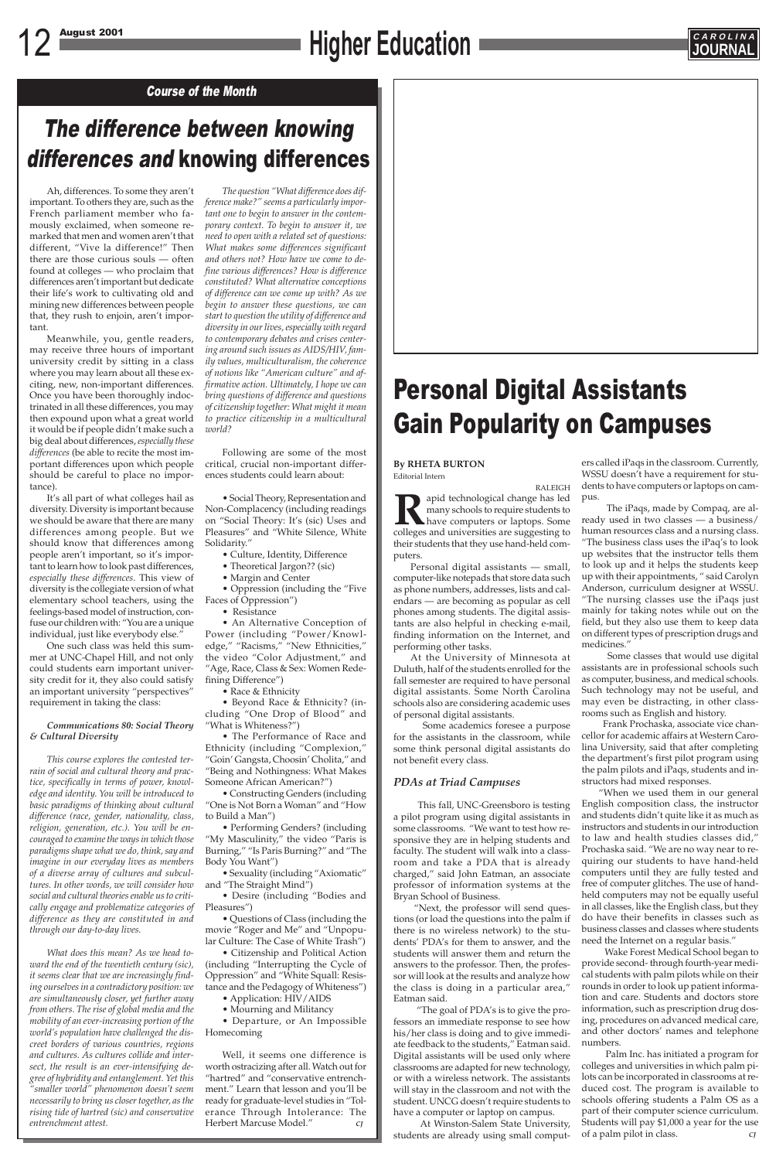## 12 August 2001 **CAROLINA**



## Personal Digital Assistants Gain Popularity on Campuses

### The difference between knowing differences and knowing differences

### Course of the Month

Ah, differences. To some they aren't important. To others they are, such as the French parliament member who famously exclaimed, when someone remarked that men and women aren't that different, "Vive la difference!" Then there are those curious souls — often found at colleges — who proclaim that differences aren't important but dedicate their life's work to cultivating old and mining new differences between people that, they rush to enjoin, aren't important.

Meanwhile, you, gentle readers, may receive three hours of important university credit by sitting in a class where you may learn about all these exciting, new, non-important differences. Once you have been thoroughly indoctrinated in all these differences, you may then expound upon what a great world it would be if people didn't make such a big deal about differences, *especially these differences* (be able to recite the most important differences upon which people should be careful to place no importance).

It's all part of what colleges hail as diversity. Diversity is important because we should be aware that there are many differences among people. But we should know that differences among people aren't important, so it's important to learn how to look past differences, *especially these differences.* This view of diversity is the collegiate version of what elementary school teachers, using the feelings-based model of instruction, confuse our children with: "You are a unique individual, just like everybody else."

One such class was held this summer at UNC-Chapel Hill, and not only could students earn important university credit for it, they also could satisfy an important university "perspectives" requirement in taking the class:

### *Communications 80: Social Theory & Cultural Diversity*

*This course explores the contested terrain of social and cultural theory and practice, specifically in terms of power, knowledge and identity. You will be introduced to basic paradigms of thinking about cultural difference (race, gender, nationality, class, religion, generation, etc.). You will be encouraged to examine the ways in which those paradigms shape what we do, think, say and imagine in our everyday lives as members of a diverse array of cultures and subcultures. In other words, we will consider how social and cultural theories enable us to critically engage and problematize categories of difference as they are constituted in and through our day-to-day lives.*

*What does this mean? As we head toward the end of the twentieth century (sic), it seems clear that we are increasingly finding ourselves in a contradictory position: we are simultaneously closer, yet further away from others. The rise of global media and the mobility of an ever-increasing portion of the world's population have challenged the discreet borders of various countries, regions and cultures. As cultures collide and intersect, the result is an ever-intensifying degree of hybridity and entanglement. Yet this "smaller world" phenomenon doesn't seem necessarily to bring us closer together, as the rising tide of hartred (sic) and conservative entrenchment attest.*

*The question "What difference does difference make?" seems a particularly important one to begin to answer in the contemporary context. To begin to answer it, we need to open with a related set of questions: What makes some differences significant and others not? How have we come to define various differences? How is difference constituted? What alternative conceptions of difference can we come up with? As we begin to answer these questions, we can start to question the utility of difference and diversity in our lives, especially with regard to contemporary debates and crises centering around such issues as AIDS/HIV, family values, multiculturalism, the coherence of notions like "American culture" and affirmative action. Ultimately, I hope we can bring questions of difference and questions of citizenship together: What might it mean to practice citizenship in a multicultural world?*

Following are some of the most critical, crucial non-important differences students could learn about:

• Social Theory, Representation and Non-Complacency (including readings on "Social Theory: It's (sic) Uses and Pleasures" and "White Silence, White Solidarity."

- Culture, Identity, Difference
- Theoretical Jargon?? (sic)
- Margin and Center

• Oppression (including the "Five Faces of Oppression")

• Resistance

• An Alternative Conception of Power (including "Power/Knowledge," "Racisms," "New Ethnicities," the video "Color Adjustment," and "Age, Race, Class & Sex: Women Redefining Difference")

• Race & Ethnicity

• Beyond Race & Ethnicity? (including "One Drop of Blood" and "What is Whiteness?")

• The Performance of Race and Ethnicity (including "Complexion," "Goin' Gangsta, Choosin' Cholita," and "Being and Nothingness: What Makes Someone African American?")

• Constructing Genders (including "One is Not Born a Woman" and "How to Build a Man")

• Performing Genders? (including "My Masculinity," the video "Paris is Burning," "Is Paris Burning?" and "The Body You Want")

• Sexuality (including "Axiomatic" and "The Straight Mind")

• Desire (including "Bodies and Pleasures")

• Questions of Class (including the movie "Roger and Me" and "Unpopular Culture: The Case of White Trash")

• Citizenship and Political Action (including "Interrupting the Cycle of Oppression" and "White Squall: Resistance and the Pedagogy of Whiteness")

• Application: HIV/AIDS

• Mourning and Militancy

• Departure, or An Impossible Homecoming

Well, it seems one difference is worth ostracizing after all. Watch out for "hartred" and "conservative entrenchment." Learn that lesson and you'll be ready for graduate-level studies in "Tolerance Through Intolerance: The Herbert Marcuse Model." *CJ*

#### **By RHETA BURTON** Editorial Intern

RALEIGH **Rapid technological change has led**<br>many schools to require students to<br>have computers or laptops. Some<br>colleges and universities are suggesting to many schools to require students to have computers or laptops. Some colleges and universities are suggesting to their students that they use hand-held computers.

Personal digital assistants — small, computer-like notepads that store data such as phone numbers, addresses, lists and calendars — are becoming as popular as cell phones among students. The digital assistants are also helpful in checking e-mail, finding information on the Internet, and performing other tasks.

At the University of Minnesota at Duluth, half of the students enrolled for the fall semester are required to have personal digital assistants. Some North Carolina schools also are considering academic uses of personal digital assistants.

Some academics foresee a purpose for the assistants in the classroom, while some think personal digital assistants do not benefit every class.

### *PDAs at Triad Campuses*

This fall, UNC-Greensboro is testing a pilot program using digital assistants in some classrooms. "We want to test how responsive they are in helping students and faculty. The student will walk into a classroom and take a PDA that is already charged," said John Eatman, an associate professor of information systems at the Bryan School of Business. "Next, the professor will send questions (or load the questions into the palm if there is no wireless network) to the students' PDA's for them to answer, and the students will answer them and return the answers to the professor. Then, the professor will look at the results and analyze how the class is doing in a particular area," Eatman said. "The goal of PDA's is to give the professors an immediate response to see how his/her class is doing and to give immediate feedback to the students," Eatman said. Digital assistants will be used only where classrooms are adapted for new technology, or with a wireless network. The assistants will stay in the classroom and not with the student. UNCG doesn't require students to have a computer or laptop on campus.

At Winston-Salem State University, students are already using small comput-

ers called iPaqs in the classroom. Currently, WSSU doesn't have a requirement for students to have computers or laptops on campus.

The iPaqs, made by Compaq, are already used in two classes — a business/ human resources class and a nursing class. "The business class uses the iPaq's to look up websites that the instructor tells them to look up and it helps the students keep up with their appointments, " said Carolyn Anderson, curriculum designer at WSSU. "The nursing classes use the iPaqs just mainly for taking notes while out on the field, but they also use them to keep data on different types of prescription drugs and medicines."

Some classes that would use digital assistants are in professional schools such as computer, business, and medical schools. Such technology may not be useful, and may even be distracting, in other classrooms such as English and history.

Frank Prochaska, associate vice chancellor for academic affairs at Western Carolina University, said that after completing the department's first pilot program using the palm pilots and iPaqs, students and instructors had mixed responses.

"When we used them in our general English composition class, the instructor and students didn't quite like it as much as instructors and students in our introduction to law and health studies classes did," Prochaska said. "We are no way near to requiring our students to have hand-held computers until they are fully tested and free of computer glitches. The use of handheld computers may not be equally useful in all classes, like the English class, but they do have their benefits in classes such as business classes and classes where students need the Internet on a regular basis." Wake Forest Medical School began to provide second- through fourth-year medical students with palm pilots while on their rounds in order to look up patient information and care. Students and doctors store information, such as prescription drug dosing, procedures on advanced medical care, and other doctors' names and telephone numbers. Palm Inc. has initiated a program for colleges and universities in which palm pilots can be incorporated in classrooms at reduced cost. The program is available to schools offering students a Palm OS as a part of their computer science curriculum. Students will pay \$1,000 a year for the use of a palm pilot in class. *CJ*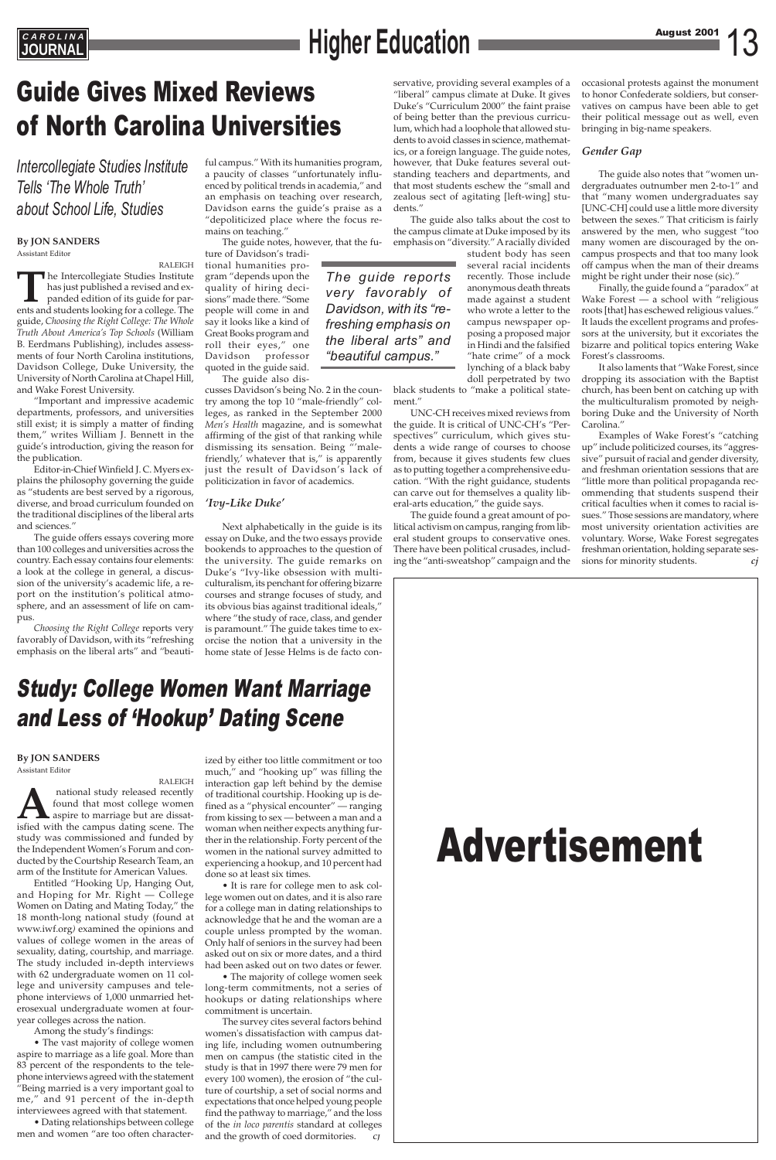### **By JON SANDERS**

Assistant Editor

RALEIGH **T**he Intercollegiate Studies Institute has just published a revised and expanded edition of its guide for parents and students looking for a college. The guide, *Choosing the Right College: The Whole Truth About America's Top Schools* (William B. Eerdmans Publishing), includes assessments of four North Carolina institutions, Davidson College, Duke University, the University of North Carolina at Chapel Hill, and Wake Forest University.

"Important and impressive academic departments, professors, and universities still exist; it is simply a matter of finding them," writes William J. Bennett in the guide's introduction, giving the reason for the publication.

Editor-in-Chief Winfield J. C. Myers explains the philosophy governing the guide as "students are best served by a rigorous, diverse, and broad curriculum founded on the traditional disciplines of the liberal arts and sciences."

The guide offers essays covering more than 100 colleges and universities across the country. Each essay contains four elements: a look at the college in general, a discussion of the university's academic life, a report on the institution's political atmosphere, and an assessment of life on campus.

*Choosing the Right College* reports very favorably of Davidson, with its "refreshing emphasis on the liberal arts" and "beautiful campus." With its humanities program, a paucity of classes "unfortunately influenced by political trends in academia," and an emphasis on teaching over research, Davidson earns the guide's praise as a "depoliticized place where the focus remains on teaching."

The guide notes, however, that the fu-

ture of Davidson's traditional humanities program "depends upon the quality of hiring decisions" made there. "Some people will come in and say it looks like a kind of Great Books program and roll their eyes," one Davidson professor quoted in the guide said.

The guide also dis-

cusses Davidson's being No. 2 in the country among the top 10 "male-friendly" colleges, as ranked in the September 2000 *Men's Health* magazine, and is somewhat affirming of the gist of that ranking while dismissing its sensation. Being "'malefriendly,' whatever that is," is apparently just the result of Davidson's lack of politicization in favor of academics.

### *'Ivy-Like Duke'*

Next alphabetically in the guide is its essay on Duke, and the two essays provide bookends to approaches to the question of the university. The guide remarks on Duke's "Ivy-like obsession with multiculturalism, its penchant for offering bizarre courses and strange focuses of study, and its obvious bias against traditional ideals," where "the study of race, class, and gender is paramount." The guide takes time to exorcise the notion that a university in the home state of Jesse Helms is de facto con-

## Guide Gives Mixed Reviews of North Carolina Universities

### *Intercollegiate Studies Institute Tells 'The Whole Truth' about School Life, Studies*



### Study: College Women Want Marriage and Less of 'Hookup' Dating Scene

**By JON SANDERS** Assistant Editor

RALEIGH **A**<br>**A** national study released recently<br>found that most college women<br>aspire to marriage but are dissat-<br>isfied with the campus dating scene. The found that most college women aspire to marriage but are dissatstudy was commissioned and funded by the Independent Women's Forum and con-

ducted by the Courtship Research Team, an arm of the Institute for American Values.

Entitled "Hooking Up, Hanging Out, and Hoping for Mr. Right — College Women on Dating and Mating Today," the 18 month-long national study (found at www.iwf.org*)* examined the opinions and values of college women in the areas of sexuality, dating, courtship, and marriage. The study included in-depth interviews with 62 undergraduate women on 11 college and university campuses and telephone interviews of 1,000 unmarried heterosexual undergraduate women at fouryear colleges across the nation.

Among the study's findings:

• The vast majority of college women aspire to marriage as a life goal. More than 83 percent of the respondents to the telephone interviews agreed with the statement "Being married is a very important goal to me," and 91 percent of the in-depth interviewees agreed with that statement.

• Dating relationships between college men and women "are too often character-

ized by either too little commitment or too much," and "hooking up" was filling the interaction gap left behind by the demise of traditional courtship. Hooking up is defined as a "physical encounter" — ranging from kissing to sex — between a man and a woman when neither expects anything further in the relationship. Forty percent of the women in the national survey admitted to experiencing a hookup, and 10 percent had done so at least six times. • It is rare for college men to ask college women out on dates, and it is also rare for a college man in dating relationships to acknowledge that he and the woman are a couple unless prompted by the woman. Only half of seniors in the survey had been asked out on six or more dates, and a third had been asked out on two dates or fewer. • The majority of college women seek long-term commitments, not a series of hookups or dating relationships where commitment is uncertain. The survey cites several factors behind women's dissatisfaction with campus dating life, including women outnumbering men on campus (the statistic cited in the study is that in 1997 there were 79 men for every 100 women), the erosion of "the culture of courtship, a set of social norms and expectations that once helped young people find the pathway to marriage," and the loss of the *in loco parentis* standard at colleges and the growth of coed dormitories. *CJ*

servative, providing several examples of a "liberal" campus climate at Duke. It gives Duke's "Curriculum 2000" the faint praise of being better than the previous curriculum, which had a loophole that allowed students to avoid classes in science, mathematics, or a foreign language. The guide notes, however, that Duke features several outstanding teachers and departments, and that most students eschew the "small and zealous sect of agitating [left-wing] students."

The guide also talks about the cost to the campus climate at Duke imposed by its emphasis on "diversity." A racially divided

student body has seen several racial incidents recently. Those include anonymous death threats made against a student who wrote a letter to the campus newspaper opposing a proposed major in Hindi and the falsified "hate crime" of a mock lynching of a black baby doll perpetrated by two

black students to "make a political statement."

UNC-CH receives mixed reviews from the guide. It is critical of UNC-CH's "Perspectives" curriculum, which gives students a wide range of courses to choose from, because it gives students few clues as to putting together a comprehensive education. "With the right guidance, students can carve out for themselves a quality liberal-arts education," the guide says.

The guide found a great amount of political activism on campus, ranging from liberal student groups to conservative ones. There have been political crusades, including the "anti-sweatshop" campaign and the occasional protests against the monument to honor Confederate soldiers, but conservatives on campus have been able to get their political message out as well, even bringing in big-name speakers.

### *Gender Gap*

The guide also notes that "women undergraduates outnumber men 2-to-1" and that "many women undergraduates say [UNC-CH] could use a little more diversity between the sexes." That criticism is fairly answered by the men, who suggest "too many women are discouraged by the oncampus prospects and that too many look off campus when the man of their dreams might be right under their nose (sic)."

Finally, the guide found a "paradox" at Wake Forest — a school with "religious roots [that] has eschewed religious values." It lauds the excellent programs and professors at the university, but it excoriates the bizarre and political topics entering Wake Forest's classrooms.

It also laments that "Wake Forest, since dropping its association with the Baptist church, has been bent on catching up with the multiculturalism promoted by neighboring Duke and the University of North Carolina."

Examples of Wake Forest's "catching up" include politicized courses, its "aggressive" pursuit of racial and gender diversity, and freshman orientation sessions that are "little more than political propaganda recommending that students suspend their critical faculties when it comes to racial issues." Those sessions are mandatory, where most university orientation activities are voluntary. Worse, Wake Forest segregates freshman orientation, holding separate sessions for minority students. *cj*

## **EAROLINA**<br>JOURNAL

*The guide reports very favorably of Davidson, with its "refreshing emphasis on the liberal arts" and "beautiful campus."*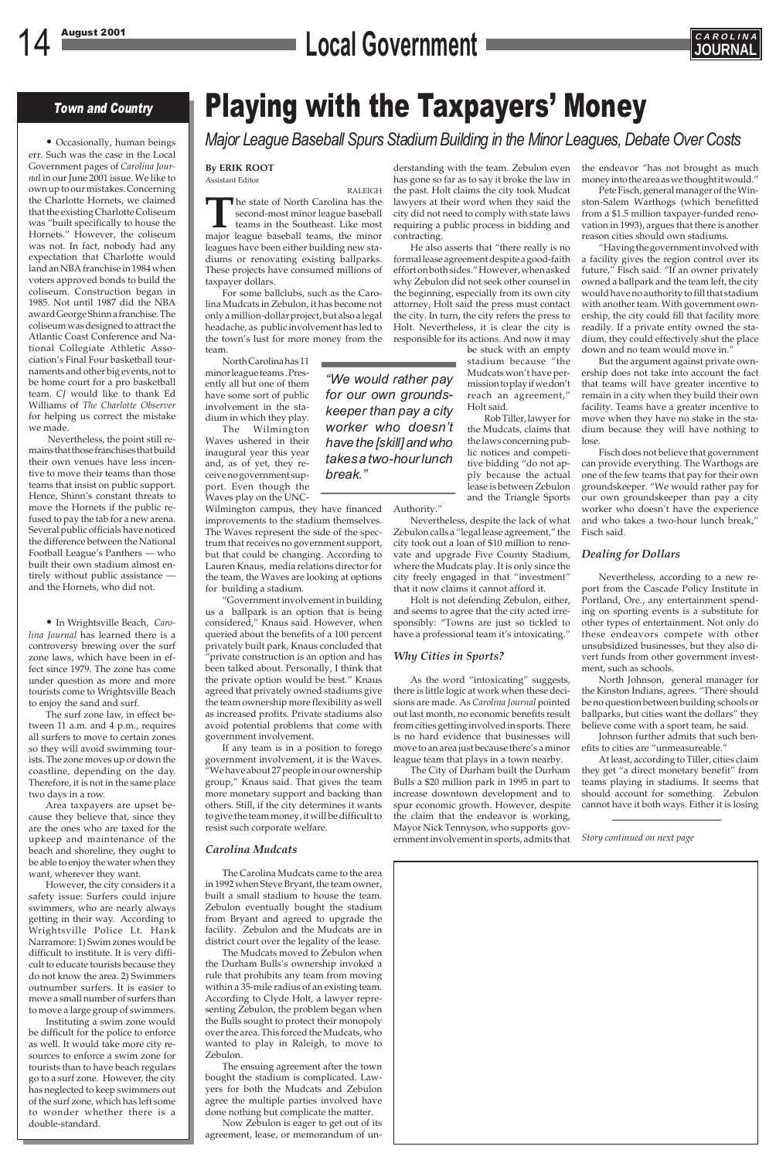## 14 August 2001 **CAROLINA**<br> **Local Government**



### Town and Country

• Occasionally, human beings err. Such was the case in the Local Government pages of *Carolina Journa*l in our June 2001 issue. We like to own up to our mistakes. Concerning the Charlotte Hornets, we claimed that the existing Charlotte Coliseum was "built specifically to house the Hornets." However, the coliseum was not. In fact, nobody had any expectation that Charlotte would land an NBA franchise in 1984 when voters approved bonds to build the coliseum. Construction began in 1985. Not until 1987 did the NBA award George Shinn a franchise. The coliseum was designed to attract the Atlantic Coast Conference and National Collegiate Athletic Association's Final Four basketball tournaments and other big events, not to be home court for a pro basketball team. *CJ* would like to thank Ed Williams of *The Charlotte Observer* for helping us correct the mistake we made.

Nevertheless, the point still remains that those franchises that build their own venues have less incentive to move their teams than those teams that insist on public support. Hence, Shinn's constant threats to move the Hornets if the public refused to pay the tab for a new arena. Several public officials have noticed the difference between the National Football League's Panthers — who built their own stadium almost entirely without public assistance and the Hornets, who did not.

• In Wrightsville Beach, *Carolina Journal* has learned there is a controversy brewing over the surf zone laws, which have been in effect since 1979. The zone has come under question as more and more tourists come to Wrightsville Beach to enjoy the sand and surf.

The surf zone law, in effect between 11 a.m. and 4 p.m., requires all surfers to move to certain zones so they will avoid swimming tourists. The zone moves up or down the coastline, depending on the day. Therefore, it is not in the same place two days in a row.

Area taxpayers are upset because they believe that, since they are the ones who are taxed for the upkeep and maintenance of the beach and shoreline, they ought to be able to enjoy the water when they want, wherever they want. However, the city considers it a safety issue: Surfers could injure swimmers, who are nearly always getting in their way. According to Wrightsville Police Lt. Hank Narramore: 1) Swim zones would be difficult to institute. It is very difficult to educate tourists because they do not know the area. 2) Swimmers outnumber surfers. It is easier to move a small number of surfers than to move a large group of swimmers. Instituting a swim zone would be difficult for the police to enforce as well. It would take more city resources to enforce a swim zone for tourists than to have beach regulars go to a surf zone. However, the city has neglected to keep swimmers out of the surf zone, which has left some to wonder whether there is a double-standard.

## Playing with the Taxpayers' Money

*Major League Baseball Spurs Stadium Building in the Minor Leagues, Debate Over Costs*

#### **By ERIK ROOT** Assistant Editor

RALEIGH **The state of North Carolina has the second-most minor league baseball teams** in the Southeast. Like most major league baseball teams, the minor second-most minor league baseball teams in the Southeast. Like most leagues have been either building new stadiums or renovating existing ballparks. These projects have consumed millions of taxpayer dollars.

> be stuck with an empty stadium because "the Mudcats won't have permission to play if we don't reach an agreement," Holt said.

For some ballclubs, such as the Carolina Mudcats in Zebulon, it has become not only a million-dollar project, but also a legal headache, as public involvement has led to the town's lust for more money from the team.

North Carolina has 11 minor league teams . Presently all but one of them have some sort of public involvement in the stadium in which they play.

> Holt is not defending Zebulon, either, and seems to agree that the city acted irresponsibly: "Towns are just so tickled to have a professional team it's intoxicating."

The Wilmington Waves ushered in their inaugural year this year and, as of yet, they receive no government support. Even though the Waves play on the UNC-

Wilmington campus, they have financed improvements to the stadium themselves. The Waves represent the side of the spectrum that receives no government support, but that could be changing. According to Lauren Knaus, media relations director for the team, the Waves are looking at options for building a stadium.

"Government involvement in building us a ballpark is an option that is being considered," Knaus said. However, when queried about the benefits of a 100 percent privately built park, Knaus concluded that "private construction is an option and has been talked about. Personally, I think that the private option would be best." Knaus agreed that privately owned stadiums give the team ownership more flexibility as well as increased profits. Private stadiums also avoid potential problems that come with government involvement.

If any team is in a position to forego government involvement, it is the Waves. "We have about 27 people in our ownership group," Knaus said. That gives the team more monetary support and backing than others. Still, if the city determines it wants to give the team money, it will be difficult to resist such corporate welfare.

#### *Carolina Mudcats*

The Carolina Mudcats came to the area in 1992 when Steve Bryant, the team owner, built a small stadium to house the team. Zebulon eventually bought the stadium from Bryant and agreed to upgrade the facility. Zebulon and the Mudcats are in district court over the legality of the lease.

The Mudcats moved to Zebulon when the Durham Bulls's ownership invoked a rule that prohibits any team from moving within a 35-mile radius of an existing team. According to Clyde Holt, a lawyer representing Zebulon, the problem began when the Bulls sought to protect their monopoly over the area. This forced the Mudcats, who wanted to play in Raleigh, to move to Zebulon.

The ensuing agreement after the town bought the stadium is complicated. Lawyers for both the Mudcats and Zebulon agree the multiple parties involved have done nothing but complicate the matter.

Now Zebulon is eager to get out of its agreement, lease, or memorandum of un-

*"We would rather pay for our own groundskeeper than pay a city worker who doesn't have the [skill] and who takes a two-hour lunch break."*

derstanding with the team. Zebulon even has gone so far as to say it broke the law in the past. Holt claims the city took Mudcat lawyers at their word when they said the city did not need to comply with state laws requiring a public process in bidding and contracting.

He also asserts that "there really is no formal lease agreement despite a good-faith effort on both sides." However, when asked why Zebulon did not seek other counsel in the beginning, especially from its own city attorney, Holt said the press must contact the city. In turn, the city refers the press to Holt. Nevertheless, it is clear the city is responsible for its actions. And now it may

> Rob Tiller, lawyer for the Mudcats, claims that the laws concerning public notices and competitive bidding "do not apply because the actual lease is between Zebulon and the Triangle Sports

Authority."

Nevertheless, despite the lack of what Zebulon calls a "legal lease agreement," the city took out a loan of \$10 million to renovate and upgrade Five County Stadium, where the Mudcats play. It is only since the city freely engaged in that "investment" that it now claims it cannot afford it.

### *Why Cities in Sports?*

As the word "intoxicating" suggests, there is little logic at work when these decisions are made. As *Carolina Journal* pointed out last month, no economic benefits result from cities getting involved in sports. There is no hard evidence that businesses will move to an area just because there's a minor league team that plays in a town nearby.

The City of Durham built the Durham Bulls a \$20 million park in 1995 in part to increase downtown development and to spur economic growth. However, despite the claim that the endeavor is working, Mayor Nick Tennyson, who supports government involvement in sports, admits that the endeavor "has not brought as much money into the area as we thought it would."

Pete Fisch, general manager of the Winston-Salem Warthogs (which benefitted from a \$1.5 million taxpayer-funded renovation in 1993), argues that there is another reason cities should own stadiums.

"Having the government involved with a facility gives the region control over its future," Fisch said. "If an owner privately owned a ballpark and the team left, the city would have no authority to fill that stadium with another team. With government ownership, the city could fill that facility more readily. If a private entity owned the stadium, they could effectively shut the place down and no team would move in."

But the argument against private ownership does not take into account the fact that teams will have greater incentive to remain in a city when they build their own facility. Teams have a greater incentive to move when they have no stake in the stadium because they will have nothing to lose.

Fisch does not believe that government can provide everything. The Warthogs are one of the few teams that pay for their own groundskeeper. "We would rather pay for our own groundskeeper than pay a city worker who doesn't have the experience and who takes a two-hour lunch break," Fisch said.

### *Dealing for Dollars*

Nevertheless, according to a new report from the Cascade Policy Institute in Portland, Ore., any entertainment spending on sporting events is a substitute for other types of entertainment. Not only do these endeavors compete with other unsubsidized businesses, but they also divert funds from other government investment, such as schools.

North Johnson, general manager for the Kinston Indians, agrees. "There should be no question between building schools or ballparks, but cities want the dollars" they believe come with a sport team, he said.

Johnson further admits that such benefits to cities are "unmeasureable."

At least, according to Tiller, cities claim they get "a direct monetary benefit" from teams playing in stadiums. It seems that should account for something. Zebulon cannot have it both ways. Either it is losing

*Story continued on next page*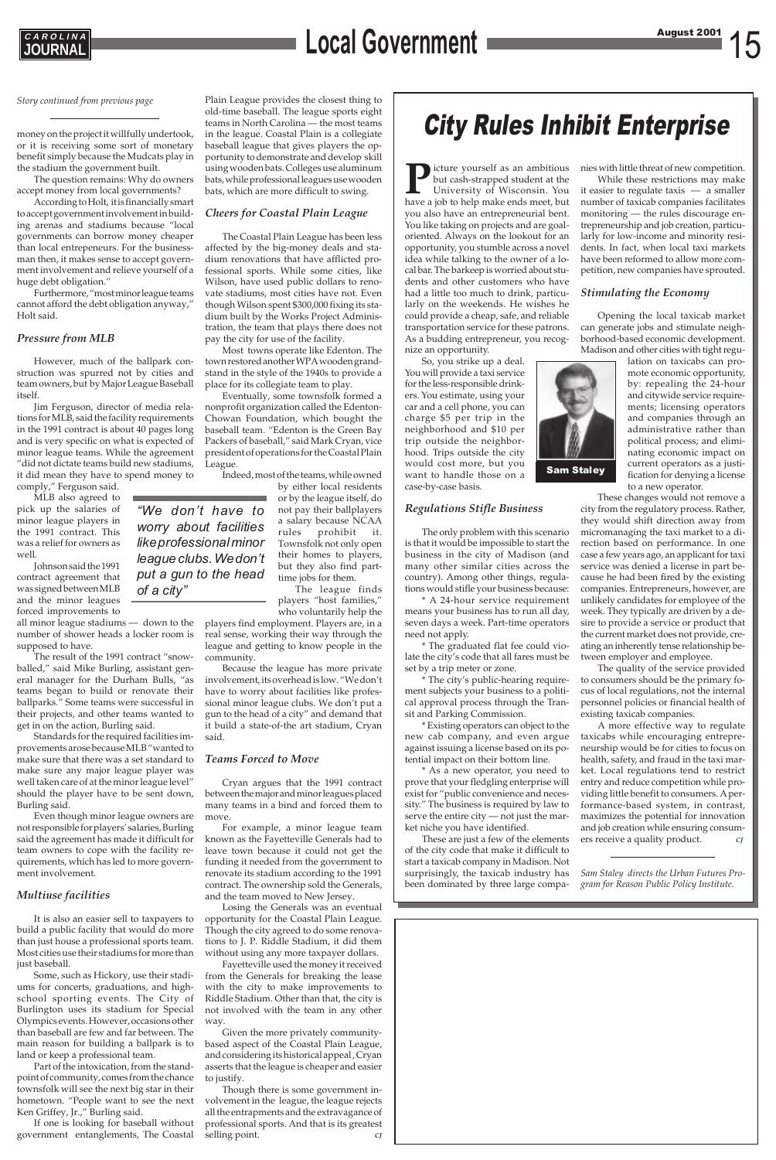

# 15 August 2001 **C A R O L I N A JOURNAL Local Government**

### City Rules Inhibit Enterprise



*"We don't have to worry about facilities like professional minor league clubs. We don't put a gun to the head of a city"*

**P**icture yourself as an ambitious<br>but cash-strapped student at the<br>University of Wisconsin. You<br>have a job to help make ends meet, but but cash-strapped student at the University of Wisconsin. You have a job to help make ends meet, but you also have an entrepreneurial bent. You like taking on projects and are goaloriented. Always on the lookout for an opportunity, you stumble across a novel idea while talking to the owner of a local bar. The barkeep is worried about students and other customers who have had a little too much to drink, particularly on the weekends. He wishes he could provide a cheap, safe, and reliable transportation service for these patrons. As a budding entrepreneur, you recognize an opportunity.

So, you strike up a deal. You will provide a taxi service for the less-responsible drinkers. You estimate, using your car and a cell phone, you can charge \$5 per trip in the neighborhood and \$10 per trip outside the neighborhood. Trips outside the city would cost more, but you want to handle those on a case-by-case basis.

### *Regulations Stifle Business*

The only problem with this scenario is that it would be impossible to start the business in the city of Madison (and many other similar cities across the country). Among other things, regulations would stifle your business because:

\* A 24-hour service requirement means your business has to run all day, seven days a week. Part-time operators need not apply.

\* The graduated flat fee could violate the city's code that all fares must be set by a trip meter or zone.

\* The city's public-hearing requirement subjects your business to a political approval process through the Transit and Parking Commission.

\* Existing operators can object to the new cab company, and even argue against issuing a license based on its potential impact on their bottom line.

\* As a new operator, you need to prove that your fledgling enterprise will exist for "public convenience and necessity." The business is required by law to serve the entire city — not just the market niche you have identified.

These are just a few of the elements of the city code that make it difficult to start a taxicab company in Madison. Not surprisingly, the taxicab industry has been dominated by three large companies with little threat of new competition.

While these restrictions may make it easier to regulate taxis — a smaller number of taxicab companies facilitates monitoring — the rules discourage entrepreneurship and job creation, particularly for low-income and minority residents. In fact, when local taxi markets have been reformed to allow more competition, new companies have sprouted.

### *Stimulating the Economy*

Opening the local taxicab market can generate jobs and stimulate neighborhood-based economic development. Madison and other cities with tight regu-

> lation on taxicabs can promote economic opportunity, by: repealing the 24-hour and citywide service requirements; licensing operators and companies through an administrative rather than political process; and eliminating economic impact on current operators as a justification for denying a license to a new operator.

These changes would not remove a city from the regulatory process. Rather, they would shift direction away from micromanaging the taxi market to a direction based on performance. In one case a few years ago, an applicant for taxi service was denied a license in part because he had been fired by the existing companies. Entrepreneurs, however, are unlikely candidates for employee of the week. They typically are driven by a desire to provide a service or product that the current market does not provide, creating an inherently tense relationship between employer and employee.

The quality of the service provided to consumers should be the primary focus of local regulations, not the internal personnel policies or financial health of existing taxicab companies.

A more effective way to regulate taxicabs while encouraging entrepreneurship would be for cities to focus on health, safety, and fraud in the taxi market. Local regulations tend to restrict entry and reduce competition while providing little benefit to consumers. A performance-based system, in contrast, maximizes the potential for innovation and job creation while ensuring consumers receive a quality product. *CJ*

*Sam Staley directs the Urban Futures Program for Reason Public Policy Institute.*



money on the project it willfully undertook, or it is receiving some sort of monetary benefit simply because the Mudcats play in the stadium the government built.

The question remains: Why do owners accept money from local governments?

According to Holt, it is financially smart to accept government involvement in building arenas and stadiums because "local governments can borrow money cheaper than local entrepeneurs. For the businessman then, it makes sense to accept government involvement and relieve yourself of a huge debt obligation."

Furthermore, "most minor league teams cannot afford the debt obligation anyway," Holt said.

### *Pressure from MLB*

However, much of the ballpark construction was spurred not by cities and team owners, but by Major League Baseball itself.

> Though there is some government involvement in the league, the league rejects all the entrapments and the extravagance of professional sports. And that is its greatest selling point. *CJ*

Jim Ferguson, director of media relations for MLB, said the facility requirements in the 1991 contract is about 40 pages long and is very specific on what is expected of minor league teams. While the agreement "did not dictate teams build new stadiums, it did mean they have to spend money to comply," Ferguson said.

MLB also agreed to pick up the salaries of minor league players in the 1991 contract. This was a relief for owners as well.

Johnson said the 1991 contract agreement that was signed between MLB and the minor leagues forced improvements to

all minor league stadiums — down to the number of shower heads a locker room is supposed to have.

The result of the 1991 contract "snowballed," said Mike Burling, assistant general manager for the Durham Bulls, "as teams began to build or renovate their ballparks." Some teams were successful in their projects, and other teams wanted to get in on the action, Burling said.

Standards for the required facilities improvements arose because MLB "wanted to make sure that there was a set standard to make sure any major league player was well taken care of at the minor league level" should the player have to be sent down, Burling said.

Even though minor league owners are not responsible for players' salaries, Burling said the agreement has made it difficult for team owners to cope with the facility requirements, which has led to more government involvement.

### *Multiuse facilities*

It is also an easier sell to taxpayers to build a public facility that would do more than just house a professional sports team. Most cities use their stadiums for more than just baseball.

Some, such as Hickory, use their stadiums for concerts, graduations, and highschool sporting events. The City of Burlington uses its stadium for Special Olympics events. However, occasions other than baseball are few and far between. The main reason for building a ballpark is to land or keep a professional team.

Part of the intoxication, from the standpoint of community, comes from the chance townsfolk will see the next big star in their hometown. "People want to see the next Ken Griffey, Jr.," Burling said.

If one is looking for baseball without government entanglements, The Coastal

Plain League provides the closest thing to old-time baseball. The league sports eight teams in North Carolina — the most teams in the league. Coastal Plain is a collegiate baseball league that gives players the opportunity to demonstrate and develop skill using wooden bats. Colleges use aluminum bats, while professional leagues use wooden bats, which are more difficult to swing.

### *Cheers for Coastal Plain League*

The Coastal Plain League has been less affected by the big-money deals and stadium renovations that have afflicted professional sports. While some cities, like Wilson, have used public dollars to renovate stadiums, most cities have not. Even though Wilson spent \$300,000 fixing its stadium built by the Works Project Administration, the team that plays there does not pay the city for use of the facility.

Most towns operate like Edenton. The town restored another WPA wooden grandstand in the style of the 1940s to provide a place for its collegiate team to play.

Eventually, some townsfolk formed a nonprofit organization called the Edenton-Chowan Foundation, which bought the baseball team. "Edenton is the Green Bay Packers of baseball," said Mark Cryan, vice president of operations for the Coastal Plain League.

Indeed, most of the teams, while owned by either local residents

> or by the league itself, do not pay their ballplayers a salary because NCAA rules prohibit it. Townsfolk not only open their homes to players, but they also find parttime jobs for them.

The league finds players "host families," who voluntarily help the

players find employment. Players are, in a real sense, working their way through the league and getting to know people in the community.

Because the league has more private involvement, its overhead is low. "We don't have to worry about facilities like professional minor league clubs. We don't put a gun to the head of a city" and demand that it build a state-of-the art stadium, Cryan said.

#### *Teams Forced to Move*

Cryan argues that the 1991 contract between the major and minor leagues placed many teams in a bind and forced them to move.

For example, a minor league team known as the Fayetteville Generals had to leave town because it could not get the funding it needed from the government to renovate its stadium according to the 1991 contract. The ownership sold the Generals, and the team moved to New Jersey. Losing the Generals was an eventual opportunity for the Coastal Plain League. Though the city agreed to do some renovations to J. P. Riddle Stadium, it did them without using any more taxpayer dollars. Fayetteville used the money it received from the Generals for breaking the lease with the city to make improvements to Riddle Stadium. Other than that, the city is not involved with the team in any other way.

Given the more privately communitybased aspect of the Coastal Plain League, and considering its historical appeal , Cryan asserts that the league is cheaper and easier to justify.

*Story continued from previous page*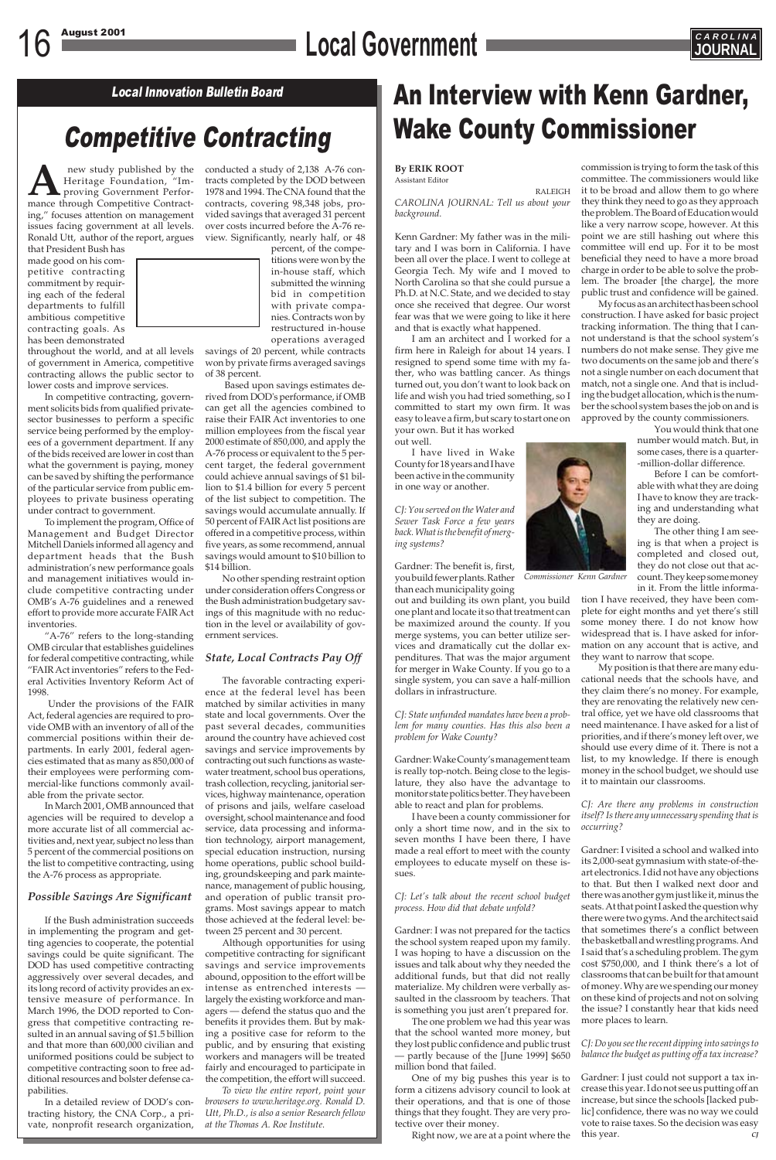## 16 August 2001 **Local Government CAROLINAL**



### Competitive Contracting

### Local Innovation Bulletin Board **An Interview with Kenn Gardner,** Wake County Commissioner

**By ERIK ROOT** Assistant Editor

RALEIGH *CAROLINA JOURNAL: Tell us about your background.*

Kenn Gardner: My father was in the military and I was born in California. I have been all over the place. I went to college at Georgia Tech. My wife and I moved to North Carolina so that she could pursue a Ph.D. at N.C. State, and we decided to stay once she received that degree. Our worst fear was that we were going to like it here and that is exactly what happened.

I am an architect and I worked for a firm here in Raleigh for about 14 years. I resigned to spend some time with my father, who was battling cancer. As things turned out, you don't want to look back on life and wish you had tried something, so I committed to start my own firm. It was easy to leave a firm, but scary to start one on your own. But it has worked out well.

I have lived in Wake County for 18 years and I have been active in the community in one way or another.

*CJ: You served on the Water and Sewer Task Force a few years back. What is the benefit of merging systems?*

Gardner: The benefit is, first, you build fewer plants. Rather *Commissioner Kenn Gardner* than each municipality going

out and building its own plant, you build one plant and locate it so that treatment can be maximized around the county. If you merge systems, you can better utilize services and dramatically cut the dollar expenditures. That was the major argument for merger in Wake County. If you go to a single system, you can save a half-million dollars in infrastructure.

new study published by the<br>Heritage Foundation, "Im-<br>proving Government Perfor-<br>mance through Competitive Contract-Heritage Foundation, "Improving Government Performance through Competitive Contracting," focuses attention on management issues facing government at all levels. Ronald Utt, author of the report, argues

> *CJ: State unfunded mandates have been a problem for many counties. Has this also been a problem for Wake County?*

> Gardner: Wake County's management team is really top-notch. Being close to the legislature, they also have the advantage to monitor state politics better. They have been able to react and plan for problems.

I have been a county commissioner for only a short time now, and in the six to seven months I have been there, I have made a real effort to meet with the county employees to educate myself on these issues.

*CJ: Let's talk about the recent school budget process. How did that debate unfold?*

Gardner: I was not prepared for the tactics the school system reaped upon my family. I was hoping to have a discussion on the issues and talk about why they needed the additional funds, but that did not really materialize. My children were verbally assaulted in the classroom by teachers. That is something you just aren't prepared for.

The one problem we had this year was that the school wanted more money, but they lost public confidence and public trust — partly because of the [June 1999] \$650 million bond that failed.

One of my big pushes this year is to form a citizens advisory council to look at their operations, and that is one of those things that they fought. They are very protective over their money.

Right now, we are at a point where the

that President Bush has made good on his competitive contracting commitment by requiring each of the federal departments to fulfill ambitious competitive contracting goals. As has been demonstrated

throughout the world, and at all levels of government in America, competitive contracting allows the public sector to lower costs and improve services.

In competitive contracting, government solicits bids from qualified privatesector businesses to perform a specific service being performed by the employees of a government department. If any of the bids received are lower in cost than what the government is paying, money can be saved by shifting the performance of the particular service from public employees to private business operating under contract to government.

To implement the program, Office of Management and Budget Director Mitchell Daniels informed all agency and department heads that the Bush administration's new performance goals and management initiatives would include competitive contracting under OMB's A-76 guidelines and a renewed effort to provide more accurate FAIR Act inventories.

"A-76" refers to the long-standing OMB circular that establishes guidelines for federal competitive contracting, while "FAIR Act inventories" refers to the Federal Activities Inventory Reform Act of 1998.

Under the provisions of the FAIR Act, federal agencies are required to provide OMB with an inventory of all of the commercial positions within their departments. In early 2001, federal agencies estimated that as many as 850,000 of their employees were performing commercial-like functions commonly available from the private sector.

In March 2001, OMB announced that agencies will be required to develop a more accurate list of all commercial activities and, next year, subject no less than 5 percent of the commercial positions on the list to competitive contracting, using the A-76 process as appropriate.

### *Possible Savings Are Significant*

If the Bush administration succeeds in implementing the program and getting agencies to cooperate, the potential savings could be quite significant. The DOD has used competitive contracting aggressively over several decades, and its long record of activity provides an extensive measure of performance. In March 1996, the DOD reported to Congress that competitive contracting resulted in an annual saving of \$1.5 billion and that more than 600,000 civilian and uniformed positions could be subject to competitive contracting soon to free additional resources and bolster defense capabilities.

In a detailed review of DOD's contracting history, the CNA Corp., a private, nonprofit research organization,

conducted a study of 2,138 A-76 contracts completed by the DOD between 1978 and 1994. The CNA found that the contracts, covering 98,348 jobs, provided savings that averaged 31 percent over costs incurred before the A-76 review. Significantly, nearly half, or 48

> percent, of the competitions were won by the in-house staff, which submitted the winning bid in competition with private companies. Contracts won by restructured in-house operations averaged

savings of 20 percent, while contracts won by private firms averaged savings of 38 percent.

 Based upon savings estimates derived from DOD's performance, if OMB can get all the agencies combined to raise their FAIR Act inventories to one million employees from the fiscal year 2000 estimate of 850,000, and apply the A-76 process or equivalent to the 5 percent target, the federal government could achieve annual savings of \$1 billion to \$1.4 billion for every 5 percent of the list subject to competition. The savings would accumulate annually. If 50 percent of FAIR Act list positions are offered in a competitive process, within five years, as some recommend, annual savings would amount to \$10 billion to \$14 billion.

No other spending restraint option under consideration offers Congress or the Bush administration budgetary savings of this magnitude with no reduction in the level or availability of government services.

### *State, Local Contracts Pay Off*

The favorable contracting experience at the federal level has been matched by similar activities in many state and local governments. Over the past several decades, communities around the country have achieved cost savings and service improvements by contracting out such functions as wastewater treatment, school bus operations, trash collection, recycling, janitorial services, highway maintenance, operation of prisons and jails, welfare caseload oversight, school maintenance and food service, data processing and information technology, airport management, special education instruction, nursing home operations, public school building, groundskeeping and park maintenance, management of public housing, and operation of public transit programs. Most savings appear to match those achieved at the federal level: between 25 percent and 30 percent. Although opportunities for using competitive contracting for significant savings and service improvements abound, opposition to the effort will be intense as entrenched interests largely the existing workforce and managers — defend the status quo and the benefits it provides them. But by making a positive case for reform to the public, and by ensuring that existing workers and managers will be treated fairly and encouraged to participate in the competition, the effort will succeed. *To view the entire report, point your browsers to www.heritage.org. Ronald D. Utt, Ph.D., is also a senior Research fellow at the Thomas A. Roe Institute.*

commission is trying to form the task of this committee. The commissioners would like it to be broad and allow them to go where they think they need to go as they approach the problem. The Board of Education would like a very narrow scope, however. At this point we are still hashing out where this committee will end up. For it to be most beneficial they need to have a more broad charge in order to be able to solve the problem. The broader [the charge], the more public trust and confidence will be gained.

My focus as an architect has been school construction. I have asked for basic project tracking information. The thing that I cannot understand is that the school system's numbers do not make sense. They give me two documents on the same job and there's not a single number on each document that match, not a single one. And that is including the budget allocation, which is the number the school system bases the job on and is approved by the county commissioners.

> You would think that one number would match. But, in some cases, there is a quarter- -million-dollar difference.

Before I can be comfortable with what they are doing I have to know they are tracking and understanding what they are doing.

The other thing I am seeing is that when a project is completed and closed out, they do not close out that account. They keep some money in it. From the little informa-

tion I have received, they have been complete for eight months and yet there's still some money there. I do not know how widespread that is. I have asked for information on any account that is active, and they want to narrow that scope.

My position is that there are many educational needs that the schools have, and they claim there's no money. For example, they are renovating the relatively new central office, yet we have old classrooms that need maintenance. I have asked for a list of priorities, and if there's money left over, we should use every dime of it. There is not a list, to my knowledge. If there is enough money in the school budget, we should use it to maintain our classrooms.

*CJ: Are there any problems in construction itself? Is there any unnecessary spending that is occurring?*

Gardner: I visited a school and walked into its 2,000-seat gymnasium with state-of-theart electronics. I did not have any objections to that. But then I walked next door and there was another gym just like it, minus the seats. At that point I asked the question why there were two gyms. And the architect said that sometimes there's a conflict between the basketball and wrestling programs. And I said that's a scheduling problem. The gym cost \$750,000, and I think there's a lot of classrooms that can be built for that amount of money. Why are we spending our money on these kind of projects and not on solving the issue? I constantly hear that kids need more places to learn.



*CJ: Do you see the recent dipping into savings to balance the budget as putting off a tax increase?*

Gardner: I just could not support a tax increase this year. I do not see us putting off an increase, but since the schools [lacked public] confidence, there was no way we could vote to raise taxes. So the decision was easy this year. *CJ*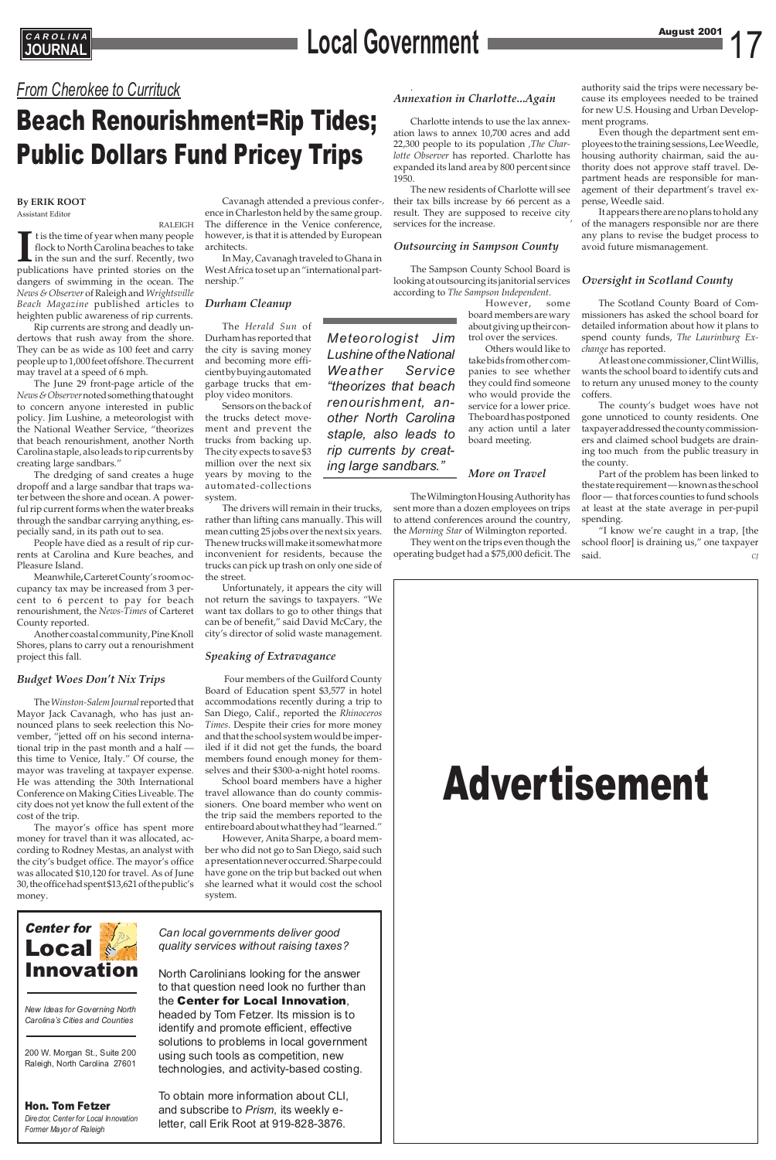# Advertisement

## **CAROLINA**<br> **Local Government**

### *From Cherokee to Currituck*

### Beach Renourishment=Rip Tides; Public Dollars Fund Pricey Trips

Center for Local Innovation

*New Ideas for Governing North Carolina's Cities and Counties*

200 W. Morgan St., Suite 200 Raleigh, North Carolina 27601

### Hon. Tom Fetzer

*Director, Center for Local Innovation Former Mayor of Raleigh*

*Can local governments deliver good quality services without raising taxes?*

North Carolinians looking for the answer to that question need look no further than the Center for Local Innovation,

headed by Tom Fetzer. Its mission is to identify and promote efficient, effective solutions to problems in local government using such tools as competition, new technologies, and activity-based costing.

To obtain more information about CLI, and subscribe to *Prism*, its weekly eletter, call Erik Root at 919-828-3876.

### **By ERIK ROOT** Assistant Editor

RALEIGH If the time of year when many people flock to North Carolina beaches to take in the sun and the surf. Recently, two publications have printed stories on the t is the time of year when many people flock to North Carolina beaches to take in the sun and the surf. Recently, two dangers of swimming in the ocean. The *News & Observer* of Raleigh and *Wrightsville Beach Magazine* published articles to heighten public awareness of rip currents.

Rip currents are strong and deadly undertows that rush away from the shore. They can be as wide as 100 feet and carry people up to 1,000 feet offshore. The current may travel at a speed of 6 mph.

The June 29 front-page article of the *News & Observer*noted something that ought to concern anyone interested in public policy. Jim Lushine, a meteorologist with the National Weather Service, "theorizes that beach renourishment, another North Carolina staple, also leads to rip currents by creating large sandbars."

The dredging of sand creates a huge dropoff and a large sandbar that traps water between the shore and ocean. A powerful rip current forms when the water breaks through the sandbar carrying anything, especially sand, in its path out to sea.

People have died as a result of rip currents at Carolina and Kure beaches, and Pleasure Island.

Meanwhile**,** Carteret County's room occupancy tax may be increased from 3 percent to 6 percent to pay for beach renourishment, the *News-Times* of Carteret County reported.

Another coastal community, Pine Knoll Shores, plans to carry out a renourishment project this fall.

#### *Budget Woes Don't Nix Trips*

The *Winston-Salem Journal*reported that Mayor Jack Cavanagh, who has just announced plans to seek reelection this November, "jetted off on his second international trip in the past month and a half this time to Venice, Italy." Of course, the mayor was traveling at taxpayer expense. He was attending the 30th International Conference on Making Cities Liveable. The city does not yet know the full extent of the cost of the trip.

The mayor's office has spent more money for travel than it was allocated, according to Rodney Mestas, an analyst with the city's budget office. The mayor's office was allocated \$10,120 for travel. As of June 30, the office had spent \$13,621 of the public's money.

Cavanagh attended a previous confer-*,* ence in Charleston held by the same group. The difference in the Venice conference, however, is that it is attended by European architects.

In May, Cavanagh traveled to Ghana in West Africa to set up an "international partnership."

### *Durham Cleanup*

The *Herald Sun* of Durham has reported that the city is saving money and becoming more efficient by buying automated garbage trucks that employ video monitors.

Sensors on the back of the trucks detect movement and prevent the trucks from backing up. The city expects to save \$3 million over the next six years by moving to the automated-collections system.

The drivers will remain in their trucks, rather than lifting cans manually. This will mean cutting 25 jobs over the next six years. The new trucks will make it somewhat more inconvenient for residents, because the trucks can pick up trash on only one side of the street.

Unfortunately, it appears the city will not return the savings to taxpayers. "We want tax dollars to go to other things that can be of benefit," said David McCary, the city's director of solid waste management.

#### *Speaking of Extravagance*

Four members of the Guilford County Board of Education spent \$3,577 in hotel accommodations recently during a trip to San Diego, Calif., reported the *Rhinoceros Times*. Despite their cries for more money and that the school system would be imperiled if it did not get the funds, the board members found enough money for themselves and their \$300-a-night hotel rooms.

School board members have a higher travel allowance than do county commissioners. One board member who went on the trip said the members reported to the entire board about what they had "learned."

However, Anita Sharpe, a board memwho did not go to San Diego, said such a presentation never occurred. Sharpe could have gone on the trip but backed out when she learned what it would cost the school system.

#### . *Annexation in Charlotte...Again*

Charlotte intends to use the lax annexation laws to annex 10,700 acres and add 22,300 people to its population *,The Charlotte Observer* has reported. Charlotte has expanded its land area by 800 percent since 1950.

The new residents of Charlotte will see their tax bills increase by 66 percent as a result. They are supposed to receive city *,* services for the increase.

### *Outsourcing in Sampson County*

The Sampson County School Board is looking at outsourcing its janitorial services according to *The Sampson Independent*.

However, some board members are wary about giving up their control over the services.

Others would like to take bids from other companies to see whether they could find someone who would provide the service for a lower price. The board has postponed any action until a later board meeting.

#### *More on Travel*

The Wilmington Housing Authority has sent more than a dozen employees on trips to attend conferences around the country, the *Morning Star* of Wilmington reported.

They went on the trips even though the operating budget had a \$75,000 deficit. The authority said the trips were necessary because its employees needed to be trained for new U.S. Housing and Urban Development programs.

Even though the department sent employees to the training sessions, Lee Weedle, housing authority chairman, said the authority does not approve staff travel. Department heads are responsible for management of their department's travel expense, Weedle said.

It appears there are no plans to hold any of the managers responsible nor are there any plans to revise the budget process to avoid future mismanagement.

### *Oversight in Scotland County*

The Scotland County Board of Commissioners has asked the school board for detailed information about how it plans to spend county funds, *The Laurinburg Exchange* has reported.

At least one commissioner, Clint Willis, wants the school board to identify cuts and to return any unused money to the county coffers.

The county's budget woes have not gone unnoticed to county residents. One taxpayer addressed the county commissioners and claimed school budgets are draining too much from the public treasury in the county.

Part of the problem has been linked to the state requirement — known as the school floor — that forces counties to fund schools at least at the state average in per-pupil spending.

"I know we're caught in a trap, [the school floor] is draining us," one taxpayer said. *CJ*

*Meteorologist Jim Lushine of the National Weather Service "theorizes that beach renourishment, another North Carolina staple, also leads to rip currents by creating large sandbars."*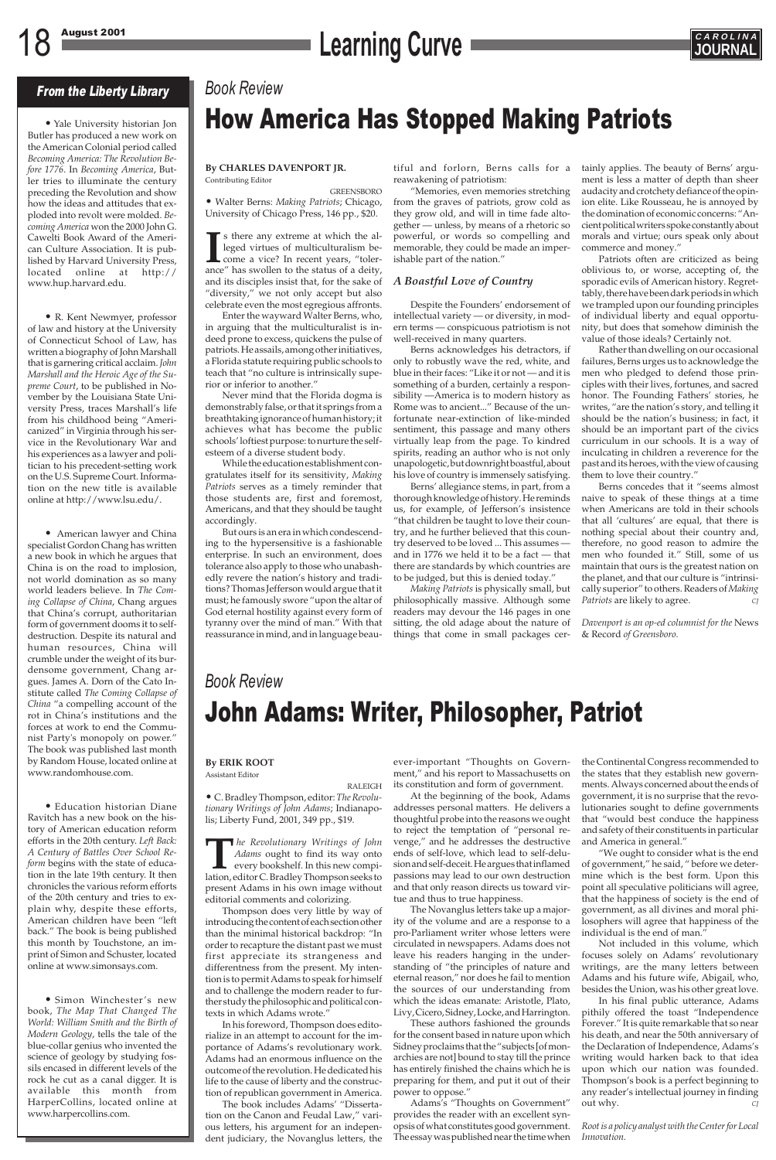## 18 August 2001 **CAROLINA**<br> **Learning Curve Curve Learning Curve**



#### **By CHARLES DAVENPORT JR.** Contributing Editor

GREENSBORO • Walter Berns: *Making Patriots*; Chicago, University of Chicago Press, 146 pp., \$20.

**I** s there any extreme at which the alleged virtues of multiculturalism become a vice? In recent years, "tolerance" has swollen to the status of a deity, s there any extreme at which the alleged virtues of multiculturalism become a vice? In recent years, "tolerand its disciples insist that, for the sake of "diversity," we not only accept but also celebrate even the most egregious affronts.

Enter the wayward Walter Berns, who, in arguing that the multiculturalist is indeed prone to excess, quickens the pulse of patriots. He assails, among other initiatives, a Florida statute requiring public schools to teach that "no culture is intrinsically superior or inferior to another."

Never mind that the Florida dogma is demonstrably false, or that it springs from a breathtaking ignorance of human history; it achieves what has become the public schools' loftiest purpose: to nurture the selfesteem of a diverse student body.

While the education establishment congratulates itself for its sensitivity, *Making Patriots* serves as a timely reminder that those students are, first and foremost, Americans, and that they should be taught accordingly.

But ours is an era in which condescending to the hypersensitive is a fashionable enterprise. In such an environment, does tolerance also apply to those who unabashedly revere the nation's history and traditions? Thomas Jefferson would argue that it must; he famously swore "upon the altar of God eternal hostility against every form of tyranny over the mind of man." With that reassurance in mind, and in language beau-

### *Book Review*

### How America Has Stopped Making Patriots

### From the Liberty Library

• Yale University historian Jon Butler has produced a new work on the American Colonial period called *Becoming America: The Revolution Before 1776*. In *Becoming America*, Butler tries to illuminate the century preceding the Revolution and show how the ideas and attitudes that exploded into revolt were molded. *Becoming America* won the 2000 John G. Cawelti Book Award of the American Culture Association. It is published by Harvard University Press, located online at http:// www.hup.harvard.edu.

Simon Winchester's new book, *The Map That Changed The World: William Smith and the Birth of Modern Geology*, tells the tale of the blue-collar genius who invented the science of geology by studying fossils encased in different levels of the rock he cut as a canal digger. It is available this month from HarperCollins, located online at www.harpercollins.com.

• R. Kent Newmyer, professor of law and history at the University of Connecticut School of Law, has written a biography of John Marshall that is garnering critical acclaim. *John Marshall and the Heroic Age of the Supreme Court*, to be published in November by the Louisiana State University Press, traces Marshall's life from his childhood being "Americanized" in Virginia through his service in the Revolutionary War and his experiences as a lawyer and politician to his precedent-setting work on the U.S. Supreme Court. Information on the new title is available online at http://www.lsu.edu/.

• American lawyer and China specialist Gordon Chang has written a new book in which he argues that China is on the road to implosion, not world domination as so many world leaders believe. In *The Coming Collapse of China*, Chang argues that China's corrupt, authoritarian form of government dooms it to selfdestruction. Despite its natural and human resources, China will crumble under the weight of its burdensome government, Chang argues. James A. Dorn of the Cato Institute called *The Coming Collapse of China* "a compelling account of the rot in China's institutions and the forces at work to end the Communist Party's monopoly on power." The book was published last month by Random House, located online at www.randomhouse.com.

• Education historian Diane Ravitch has a new book on the history of American education reform efforts in the 20th century. *Left Back: A Century of Battles Over School Reform* begins with the state of education in the late 19th century. It then chronicles the various reform efforts of the 20th century and tries to explain why, despite these efforts, American children have been "left back." The book is being published this month by Touchstone, an imprint of Simon and Schuster, located online at www.simonsays.com.

Berns concedes that it "seems almost naive to speak of these things at a time when Americans are told in their schools that all 'cultures' are equal, that there is nothing special about their country and, therefore, no good reason to admire the men who founded it." Still, some of us maintain that ours is the greatest nation on the planet, and that our culture is "intrinsically superior" to others. Readers of *Making Patriots* are likely to agree.

### **By ERIK ROOT**

Assistant Editor

RALEIGH • C. Bradley Thompson, editor: *The Revolutionary Writings of John Adams*; Indianapolis; Liberty Fund, 2001, 349 pp., \$19.

**T***he Revolutionary Writings of John Adams* ought to find its way onto every bookshelf. In this new compilation, editor C. Bradley Thompson seeks to present Adams in his own image without editorial comments and colorizing.

Thompson does very little by way of introducing the content of each section other than the minimal historical backdrop: "In order to recapture the distant past we must first appreciate its strangeness and differentness from the present. My intention is to permit Adams to speak for himself and to challenge the modern reader to further study the philosophic and political contexts in which Adams wrote."

"We ought to consider what is the end of government," he said, " before we determine which is the best form. Upon this point all speculative politicians will agree, that the happiness of society is the end of government, as all divines and moral philosophers will agree that happiness of the individual is the end of man." Not included in this volume, which focuses solely on Adams' revolutionary writings, are the many letters between Adams and his future wife, Abigail, who, besides the Union, was his other great love. In his final public utterance, Adams pithily offered the toast "Independence Forever." It is quite remarkable that so near his death, and near the 50th anniversary of the Declaration of Independence, Adams's writing would harken back to that idea upon which our nation was founded. Thompson's book is a perfect beginning to any reader's intellectual journey in finding out why.

In his foreword, Thompson does editorialize in an attempt to account for the importance of Adams's revolutionary work. Adams had an enormous influence on the outcome of the revolution. He dedicated his life to the cause of liberty and the construction of republican government in America.

The book includes Adams' "Dissertation on the Canon and Feudal Law," various letters, his argument for an independent judiciary, the Novanglus letters, the tiful and forlorn, Berns calls for a reawakening of patriotism:

"Memories, even memories stretching from the graves of patriots, grow cold as they grow old, and will in time fade altogether — unless, by means of a rhetoric so powerful, or words so compelling and memorable, they could be made an imperishable part of the nation."

### *A Boastful Love of Country*

Despite the Founders' endorsement of intellectual variety — or diversity, in modern terms — conspicuous patriotism is not well-received in many quarters.

Berns acknowledges his detractors, if only to robustly wave the red, white, and blue in their faces: "Like it or not — and it is something of a burden, certainly a responsibility —America is to modern history as Rome was to ancient..." Because of the unfortunate near-extinction of like-minded sentiment, this passage and many others virtually leap from the page. To kindred spirits, reading an author who is not only unapologetic, but downright boastful, about his love of country is immensely satisfying.

Berns' allegiance stems, in part, from a thorough knowledge of history. He reminds us, for example, of Jefferson's insistence "that children be taught to love their country, and he further believed that this country deserved to be loved ... This assumes and in 1776 we held it to be a fact — that there are standards by which countries are to be judged, but this is denied today."

*Making Patriots* is physically small, but philosophically massive. Although some readers may devour the 146 pages in one sitting, the old adage about the nature of things that come in small packages certainly applies. The beauty of Berns' argument is less a matter of depth than sheer audacity and crotchety defiance of the opinion elite. Like Rousseau, he is annoyed by the domination of economic concerns: "Ancient political writers spoke constantly about morals and virtue; ours speak only about commerce and money."

Patriots often are criticized as being oblivious to, or worse, accepting of, the sporadic evils of American history. Regrettably, there have been dark periods in which we trampled upon our founding principles of individual liberty and equal opportunity, but does that somehow diminish the value of those ideals? Certainly not.

Rather than dwelling on our occasional failures, Berns urges us to acknowledge the men who pledged to defend those principles with their lives, fortunes, and sacred honor. The Founding Fathers' stories, he writes, "are the nation's story, and telling it should be the nation's business; in fact, it should be an important part of the civics curriculum in our schools. It is a way of inculcating in children a reverence for the past and its heroes, with the view of causing them to love their country."

*Davenport is an op-ed columnist for the* News & Record *of Greensboro.*

### *Book Review*

## John Adams: Writer, Philosopher, Patriot

ever-important "Thoughts on Government," and his report to Massachusetts on its constitution and form of government.

At the beginning of the book, Adams addresses personal matters. He delivers a thoughtful probe into the reasons we ought to reject the temptation of "personal revenge," and he addresses the destructive ends of self-love, which lead to self-delusion and self-deceit. He argues that inflamed passions may lead to our own destruction and that only reason directs us toward virtue and thus to true happiness. The Novanglus letters take up a majority of the volume and are a response to a pro-Parliament writer whose letters were circulated in newspapers. Adams does not leave his readers hanging in the understanding of "the principles of nature and eternal reason," nor does he fail to mention the sources of our understanding from which the ideas emanate: Aristotle, Plato, Livy, Cicero, Sidney, Locke, and Harrington. These authors fashioned the grounds for the consent based in nature upon which Sidney proclaims that the "subjects [of monarchies are not] bound to stay till the prince has entirely finished the chains which he is preparing for them, and put it out of their power to oppose." Adams's "Thoughts on Government" provides the reader with an excellent synopsis of what constitutes good government. The essay was published near the time when

the Continental Congress recommended to the states that they establish new governments. Always concerned about the ends of government, it is no surprise that the revolutionaries sought to define governments that "would best conduce the happiness and safety of their constituents in particular and America in general."

*Root is a policy analyst with the Center for Local Innovation.*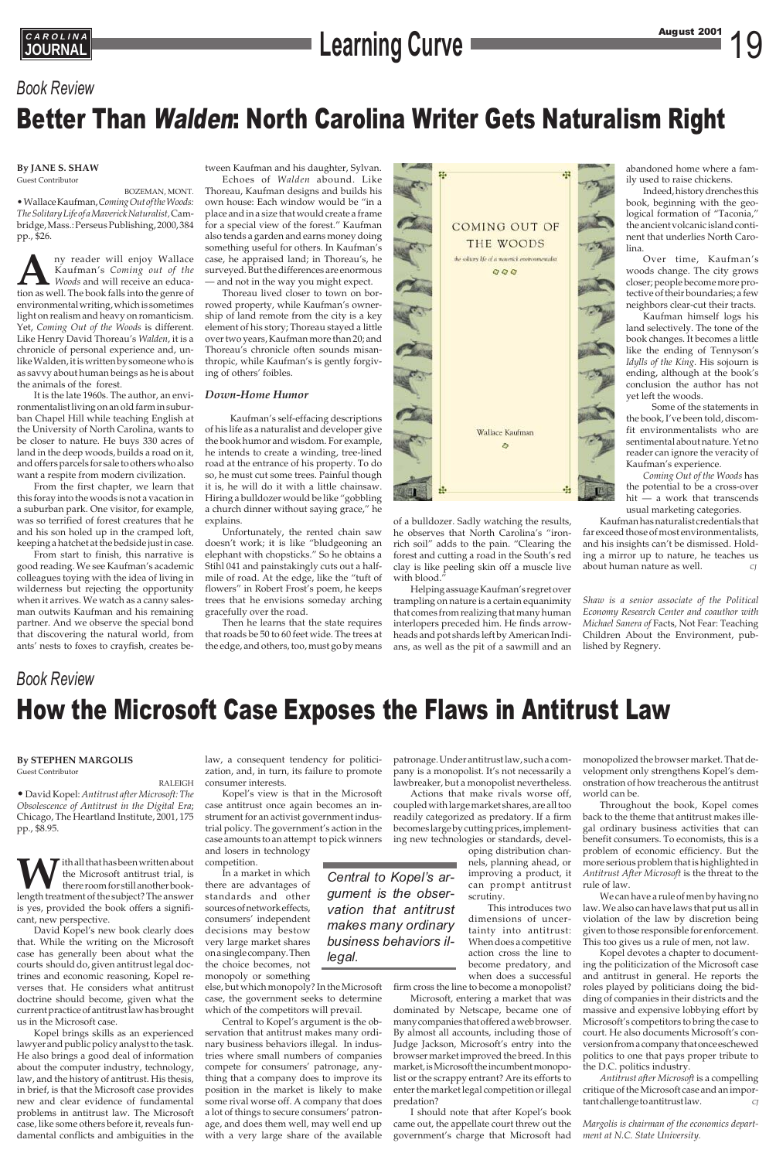## **CAROLINA**<br> **Learning Curve Learning Curve August 2001** 19

### *Book Review*

## How the Microsoft Case Exposes the Flaws in Antitrust Law

### *Book Review*

## Better Than Walden: North Carolina Writer Gets Naturalism Right

### **By JANE S. SHAW** Guest Contributor

BOZEMAN, MONT. • Wallace Kaufman, *Coming Out of the Woods: The Solitary Life of a Maverick Naturalist,* Cambridge, Mass.: Perseus Publishing, 2000, 384 pp., \$26.

**A**ny reader will enjoy Wallace Kaufman's *Coming out of the Woods* and will receive an education as well. The book falls into the genre of environmental writing, which is sometimes light on realism and heavy on romanticism. Yet, *Coming Out of the Woods* is different. Like Henry David Thoreau's *Walden*, it is a chronicle of personal experience and, unlike Walden, it is written by someone who is as savvy about human beings as he is about the animals of the forest.

Echoes of *Walden* abound. Like Thoreau, Kaufman designs and builds his own house: Each window would be "in a place and in a size that would create a frame for a special view of the forest." Kaufman also tends a garden and earns money doing something useful for others. In Kaufman's case, he appraised land; in Thoreau's, he surveyed. But the differences are enormous and not in the way you might expect.

It is the late 1960s. The author, an environmentalist living on an old farm in suburban Chapel Hill while teaching English at the University of North Carolina, wants to be closer to nature. He buys 330 acres of land in the deep woods, builds a road on it, and offers parcels for sale to others who also want a respite from modern civilization.

From the first chapter, we learn that this foray into the woods is not a vacation in a suburban park. One visitor, for example, was so terrified of forest creatures that he and his son holed up in the cramped loft, keeping a hatchet at the bedside just in case.

From start to finish, this narrative is good reading. We see Kaufman's academic colleagues toying with the idea of living in wilderness but rejecting the opportunity when it arrives. We watch as a canny salesman outwits Kaufman and his remaining partner. And we observe the special bond that discovering the natural world, from ants' nests to foxes to crayfish, creates be-

> *Central to Kopel's argument is the observation that antitrust makes many ordinary business behaviors illegal.*

tween Kaufman and his daughter, Sylvan.

Thoreau lived closer to town on borrowed property, while Kaufman's ownership of land remote from the city is a key element of his story; Thoreau stayed a little over two years, Kaufman more than 20; and Thoreau's chronicle often sounds misanthropic, while Kaufman's is gently forgiving of others' foibles.

### *Down-Home Humor*

W the Microsoft antitrust trial, is<br>there room for still another book-<br>length treatment of the subject? The answer the Microsoft antitrust trial, is there room for still another bookis yes, provided the book offers a significant, new perspective.

Kaufman's self-effacing descriptions of his life as a naturalist and developer give the book humor and wisdom. For example, he intends to create a winding, tree-lined road at the entrance of his property. To do so, he must cut some trees. Painful though it is, he will do it with a little chainsaw. Hiring a bulldozer would be like "gobbling a church dinner without saying grace," he explains.

Unfortunately, the rented chain saw doesn't work; it is like "bludgeoning an elephant with chopsticks." So he obtains a Stihl 041 and painstakingly cuts out a halfmile of road. At the edge, like the "tuft of flowers" in Robert Frost's poem, he keeps trees that he envisions someday arching gracefully over the road.

Then he learns that the state requires that roads be 50 to 60 feet wide. The trees at the edge, and others, too, must go by means



of a bulldozer. Sadly watching the results, he observes that North Carolina's "ironrich soil" adds to the pain. "Clearing the forest and cutting a road in the South's red clay is like peeling skin off a muscle live with blood."

Helping assuage Kaufman's regret over trampling on nature is a certain equanimity that comes from realizing that many human interlopers preceded him. He finds arrowheads and pot shards left by American Indians, as well as the pit of a sawmill and an abandoned home where a family used to raise chickens.

Indeed, history drenches this book, beginning with the geological formation of "Taconia," the ancient volcanic island continent that underlies North Carolina.

Over time, Kaufman's woods change. The city grows closer; people become more protective of their boundaries; a few neighbors clear-cut their tracts.

Kaufman himself logs his land selectively. The tone of the book changes. It becomes a little like the ending of Tennyson's *Idylls of the King*. His sojourn is ending, although at the book's conclusion the author has not yet left the woods.

Some of the statements in the book, I've been told, discomfit environmentalists who are sentimental about nature. Yet no reader can ignore the veracity of Kaufman's experience.

*Coming Out of the Woods* has the potential to be a cross-over hit — a work that transcends usual marketing categories.

Kaufman has naturalist credentials that far exceed those of most environmentalists, and his insights can't be dismissed. Holding a mirror up to nature, he teaches us about human nature as well. *CJ*

*Shaw is a senior associate of the Political Economy Research Center and coauthor with Michael Sanera of* Facts, Not Fear: Teaching Children About the Environment, published by Regnery.

### **By STEPHEN MARGOLIS**

Guest Contributor

RALEIGH •David Kopel: *Antitrust after Microsoft: The Obsolescence of Antitrust in the Digital Era*; Chicago, The Heartland Institute, 2001, 175 pp., \$8.95.

David Kopel's new book clearly does that. While the writing on the Microsoft case has generally been about what the courts should do, given antitrust legal doctrines and economic reasoning, Kopel reverses that. He considers what antitrust doctrine should become, given what the current practice of antitrust law has brought us in the Microsoft case.

Kopel brings skills as an experienced lawyer and public policy analyst to the task. He also brings a good deal of information about the computer industry, technology, law, and the history of antitrust. His thesis, in brief, is that the Microsoft case provides new and clear evidence of fundamental problems in antitrust law. The Microsoft case, like some others before it, reveals fundamental conflicts and ambiguities in the

law, a consequent tendency for politicization, and, in turn, its failure to promote consumer interests.

Kopel's view is that in the Microsoft case antitrust once again becomes an instrument for an activist government industrial policy. The government's action in the case amounts to an attempt to pick winners and losers in technology

competition.

In a market in which there are advantages of standards and other sources of network effects, consumers' independent decisions may bestow very large market shares on a single company. Then the choice becomes, not monopoly or something

else, but which monopoly? In the Microsoft case, the government seeks to determine which of the competitors will prevail.

Central to Kopel's argument is the observation that antitrust makes many ordinary business behaviors illegal. In industries where small numbers of companies compete for consumers' patronage, anything that a company does to improve its position in the market is likely to make some rival worse off. A company that does a lot of things to secure consumers' patronage, and does them well, may well end up with a very large share of the available patronage. Under antitrust law, such a company is a monopolist. It's not necessarily a lawbreaker, but a monopolist nevertheless.

Actions that make rivals worse off, coupled with large market shares, are all too readily categorized as predatory. If a firm becomes large by cutting prices, implementing new technologies or standards, developing distribution chan-

nels, planning ahead, or improving a product, it can prompt antitrust scrutiny.

 This introduces two dimensions of uncertainty into antitrust: When does a competitive action cross the line to become predatory, and when does a successful

firm cross the line to become a monopolist?

Microsoft, entering a market that was dominated by Netscape, became one of many companies that offered a web browser. By almost all accounts, including those of Judge Jackson, Microsoft's entry into the browser market improved the breed. In this market, is Microsoft the incumbent monopolist or the scrappy entrant? Are its efforts to enter the market legal competition or illegal predation?

I should note that after Kopel's book came out, the appellate court threw out the government's charge that Microsoft had

monopolized the browser market. That development only strengthens Kopel's demonstration of how treacherous the antitrust world can be.

Throughout the book, Kopel comes back to the theme that antitrust makes illegal ordinary business activities that can benefit consumers. To economists, this is a problem of economic efficiency. But the more serious problem that is highlighted in *Antitrust After Microsoft* is the threat to the rule of law.

We can have a rule of men by having no law. We also can have laws that put us all in violation of the law by discretion being given to those responsible for enforcement. This too gives us a rule of men, not law.

Kopel devotes a chapter to documenting the politicization of the Microsoft case and antitrust in general. He reports the roles played by politicians doing the bidding of companies in their districts and the massive and expensive lobbying effort by Microsoft's competitors to bring the case to court. He also documents Microsoft's conversion from a company that once eschewed politics to one that pays proper tribute to the D.C. politics industry.

*Antitrust after Microsoft* is a compelling critique of the Microsoft case and an important challenge to antitrust law. *CJ*

*Margolis is chairman of the economics department at N.C. State University.*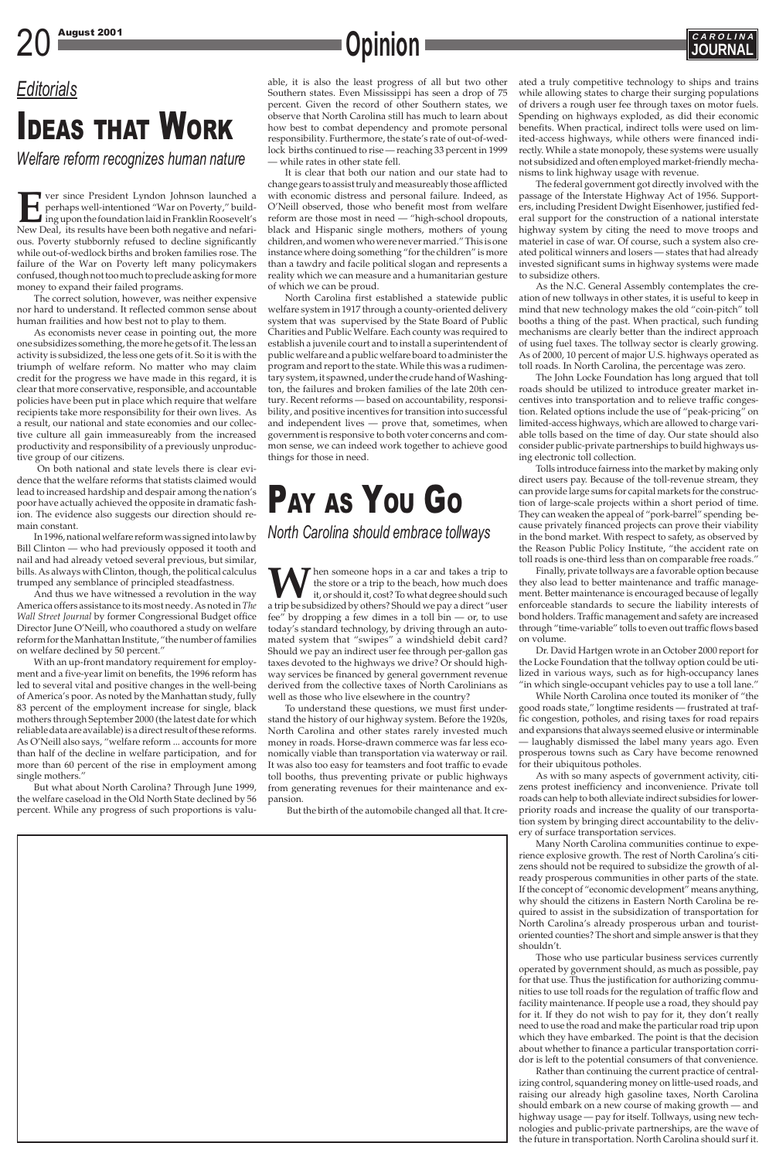## 20 August 2001 **CAROLINA**

### *Editorials*

# IDEAS THAT WORK

*Welfare reform recognizes human nature*

**EVERTUAN EXECUTE:** Ver since President Lyndon Johnson launched a perhaps well-intentioned "War on Poverty," build-<br>ing upon the foundation laid in Franklin Roosevelt's<br>New Deal, its results have been both negative and nef perhaps well-intentioned "War on Poverty," building upon the foundation laid in Franklin Roosevelt's ous. Poverty stubbornly refused to decline significantly while out-of-wedlock births and broken families rose. The failure of the War on Poverty left many policymakers confused, though not too much to preclude asking for more money to expand their failed programs.

The correct solution, however, was neither expensive nor hard to understand. It reflected common sense about human frailities and how best not to play to them.

As economists never cease in pointing out, the more one subsidizes something, the more he gets of it. The less an activity is subsidized, the less one gets of it. So it is with the triumph of welfare reform. No matter who may claim credit for the progress we have made in this regard, it is clear that more conservative, responsible, and accountable policies have been put in place which require that welfare recipients take more responsibility for their own lives. As a result, our national and state economies and our collective culture all gain immeasureably from the increased productivity and responsibility of a previously unproductive group of our citizens.

On both national and state levels there is clear evidence that the welfare reforms that statists claimed would lead to increased hardship and despair among the nation's poor have actually achieved the opposite in dramatic fashion. The evidence also suggests our direction should remain constant.

In 1996, national welfare reform was signed into law by Bill Clinton — who had previously opposed it tooth and nail and had already vetoed several previous, but similar, bills. As always with Clinton, though, the political calculus trumped any semblance of principled steadfastness.

And thus we have witnessed a revolution in the way America offers assistance to its most needy. As noted in *The Wall Street Journal* by former Congressional Budget office Director June O'Neill, who coauthored a study on welfare reform for the Manhattan Institute, "the number of families on welfare declined by 50 percent."

With an up-front mandatory requirement for employment and a five-year limit on benefits, the 1996 reform has led to several vital and positive changes in the well-being of America's poor. As noted by the Manhattan study, fully 83 percent of the employment increase for single, black mothers through September 2000 (the latest date for which reliable data are available) is a direct result of these reforms. As O'Neill also says, "welfare reform ... accounts for more than half of the decline in welfare participation, and for more than 60 percent of the rise in employment among single mothers."

Then someone hops in a car and takes a trip to the store or a trip to the beach, how much does it, or should it, cost? To what degree should such a trip be subsidized by others? Should we pay a direct "user fee" by dropping a few dimes in a toll bin  $-$  or, to use today's standard technology, by driving through an automated system that "swipes" a windshield debit card? Should we pay an indirect user fee through per-gallon gas taxes devoted to the highways we drive? Or should highway services be financed by general government revenue derived from the collective taxes of North Carolinians as well as those who live elsewhere in the country?

But what about North Carolina? Through June 1999, the welfare caseload in the Old North State declined by 56 percent. While any progress of such proportions is valu-

## PAY AS YOU GO

*North Carolina should embrace tollways*

able, it is also the least progress of all but two other Southern states. Even Mississippi has seen a drop of 75 percent. Given the record of other Southern states, we observe that North Carolina still has much to learn about how best to combat dependency and promote personal responsibility. Furthermore, the state's rate of out-of-wedlock births continued to rise — reaching 33 percent in 1999 — while rates in other state fell.

It is clear that both our nation and our state had to change gears to assist truly and measureably those afflicted with economic distress and personal failure. Indeed, as O'Neill observed, those who benefit most from welfare reform are those most in need — "high-school dropouts, black and Hispanic single mothers, mothers of young children, and women who were never married." This is one instance where doing something "for the children" is more than a tawdry and facile political slogan and represents a reality which we can measure and a humanitarian gesture of which we can be proud.

North Carolina first established a statewide public welfare system in 1917 through a county-oriented delivery system that was supervised by the State Board of Public Charities and Public Welfare. Each county was required to establish a juvenile court and to install a superintendent of public welfare and a public welfare board to administer the program and report to the state. While this was a rudimentary system, it spawned, under the crude hand of Washington, the failures and broken families of the late 20th century. Recent reforms — based on accountability, responsibility, and positive incentives for transition into successful and independent lives — prove that, sometimes, when government is responsive to both voter concerns and common sense, we can indeed work together to achieve good things for those in need.

To understand these questions, we must first understand the history of our highway system. Before the 1920s, North Carolina and other states rarely invested much money in roads. Horse-drawn commerce was far less economically viable than transportation via waterway or rail. It was also too easy for teamsters and foot traffic to evade toll booths, thus preventing private or public highways from generating revenues for their maintenance and expansion.

But the birth of the automobile changed all that. It cre-

ated a truly competitive technology to ships and trains while allowing states to charge their surging populations of drivers a rough user fee through taxes on motor fuels. Spending on highways exploded, as did their economic benefits. When practical, indirect tolls were used on limited-access highways, while others were financed indirectly. While a state monopoly, these systems were usually not subsidized and often employed market-friendly mechanisms to link highway usage with revenue.

The federal government got directly involved with the passage of the Interstate Highway Act of 1956. Supporters, including President Dwight Eisenhower, justified federal support for the construction of a national interstate highway system by citing the need to move troops and materiel in case of war. Of course, such a system also created political winners and losers — states that had already invested significant sums in highway systems were made to subsidize others.

As the N.C. General Assembly contemplates the creation of new tollways in other states, it is useful to keep in mind that new technology makes the old "coin-pitch" toll booths a thing of the past. When practical, such funding mechanisms are clearly better than the indirect approach of using fuel taxes. The tollway sector is clearly growing. As of 2000, 10 percent of major U.S. highways operated as toll roads. In North Carolina, the percentage was zero.

The John Locke Foundation has long argued that toll roads should be utilized to introduce greater market incentives into transportation and to relieve traffic congestion. Related options include the use of "peak-pricing" on limited-access highways, which are allowed to charge variable tolls based on the time of day. Our state should also consider public-private partnerships to build highways using electronic toll collection.

Tolls introduce fairness into the market by making only direct users pay. Because of the toll-revenue stream, they can provide large sums for capital markets for the construction of large-scale projects within a short period of time. They can weaken the appeal of "pork-barrel" spending because privately financed projects can prove their viability in the bond market. With respect to safety, as observed by the Reason Public Policy Institute, "the accident rate on toll roads is one-third less than on comparable free roads."

Finally, private tollways are a favorable option because they also lead to better maintenance and traffic management. Better maintenance is encouraged because of legally enforceable standards to secure the liability interests of bond holders. Traffic management and safety are increased through "time-variable" tolls to even out traffic flows based on volume.

Dr. David Hartgen wrote in an October 2000 report for the Locke Foundation that the tollway option could be utilized in various ways, such as for high-occupancy lanes "in which single-occupant vehicles pay to use a toll lane."

While North Carolina once touted its moniker of "the good roads state," longtime residents — frustrated at traffic congestion, potholes, and rising taxes for road repairs and expansions that always seemed elusive or interminable — laughably dismissed the label many years ago. Even prosperous towns such as Cary have become renowned for their ubiquitous potholes.

As with so many aspects of government activity, citizens protest inefficiency and inconvenience. Private toll roads can help to both alleviate indirect subsidies for lowerpriority roads and increase the quality of our transportation system by bringing direct accountability to the delivery of surface transportation services.

Many North Carolina communities continue to expe-

rience explosive growth. The rest of North Carolina's citizens should not be required to subsidize the growth of already prosperous communities in other parts of the state. If the concept of "economic development" means anything, why should the citizens in Eastern North Carolina be required to assist in the subsidization of transportation for North Carolina's already prosperous urban and touristoriented counties? The short and simple answer is that they shouldn't.

Those who use particular business services currently operated by government should, as much as possible, pay for that use. Thus the justification for authorizing communities to use toll roads for the regulation of traffic flow and facility maintenance. If people use a road, they should pay for it. If they do not wish to pay for it, they don't really need to use the road and make the particular road trip upon which they have embarked. The point is that the decision about whether to finance a particular transportation corridor is left to the potential consumers of that convenience.

Rather than continuing the current practice of centralizing control, squandering money on little-used roads, and raising our already high gasoline taxes, North Carolina should embark on a new course of making growth — and highway usage — pay for itself. Tollways, using new technologies and public-private partnerships, are the wave of the future in transportation. North Carolina should surf it.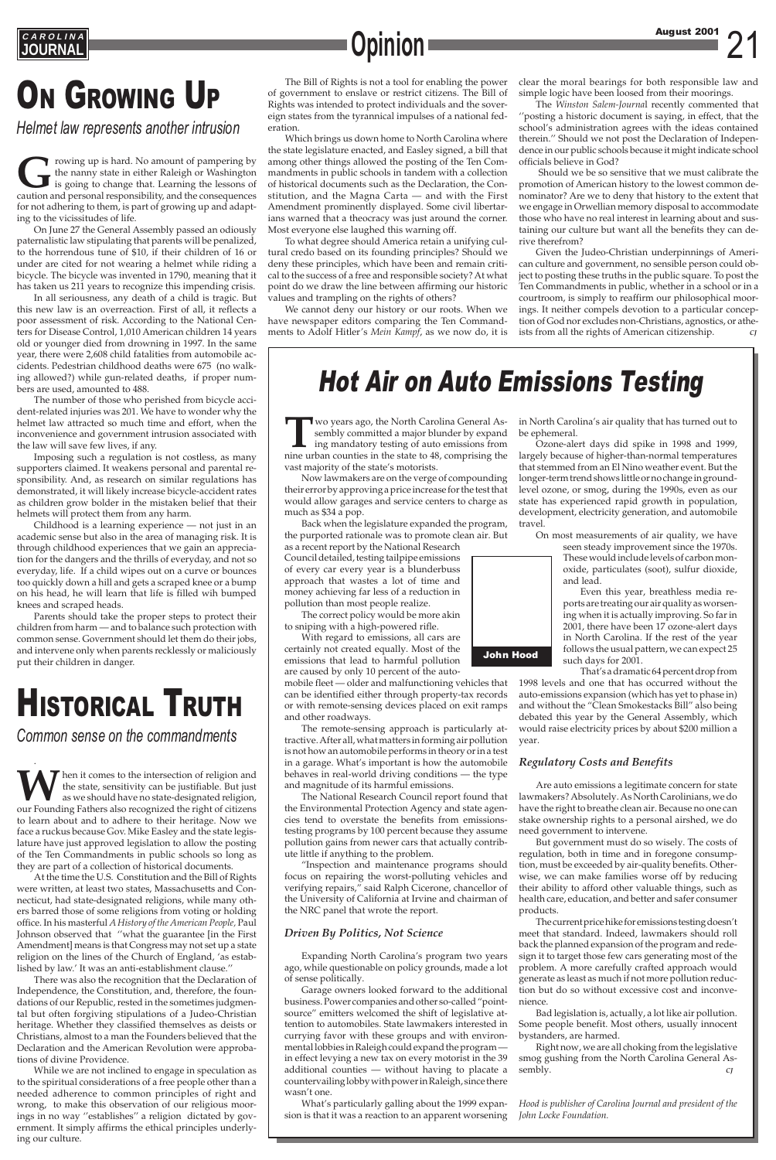## **ON GROWING UP**

**JOURNAL Opinion**

. W hen it comes to the intersection of religion and the state, sensitivity can be justifiable. But just as we should have no state-designated religion, our Founding Fathers also recognized the right of citizens the state, sensitivity can be justifiable. But just as we should have no state-designated religion, our Founding Fathers also recognized the right of citizens to learn about and to adhere to their heritage. Now we face a ruckus because Gov. Mike Easley and the state legislature have just approved legislation to allow the posting of the Ten Commandments in public schools so long as they are part of a collection of historical documents. At the time the U.S. Constitution and the Bill of Rights were written, at least two states, Massachusetts and Connecticut, had state-designated religions, while many others barred those of some religions from voting or holding office. In his masterful *A History of the American People,* Paul Johnson observed that ''what the guarantee [in the First Amendment] means is that Congress may not set up a state religion on the lines of the Church of England, 'as established by law.' It was an anti-establishment clause.'' There was also the recognition that the Declaration of Independence, the Constitution, and, therefore, the foundations of our Republic, rested in the sometimes judgmental but often forgiving stipulations of a Judeo-Christian heritage. Whether they classified themselves as deists or Christians, almost to a man the Founders believed that the Declaration and the American Revolution were approbations of divine Providence. While we are not inclined to engage in speculation as to the spiritual considerations of a free people other than a needed adherence to common principles of right and wrong, to make this observation of our religious moorings in no way ''establishes'' a religion dictated by government. It simply affirms the ethical principles underlying our culture.

### Hot Air on Auto Emissions Testing



**T**wo years ago, the North Carolina General Assembly committed a major blunder by expand ing mandatory testing of auto emissions from nine urban counties in the state to 48, comprising the vast majority of the state's motorists.

Now lawmakers are on the verge of compounding their error by approving a price increase for the test that would allow garages and service centers to charge as much as \$34 a pop.

Back when the legislature expanded the program, the purported rationale was to promote clean air. But

as a recent report by the National Research Council detailed, testing tailpipe emissions of every car every year is a blunderbuss approach that wastes a lot of time and money achieving far less of a reduction in pollution than most people realize.

The correct policy would be more akin to sniping with a high-powered rifle.

With regard to emissions, all cars are certainly not created equally. Most of the emissions that lead to harmful pollution are caused by only 10 percent of the auto-

mobile fleet — older and malfunctioning vehicles that can be identified either through property-tax records or with remote-sensing devices placed on exit ramps and other roadways.

The remote-sensing approach is particularly attractive. After all, what matters in forming air pollution is not how an automobile performs in theory or in a test in a garage. What's important is how the automobile behaves in real-world driving conditions — the type and magnitude of its harmful emissions.

> Right now, we are all choking from the legislative smog gushing from the North Carolina General Assembly.

The National Research Council report found that the Environmental Protection Agency and state agencies tend to overstate the benefits from emissionstesting programs by 100 percent because they assume pollution gains from newer cars that actually contrib-

ute little if anything to the problem.

Frowing up is hard. No amount of pampering by the nanny state in either Raleigh or Washington is going to change that. Learning the lessons of caution and personal responsibility, and the consequences the nanny state in either Raleigh or Washington is going to change that. Learning the lessons of caution and personal responsibility, and the consequences for not adhering to them, is part of growing up and adapting to the vicissitudes of life.

> "Inspection and maintenance programs should focus on repairing the worst-polluting vehicles and verifying repairs," said Ralph Cicerone, chancellor of the University of California at Irvine and chairman of the NRC panel that wrote the report.

### *Driven By Politics, Not Science*

Expanding North Carolina's program two years ago, while questionable on policy grounds, made a lot of sense politically.

Garage owners looked forward to the additional business. Power companies and other so-called "pointsource" emitters welcomed the shift of legislative attention to automobiles. State lawmakers interested in currying favor with these groups and with environmental lobbies in Raleigh could expand the program in effect levying a new tax on every motorist in the 39 additional counties — without having to placate a countervailing lobby with power in Raleigh, since there wasn't one.

What's particularly galling about the 1999 expansion is that it was a reaction to an apparent worsening

in North Carolina's air quality that has turned out to be ephemeral.

Ozone-alert days did spike in 1998 and 1999, largely because of higher-than-normal temperatures that stemmed from an El Nino weather event. But the longer-term trend shows little or no change in groundlevel ozone, or smog, during the 1990s, even as our state has experienced rapid growth in population, development, electricity generation, and automobile travel.

On most measurements of air quality, we have

seen steady improvement since the 1970s. These would include levels of carbon monoxide, particulates (soot), sulfur dioxide, and lead.

Even this year, breathless media reports are treating our air quality as worsening when it is actually improving. So far in 2001, there have been 17 ozone-alert days in North Carolina. If the rest of the year follows the usual pattern, we can expect 25 such days for 2001.

That's a dramatic 64 percent drop from 1998 levels and one that has occurred without the auto-emissions expansion (which has yet to phase in) and without the "Clean Smokestacks Bill" also being debated this year by the General Assembly, which would raise electricity prices by about \$200 million a year.

Given the Judeo-Christian underpinnings of American culture and government, no sensible person could object to posting these truths in the public square. To post the Ten Commandments in public, whether in a school or in a courtroom, is simply to reaffirm our philosophical moorings. It neither compels devotion to a particular conception of God nor excludes non-Christians, agnostics, or atheists from all the rights of American citizenship.

### *Regulatory Costs and Benefits*

Are auto emissions a legitimate concern for state lawmakers? Absolutely. As North Carolinians, we do have the right to breathe clean air. Because no one can stake ownership rights to a personal airshed, we do need government to intervene.

But government must do so wisely. The costs of

regulation, both in time and in foregone consumption, must be exceeded by air-quality benefits. Otherwise, we can make families worse off by reducing their ability to afford other valuable things, such as health care, education, and better and safer consumer products.

The current price hike for emissions testing doesn't meet that standard. Indeed, lawmakers should roll back the planned expansion of the program and redesign it to target those few cars generating most of the problem. A more carefully crafted approach would generate as least as much if not more pollution reduction but do so without excessive cost and inconvenience.

Bad legislation is, actually, a lot like air pollution. Some people benefit. Most others, usually innocent bystanders, are harmed.

*Hood is publisher of Carolina Journal and president of the John Locke Foundation.*

On June 27 the General Assembly passed an odiously paternalistic law stipulating that parents will be penalized, to the horrendous tune of \$10, if their children of 16 or under are cited for not wearing a helmet while riding a bicycle. The bicycle was invented in 1790, meaning that it has taken us 211 years to recognize this impending crisis.

In all seriousness, any death of a child is tragic. But this new law is an overreaction. First of all, it reflects a poor assessment of risk. According to the National Centers for Disease Control, 1,010 American children 14 years old or younger died from drowning in 1997. In the same year, there were 2,608 child fatalities from automobile accidents. Pedestrian childhood deaths were 675 (no walking allowed?) while gun-related deaths, if proper numbers are used, amounted to 488.

The number of those who perished from bicycle accident-related injuries was 201. We have to wonder why the helmet law attracted so much time and effort, when the inconvenience and government intrusion associated with the law will save few lives, if any.

Imposing such a regulation is not costless, as many supporters claimed. It weakens personal and parental responsibility. And, as research on similar regulations has demonstrated, it will likely increase bicycle-accident rates as children grow bolder in the mistaken belief that their helmets will protect them from any harm.

Childhood is a learning experience — not just in an academic sense but also in the area of managing risk. It is through childhood experiences that we gain an appreciation for the dangers and the thrills of everyday, and not so everyday, life. If a child wipes out on a curve or bounces too quickly down a hill and gets a scraped knee or a bump on his head, he will learn that life is filled wih bumped knees and scraped heads.

Parents should take the proper steps to protect their children from harm — and to balance such protection with common sense. Government should let them do their jobs, and intervene only when parents recklessly or maliciously put their children in danger.

## **HISTORICAL TRUTH**

*Helmet law represents another intrusion*

The Bill of Rights is not a tool for enabling the power of government to enslave or restrict citizens. The Bill of Rights was intended to protect individuals and the sovereign states from the tyrannical impulses of a national federation.

Which brings us down home to North Carolina where the state legislature enacted, and Easley signed, a bill that among other things allowed the posting of the Ten Commandments in public schools in tandem with a collection of historical documents such as the Declaration, the Constitution, and the Magna Carta — and with the First Amendment prominently displayed. Some civil libertarians warned that a theocracy was just around the corner. Most everyone else laughed this warning off.

To what degree should America retain a unifying cultural credo based on its founding principles? Should we deny these principles, which have been and remain critical to the success of a free and responsible society? At what point do we draw the line between affirming our historic values and trampling on the rights of others?

We cannot deny our history or our roots. When we have newspaper editors comparing the Ten Commandments to Adolf Hitler's *Mein Kampf*, as we now do, it is clear the moral bearings for both responsible law and simple logic have been loosed from their moorings.

The *Winston Salem-Journa*l recently commented that ''posting a historic document is saying, in effect, that the school's administration agrees with the ideas contained therein.'' Should we not post the Declaration of Independence in our public schools because it might indicate school officials believe in God?

Should we be so sensitive that we must calibrate the promotion of American history to the lowest common denominator? Are we to deny that history to the extent that we engage in Orwellian memory disposal to accommodate those who have no real interest in learning about and sustaining our culture but want all the benefits they can derive therefrom?

*Common sense on the commandments*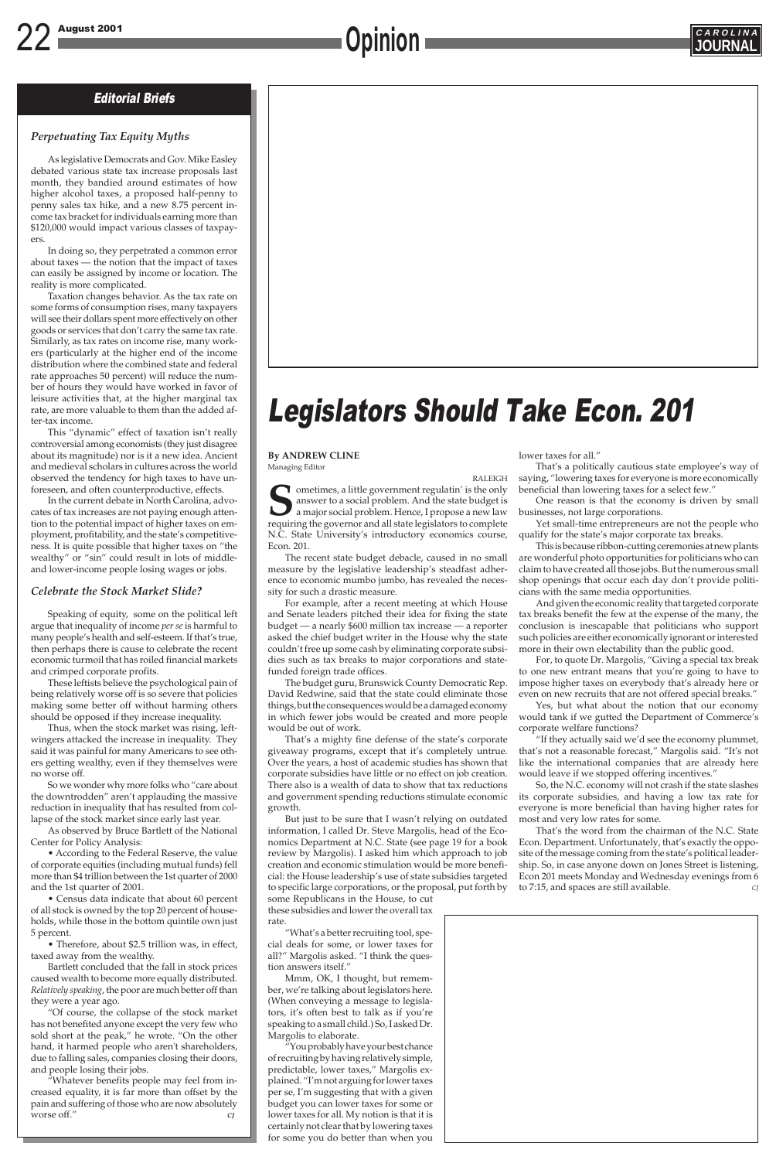### 22 August 2001 **CAROLINA Opinion**

### Editorial Briefs

#### **By ANDREW CLINE** Managing Editor

RALEIGH **S**ometimes, a little government regulatin' is the only answer to a social problem. And the state budget is a major social problem. Hence, I propose a new law requiring the governor and all state legislators to complete N.C. State University's introductory economics course, Econ. 201.

The recent state budget debacle, caused in no small measure by the legislative leadership's steadfast adherence to economic mumbo jumbo, has revealed the necessity for such a drastic measure.

For example, after a recent meeting at which House and Senate leaders pitched their idea for fixing the state budget — a nearly \$600 million tax increase — a reporter asked the chief budget writer in the House why the state couldn't free up some cash by eliminating corporate subsidies such as tax breaks to major corporations and statefunded foreign trade offices.

The budget guru, Brunswick County Democratic Rep. David Redwine, said that the state could eliminate those things, but the consequences would be a damaged economy in which fewer jobs would be created and more people would be out of work.

That's a mighty fine defense of the state's corporate giveaway programs, except that it's completely untrue. Over the years, a host of academic studies has shown that corporate subsidies have little or no effect on job creation. There also is a wealth of data to show that tax reductions and government spending reductions stimulate economic growth.

But just to be sure that I wasn't relying on outdated information, I called Dr. Steve Margolis, head of the Economics Department at N.C. State (see page 19 for a book review by Margolis). I asked him which approach to job creation and economic stimulation would be more beneficial: the House leadership's use of state subsidies targeted to specific large corporations, or the proposal, put forth by some Republicans in the House, to cut these subsidies and lower the overall tax rate.

"What's a better recruiting tool, special deals for some, or lower taxes for all?" Margolis asked. "I think the question answers itself."

Mmm, OK, I thought, but remember, we're talking about legislators here. (When conveying a message to legislators, it's often best to talk as if you're speaking to a small child.) So, I asked Dr. Margolis to elaborate.

"You probably have your best chance of recruiting by having relatively simple, predictable, lower taxes," Margolis explained. "I'm not arguing for lower taxes per se*,* I'm suggesting that with a given budget you can lower taxes for some or lower taxes for all. My notion is that it is certainly not clear that by lowering taxes for some you do better than when you



## Legislators Should Take Econ. 201

### *Perpetuating Tax Equity Myths*

As legislative Democrats and Gov. Mike Easley debated various state tax increase proposals last month, they bandied around estimates of how higher alcohol taxes, a proposed half-penny to penny sales tax hike, and a new 8.75 percent income tax bracket for individuals earning more than \$120,000 would impact various classes of taxpayers.

In doing so, they perpetrated a common error about taxes — the notion that the impact of taxes can easily be assigned by income or location. The reality is more complicated.

Taxation changes behavior. As the tax rate on some forms of consumption rises, many taxpayers will see their dollars spent more effectively on other goods or services that don't carry the same tax rate. Similarly, as tax rates on income rise, many workers (particularly at the higher end of the income distribution where the combined state and federal rate approaches 50 percent) will reduce the number of hours they would have worked in favor of leisure activities that, at the higher marginal tax rate, are more valuable to them than the added after-tax income.

This "dynamic" effect of taxation isn't really controversial among economists (they just disagree about its magnitude) nor is it a new idea. Ancient and medieval scholars in cultures across the world observed the tendency for high taxes to have unforeseen, and often counterproductive, effects.

> That's the word from the chairman of the N.C. State Econ. Department. Unfortunately, that's exactly the opposite of the message coming from the state's political leadership. So, in case anyone down on Jones Street is listening, Econ 201 meets Monday and Wednesday evenings from 6 to 7:15, and spaces are still available.

In the current debate in North Carolina, advocates of tax increases are not paying enough attention to the potential impact of higher taxes on employment, profitability, and the state's competitiveness. It is quite possible that higher taxes on "the wealthy" or "sin" could result in lots of middleand lower-income people losing wages or jobs.

### *Celebrate the Stock Market Slide?*

Speaking of equity, some on the political left argue that inequality of income *per se* is harmful to many people's health and self-esteem. If that's true, then perhaps there is cause to celebrate the recent economic turmoil that has roiled financial markets and crimped corporate profits.

These leftists believe the psychological pain of being relatively worse off is so severe that policies making some better off without harming others should be opposed if they increase inequality.

Thus, when the stock market was rising, leftwingers attacked the increase in inequality. They said it was painful for many Americans to see others getting wealthy, even if they themselves were no worse off.

So we wonder why more folks who "care about the downtrodden" aren't applauding the massive reduction in inequality that has resulted from collapse of the stock market since early last year.

As observed by Bruce Bartlett of the National Center for Policy Analysis:

• According to the Federal Reserve, the value of corporate equities (including mutual funds) fell more than \$4 trillion between the 1st quarter of 2000 and the 1st quarter of 2001. • Census data indicate that about 60 percent of all stock is owned by the top 20 percent of households, while those in the bottom quintile own just 5 percent.



• Therefore, about \$2.5 trillion was, in effect, taxed away from the wealthy.

Bartlett concluded that the fall in stock prices caused wealth to become more equally distributed. *Relatively speaking*, the poor are much better off than they were a year ago.

"Of course, the collapse of the stock market has not benefited anyone except the very few who sold short at the peak," he wrote. "On the other hand, it harmed people who aren't shareholders, due to falling sales, companies closing their doors, and people losing their jobs.

"Whatever benefits people may feel from increased equality, it is far more than offset by the pain and suffering of those who are now absolutely worse off." *CJ*

lower taxes for all."

That's a politically cautious state employee's way of saying, "lowering taxes for everyone is more economically beneficial than lowering taxes for a select few."

One reason is that the economy is driven by small businesses, not large corporations.

Yet small-time entrepreneurs are not the people who qualify for the state's major corporate tax breaks.

This is because ribbon-cutting ceremonies at new plants are wonderful photo opportunities for politicians who can claim to have created all those jobs. But the numerous small shop openings that occur each day don't provide politicians with the same media opportunities.

And given the economic reality that targeted corporate tax breaks benefit the few at the expense of the many, the conclusion is inescapable that politicians who support such policies are either economically ignorant or interested more in their own electability than the public good.

For, to quote Dr. Margolis, "Giving a special tax break to one new entrant means that you're going to have to impose higher taxes on everybody that's already here or even on new recruits that are not offered special breaks."

Yes, but what about the notion that our economy would tank if we gutted the Department of Commerce's corporate welfare functions?

"If they actually said we'd see the economy plummet, that's not a reasonable forecast," Margolis said. "It's not like the international companies that are already here would leave if we stopped offering incentives."

So, the N.C. economy will not crash if the state slashes its corporate subsidies, and having a low tax rate for everyone is more beneficial than having higher rates for most and very low rates for some.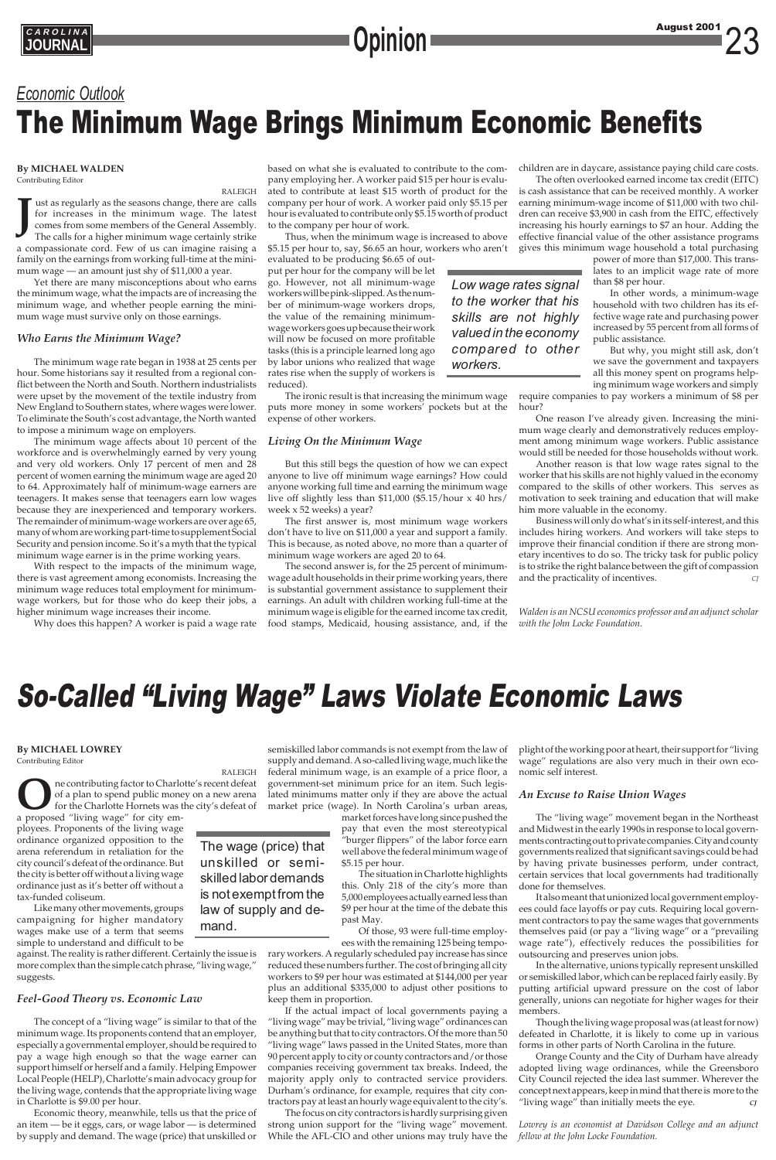### **By MICHAEL WALDEN**

Contributing Editor

RALEIGH **J** ust as regularly as the seasons change, there are calls for increases in the minimum wage. The latest comes from some members of the General Assembly. The calls for a higher minimum wage certainly strike a compassionate cord. Few of us can imagine raising a family on the earnings from working full-time at the minimum wage — an amount just shy of \$11,000 a year.

Yet there are many misconceptions about who earns the minimum wage, what the impacts are of increasing the minimum wage, and whether people earning the minimum wage must survive only on those earnings.

### *Who Earns the Minimum Wage?*

The minimum wage rate began in 1938 at 25 cents per hour. Some historians say it resulted from a regional conflict between the North and South. Northern industrialists were upset by the movement of the textile industry from New England to Southern states, where wages were lower. To eliminate the South's cost advantage, the North wanted to impose a minimum wage on employers.

The minimum wage affects about 10 percent of the workforce and is overwhelmingly earned by very young and very old workers. Only 17 percent of men and 28 percent of women earning the minimum wage are aged 20 to 64. Approximately half of minimum-wage earners are teenagers. It makes sense that teenagers earn low wages because they are inexperienced and temporary workers. The remainder of minimum-wage workers are over age 65, many of whom are working part-time to supplement Social Security and pension income. So it's a myth that the typical minimum wage earner is in the prime working years.

With respect to the impacts of the minimum wage, there is vast agreement among economists. Increasing the minimum wage reduces total employment for minimumwage workers, but for those who do keep their jobs, a higher minimum wage increases their income.

Why does this happen? A worker is paid a wage rate

### *Economic Outlook* The Minimum Wage Brings Minimum Economic Benefits

### So-Called "Living Wage" Laws Violate Economic Laws

#### **By MICHAEL LOWREY** Contributing Editor

RALEIGH **O**ne contributing factor to Charlotte's recent defeat of a plan to spend public money on a new arena for the Charlotte Hornets was the city's defeat of a proposed "living wage" for city emof a plan to spend public money on a new arena for the Charlotte Hornets was the city's defeat of a proposed "living wage" for city employees. Proponents of the living wage

ordinance organized opposition to the

arena referendum in retaliation for the city council's defeat of the ordinance. But the city is better off without a living wage ordinance just as it's better off without a tax-funded coliseum.

Like many other movements, groups campaigning for higher mandatory wages make use of a term that seems simple to understand and difficult to be

against. The reality is rather different. Certainly the issue is more complex than the simple catch phrase, "living wage," suggests.

### *Feel-Good Theory vs. Economic Law*

The concept of a "living wage" is similar to that of the minimum wage. Its proponents contend that an employer, especially a governmental employer, should be required to pay a wage high enough so that the wage earner can support himself or herself and a family. Helping Empower Local People (HELP), Charlotte's main advocacy group for the living wage, contends that the appropriate living wage in Charlotte is \$9.00 per hour.

Economic theory, meanwhile, tells us that the price of an item — be it eggs, cars, or wage labor — is determined by supply and demand. The wage (price) that unskilled or *Low wage rates signal to the worker that his skills are not highly valued in the economy compared to other workers.*

semiskilled labor commands is not exempt from the law of supply and demand. A so-called living wage, much like the federal minimum wage, is an example of a price floor, a government-set minimum price for an item. Such legislated minimums matter only if they are above the actual market price (wage). In North Carolina's urban areas,

rary workers. A regularly scheduled pay increase has since reduced these numbers further. The cost of bringing all city workers to \$9 per hour was estimated at \$144,000 per year plus an additional \$335,000 to adjust other positions to keep them in proportion.

If the actual impact of local governments paying a "living wage" may be trivial, "living wage" ordinances can be anything but that to city contractors. Of the more than 50 "living wage" laws passed in the United States, more than 90 percent apply to city or county contractors and/or those companies receiving government tax breaks. Indeed, the majority apply only to contracted service providers. Durham's ordinance, for example, requires that city contractors pay at least an hourly wage equivalent to the city's.

Business will only do what's in its self-interest, and this includes hiring workers. And workers will take steps to improve their financial condition if there are strong monetary incentives to do so. The tricky task for public policy is to strike the right balance between the gift of compassion and the practicality of incentives.

The focus on city contractors is hardly surprising given strong union support for the "living wage" movement. While the AFL-CIO and other unions may truly have the plight of the working poor at heart, their support for "living wage" regulations are also very much in their own economic self interest.

### *An Excuse to Raise Union Wages*

market forces have long since pushed the pay that even the most stereotypical "burger flippers" of the labor force earn well above the federal minimum wage of \$5.15 per hour. The situation in Charlotte highlights this. Only 218 of the city's more than 5,000 employees actually earned less than \$9 per hour at the time of the debate this past May. Of those, 93 were full-time employees with the remaining 125 being tempounskilled or semiskilled labor demands is not exempt from the law of supply and de-

The "living wage" movement began in the Northeast and Midwest in the early 1990s in response to local governments contracting out to private companies. City and county governments realized that significant savings could be had by having private businesses perform, under contract, certain services that local governments had traditionally done for themselves. It also meant that unionized local government employees could face layoffs or pay cuts. Requiring local government contractors to pay the same wages that governments themselves paid (or pay a "living wage" or a "prevailing wage rate"), effectively reduces the possibilities for outsourcing and preserves union jobs. In the alternative, unions typically represent unskilled or semiskilled labor, which can be replaced fairly easily. By putting artificial upward pressure on the cost of labor generally, unions can negotiate for higher wages for their members.

Though the living wage proposal was (at least for now) defeated in Charlotte, it is likely to come up in various forms in other parts of North Carolina in the future.

Orange County and the City of Durham have already adopted living wage ordinances, while the Greensboro City Council rejected the idea last summer. Wherever the concept next appears, keep in mind that there is more to the "living wage" than initially meets the eye. *CJ*

*Lowrey is an economist at Davidson College and an adjunct fellow at the John Locke Foundation.*

### The wage (price) that

mand.

based on what she is evaluated to contribute to the company employing her. A worker paid \$15 per hour is evaluated to contribute at least \$15 worth of product for the company per hour of work. A worker paid only \$5.15 per hour is evaluated to contribute only \$5.15 worth of product to the company per hour of work.

Thus, when the minimum wage is increased to above \$5.15 per hour to, say, \$6.65 an hour, workers who aren't

evaluated to be producing \$6.65 of output per hour for the company will be let go. However, not all minimum-wage workers will be pink-slipped. As the number of minimum-wage workers drops, the value of the remaining minimumwage workers goes up because their work will now be focused on more profitable tasks (this is a principle learned long ago by labor unions who realized that wage rates rise when the supply of workers is reduced).

The ironic result is that increasing the minimum wage puts more money in some workers' pockets but at the expense of other workers.

### *Living On the Minimum Wage*

But this still begs the question of how we can expect anyone to live off minimum wage earnings? How could anyone working full time and earning the minimum wage live off slightly less than \$11,000 (\$5.15/hour x 40 hrs/ week x 52 weeks) a year?

The first answer is, most minimum wage workers don't have to live on \$11,000 a year and support a family. This is because, as noted above, no more than a quarter of minimum wage workers are aged 20 to 64.

The second answer is, for the 25 percent of minimumwage adult households in their prime working years, there is substantial government assistance to supplement their earnings. An adult with children working full-time at the minimum wage is eligible for the earned income tax credit, food stamps, Medicaid, housing assistance, and, if the children are in daycare, assistance paying child care costs.

The often overlooked earned income tax credit (EITC) is cash assistance that can be received monthly. A worker earning minimum-wage income of \$11,000 with two children can receive \$3,900 in cash from the EITC, effectively increasing his hourly earnings to \$7 an hour. Adding the effective financial value of the other assistance programs gives this minimum wage household a total purchasing

> power of more than \$17,000. This translates to an implicit wage rate of more than \$8 per hour.

> In other words, a minimum-wage household with two children has its effective wage rate and purchasing power increased by 55 percent from all forms of public assistance.

> But why, you might still ask, don't we save the government and taxpayers all this money spent on programs helping minimum wage workers and simply

require companies to pay workers a minimum of \$8 per hour?

One reason I've already given. Increasing the minimum wage clearly and demonstratively reduces employment among minimum wage workers. Public assistance would still be needed for those households without work.

Another reason is that low wage rates signal to the worker that his skills are not highly valued in the economy compared to the skills of other workers. This serves as motivation to seek training and education that will make him more valuable in the economy.

*Walden is an NCSU economics professor and an adjunct scholar with the John Locke Foundation.*